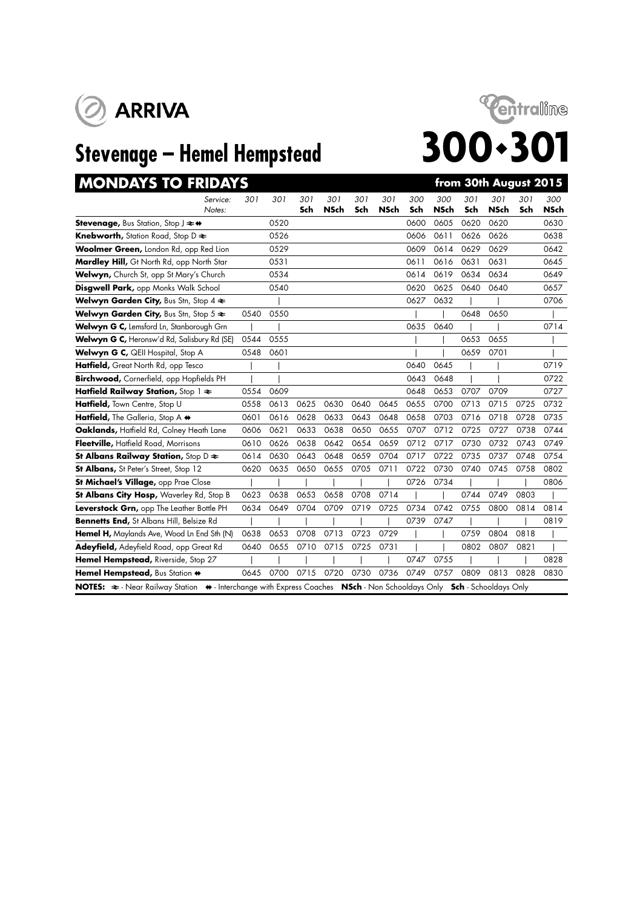



| <b>MONDAYS TO FRIDAYS</b>                                             |      |      |            |                    |            |                    |            |                    |            | from 30th August 2015 |            |                    |
|-----------------------------------------------------------------------|------|------|------------|--------------------|------------|--------------------|------------|--------------------|------------|-----------------------|------------|--------------------|
| Service:<br>Notes:                                                    | 301  | 301  | 301<br>Sch | 301<br><b>NSch</b> | 301<br>Sch | 301<br><b>NSch</b> | 300<br>Sch | 300<br><b>NSch</b> | 301<br>Sch | 301<br><b>NSch</b>    | 301<br>Sch | 300<br><b>NSch</b> |
|                                                                       |      |      |            |                    |            |                    |            |                    |            |                       |            |                    |
| <b>Stevenage, Bus Station, Stop J <math>\rightleftarrows</math> +</b> |      | 0520 |            |                    |            |                    | 0600       | 0605               | 0620       | 0620                  |            | 0630               |
| <b>Knebworth, Station Road, Stop D ≥</b>                              |      | 0526 |            |                    |            |                    | 0606       | 0611               | 0626       | 0626                  |            | 0638               |
| Woolmer Green, London Rd, opp Red Lion                                |      | 0529 |            |                    |            |                    | 0609       | 0614               | 0629       | 0629                  |            | 0642               |
| Mardley Hill, Gt North Rd, opp North Star                             |      | 0531 |            |                    |            |                    | 0611       | 0616               | 0631       | 0631                  |            | 0645               |
| Welwyn, Church St, opp St Mary's Church                               |      | 0534 |            |                    |            |                    | 0614       | 0619               | 0634       | 0634                  |            | 0649               |
| Disgwell Park, opp Monks Walk School                                  |      | 0540 |            |                    |            |                    | 0620       | 0625               | 0640       | 0640                  |            | 0657               |
| Welwyn Garden City, Bus Stn, Stop $4 \geq$                            |      |      |            |                    |            |                    | 0627       | 0632               |            |                       |            | 0706               |
| Welwyn Garden City, Bus Stn, Stop 5 $\Leftarrow$                      | 0540 | 0550 |            |                    |            |                    |            |                    | 0648       | 0650                  |            |                    |
| Welwyn G C, Lemsford Ln, Stanborough Grn                              |      |      |            |                    |            |                    | 0635       | 0640               |            |                       |            | 0714               |
| Welwyn G C, Heronsw'd Rd, Salisbury Rd (SE)                           | 0544 | 0555 |            |                    |            |                    |            |                    | 0653       | 0655                  |            |                    |
| Welwyn G C, QEII Hospital, Stop A                                     | 0548 | 0601 |            |                    |            |                    |            |                    | 0659       | 0701                  |            |                    |
| Hatfield, Great North Rd, opp Tesco                                   |      |      |            |                    |            |                    | 0640       | 0645               |            |                       |            | 0719               |
| Birchwood, Cornerfield, opp Hopfields PH                              |      |      |            |                    |            |                    | 0643       | 0648               |            |                       |            | 0722               |
| Hatfield Railway Station, Stop 1 $\approx$                            | 0554 | 0609 |            |                    |            |                    | 0648       | 0653               | 0707       | 0709                  |            | 0727               |
| Hatfield, Town Centre, Stop U                                         | 0558 | 0613 | 0625       | 0630               | 0640       | 0645               | 0655       | 0700               | 0713       | 0715                  | 0725       | 0732               |
| Hatfield, The Galleria, Stop A $\leftrightarrow$                      | 0601 | 0616 | 0628       | 0633               | 0643       | 0648               | 0658       | 0703               | 0716       | 0718                  | 0728       | 0735               |
| Oaklands, Haffield Rd, Colney Heath Lane                              | 0606 | 0621 | 0633       | 0638               | 0650       | 0655               | 0707       | 0712               | 0725       | 0727                  | 0738       | 0744               |
| Fleetville, Hatfield Road, Morrisons                                  | 0610 | 0626 | 0638       | 0642               | 0654       | 0659               | 0712       | 0717               | 0730       | 0732                  | 0743       | 0749               |
| St Albans Railway Station, Stop $D \approx$                           | 0614 | 0630 | 0643       | 0648               | 0659       | 0704               | 0717       | 0722               | 0735       | 0737                  | 0748       | 0754               |
| St Albans, St Peter's Street, Stop 12                                 | 0620 | 0635 | 0650       | 0655               | 0705       | 0711               | 0722       | 0730               | 0740       | 0745                  | 0758       | 0802               |
| St Michael's Village, opp Prae Close                                  |      |      |            |                    |            |                    | 0726       | 0734               |            |                       |            | 0806               |
| St Albans City Hosp, Waverley Rd, Stop B                              | 0623 | 0638 | 0653       | 0658               | 0708       | 0714               |            |                    | 0744       | 0749                  | 0803       |                    |
| Leverstock Grn, opp The Leather Bottle PH                             | 0634 | 0649 | 0704       | 0709               | 0719       | 0725               | 0734       | 0742               | 0755       | 0800                  | 0814       | 0814               |
| Bennetts End, St Albans Hill, Belsize Rd                              |      |      |            |                    |            |                    | 0739       | 0747               |            |                       |            | 0819               |
| Hemel H, Maylands Ave, Wood Ln End Sth (N)                            | 0638 | 0653 | 0708       | 0713               | 0723       | 0729               |            |                    | 0759       | 0804                  | 0818       |                    |
| Adeyfield, Adeyfield Road, opp Great Rd                               | 0640 | 0655 | 0710       | 0715               | 0725       | 0731               |            |                    | 0802       | 0807                  | 0821       |                    |
| Hemel Hempstead, Riverside, Stop 27                                   |      |      |            |                    |            |                    | 0747       | 0755               |            |                       |            | 0828               |
| Hemel Hempstead, Bus Station +                                        | 0645 | 0700 | 0715       | 0720               | 0730       | 0736               | 0749       | 0757               | 0809       | 0813                  | 0828       | 0830               |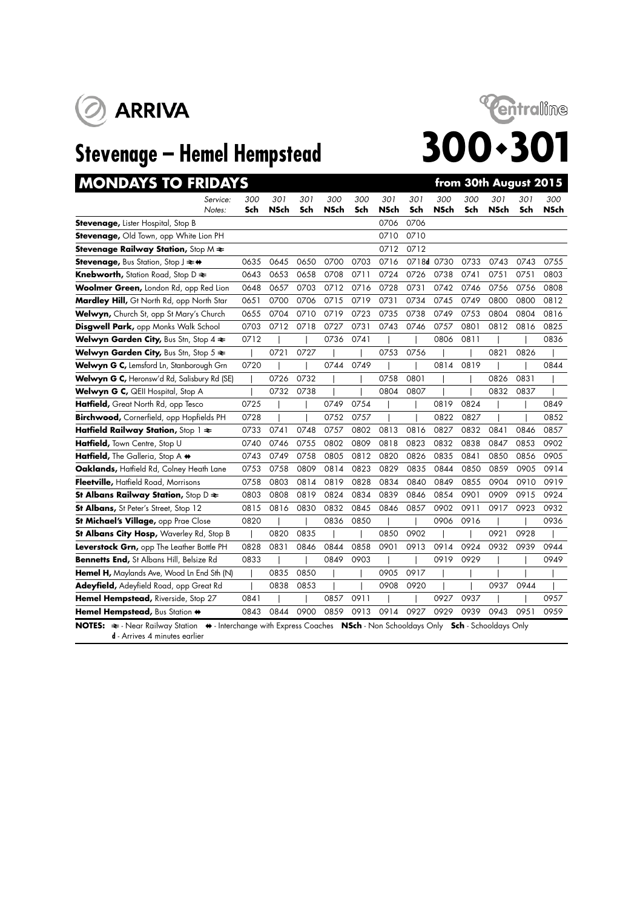



# **MONDAYS TO FRIDAYS** *from 30th August 2015*

| Service:                                                                                                                   | 300  | 301  | 301  | 300  | 300  | 301  | 301        | 300  | 300  | 301                          | 301  | 300  |
|----------------------------------------------------------------------------------------------------------------------------|------|------|------|------|------|------|------------|------|------|------------------------------|------|------|
| Notes:                                                                                                                     | Sch  | NSch | Sch  | NSch | Sch  | NSch | Sch        | NSch | Sch  | <b>NSch</b>                  | Sch  | NSch |
| <b>Stevenage, Lister Hospital, Stop B</b>                                                                                  |      |      |      |      |      | 0706 | 0706       |      |      |                              |      |      |
| <b>Stevenage, Old Town, opp White Lion PH</b>                                                                              |      |      |      |      |      | 0710 | 0710       |      |      |                              |      |      |
| <b>Stevenage Railway Station, Stop M <math>\neq</math></b>                                                                 |      |      |      |      |      | 0712 | 0712       |      |      |                              |      |      |
| Stevenage, Bus Station, Stop J $\rightleftarrows$ +                                                                        | 0635 | 0645 | 0650 | 0700 | 0703 | 0716 | 0718d 0730 |      | 0733 | 0743                         | 0743 | 0755 |
| <b>Knebworth, Station Road, Stop D <math>\geq</math></b>                                                                   | 0643 | 0653 | 0658 | 0708 | 0711 | 0724 | 0726       | 0738 | 0741 | 0751                         | 0751 | 0803 |
| Woolmer Green, London Rd, opp Red Lion                                                                                     | 0648 | 0657 | 0703 | 0712 | 0716 | 0728 | 0731       | 0742 | 0746 | 0756                         | 0756 | 0808 |
| Mardley Hill, Gt North Rd, opp North Star                                                                                  | 0651 | 0700 | 0706 | 0715 | 0719 | 0731 | 0734       | 0745 | 0749 | 0800                         | 0800 | 0812 |
| Welwyn, Church St, opp St Mary's Church                                                                                    | 0655 | 0704 | 0710 | 0719 | 0723 | 0735 | 0738       | 0749 | 0753 | 0804                         | 0804 | 0816 |
| Disgwell Park, opp Monks Walk School                                                                                       | 0703 | 0712 | 0718 | 0727 | 0731 | 0743 | 0746       | 0757 | 0801 | 0812                         | 0816 | 0825 |
| Welwyn Garden City, Bus Stn, Stop 4 $\Leftarrow$                                                                           | 0712 |      |      | 0736 | 0741 |      |            | 0806 | 0811 |                              |      | 0836 |
| Welwyn Garden City, Bus Stn, Stop $5 \approx$                                                                              |      | 0721 | 0727 |      |      | 0753 | 0756       |      |      | 0821                         | 0826 |      |
| Welwyn G C, Lemsford Ln, Stanborough Grn                                                                                   | 0720 |      |      | 0744 | 0749 |      |            | 0814 | 0819 |                              |      | 0844 |
| Welwyn G C, Heronsw'd Rd, Salisbury Rd (SE)                                                                                |      | 0726 | 0732 |      |      | 0758 | 0801       |      |      | 0826                         | 0831 |      |
| Welwyn G C, QEII Hospital, Stop A                                                                                          |      | 0732 | 0738 |      |      | 0804 | 0807       |      |      | 0832                         | 0837 |      |
| Hatfield, Great North Rd, opp Tesco                                                                                        | 0725 |      |      | 0749 | 0754 |      |            | 0819 | 0824 |                              |      | 0849 |
| Birchwood, Cornerfield, opp Hopfields PH                                                                                   | 0728 |      |      | 0752 | 0757 |      |            | 0822 | 0827 |                              |      | 0852 |
| Hatfield Railway Station, Stop $1 \approx$                                                                                 | 0733 | 0741 | 0748 | 0757 | 0802 | 0813 | 0816       | 0827 | 0832 | 0841                         | 0846 | 0857 |
| Hatfield, Town Centre, Stop U                                                                                              | 0740 | 0746 | 0755 | 0802 | 0809 | 0818 | 0823       | 0832 | 0838 | 0847                         | 0853 | 0902 |
| Hatfield, The Galleria, Stop A $\leftrightarrow$                                                                           | 0743 | 0749 | 0758 | 0805 | 0812 | 0820 | 0826       | 0835 | 0841 | 0850                         | 0856 | 0905 |
| Oaklands, Haffield Rd, Colney Heath Lane                                                                                   | 0753 | 0758 | 0809 | 0814 | 0823 | 0829 | 0835       | 0844 | 0850 | 0859                         | 0905 | 0914 |
| Fleetville, Hatfield Road, Morrisons                                                                                       | 0758 | 0803 | 0814 | 0819 | 0828 | 0834 | 0840       | 0849 | 0855 | 0904                         | 0910 | 0919 |
| St Albans Railway Station, Stop D $\approx$                                                                                | 0803 | 0808 | 0819 | 0824 | 0834 | 0839 | 0846       | 0854 | 0901 | 0909                         | 0915 | 0924 |
| St Albans, St Peter's Street, Stop 12                                                                                      | 0815 | 0816 | 0830 | 0832 | 0845 | 0846 | 0857       | 0902 | 0911 | 0917                         | 0923 | 0932 |
| St Michael's Village, opp Prae Close                                                                                       | 0820 |      |      | 0836 | 0850 |      |            | 0906 | 0916 |                              |      | 0936 |
| St Albans City Hosp, Waverley Rd, Stop B                                                                                   |      | 0820 | 0835 |      |      | 0850 | 0902       |      |      | 0921                         | 0928 |      |
| Leverstock Grn, opp The Leather Bottle PH                                                                                  | 0828 | 0831 | 0846 | 0844 | 0858 | 0901 | 0913       | 0914 | 0924 | 0932                         | 0939 | 0944 |
| Bennetts End, St Albans Hill, Belsize Rd                                                                                   | 0833 |      |      | 0849 | 0903 |      |            | 0919 | 0929 |                              |      | 0949 |
| Hemel H, Maylands Ave, Wood Ln End Sth (N)                                                                                 |      | 0835 | 0850 |      |      | 0905 | 0917       |      |      |                              |      |      |
| Adeyfield, Adeyfield Road, opp Great Rd                                                                                    |      | 0838 | 0853 |      |      | 0908 | 0920       |      |      | 0937                         | 0944 |      |
| Hemel Hempstead, Riverside, Stop 27                                                                                        | 0841 |      |      | 0857 | 0911 |      |            | 0927 | 0937 |                              |      | 0957 |
| Hemel Hempstead, Bus Station +                                                                                             | 0843 | 0844 | 0900 | 0859 | 0913 | 0914 | 0927       | 0929 | 0939 | 0943                         | 0951 | 0959 |
| NOTES: $\Leftarrow$ - Near Railway Station $\leftrightarrow$ - Interchange with Express Coaches NSch - Non Schooldays Only |      |      |      |      |      |      |            |      |      | <b>Sch</b> - Schooldays Only |      |      |

**d** - Arrives 4 minutes earlier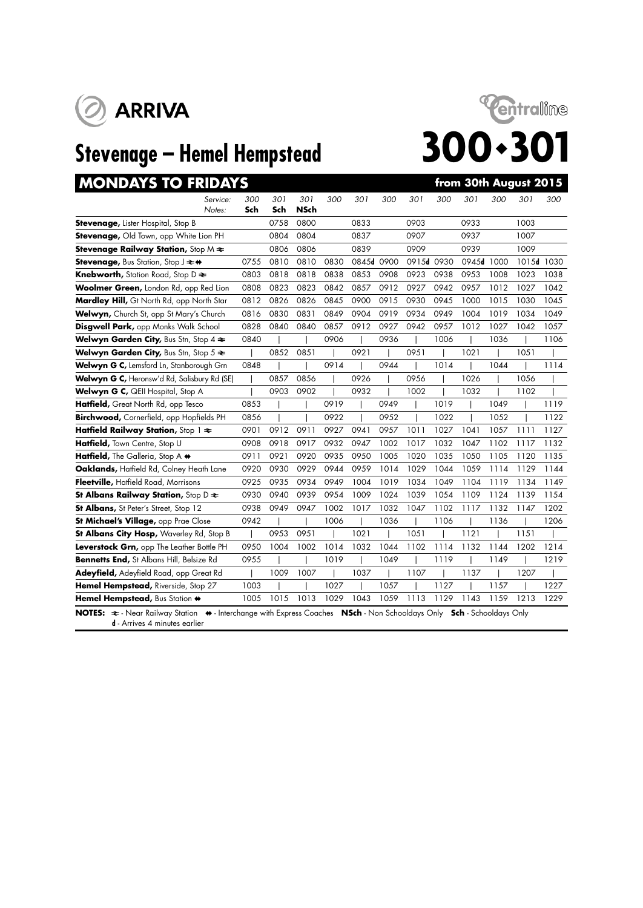



| <b>MONDAYS TO FRIDAYS</b>                                                                                                                                                   |            |            |             |      |            |      |            |      |            |      | from 30th August 2015 |      |
|-----------------------------------------------------------------------------------------------------------------------------------------------------------------------------|------------|------------|-------------|------|------------|------|------------|------|------------|------|-----------------------|------|
| Service:<br>Notes:                                                                                                                                                          | 300<br>Sch | 301<br>Sch | 301<br>NSch | 300  | 301        | 300  | 301        | 300  | 301        | 300  | 301                   | 300  |
| Stevenage, Lister Hospital, Stop B                                                                                                                                          |            | 0758       | 0800        |      | 0833       |      | 0903       |      | 0933       |      | 1003                  |      |
| Stevenage, Old Town, opp White Lion PH                                                                                                                                      |            | 0804       | 0804        |      | 0837       |      | 0907       |      | 0937       |      | 1007                  |      |
| <b>Stevenage Railway Station, Stop M <math>\neq</math></b>                                                                                                                  |            | 0806       | 0806        |      | 0839       |      | 0909       |      | 0939       |      | 1009                  |      |
| Stevenage, Bus Station, Stop J $\rightleftharpoons$ +                                                                                                                       | 0755       | 0810       | 0810        | 0830 | 0845d 0900 |      | 0915d 0930 |      | 0945d 1000 |      | 1015d 1030            |      |
| Knebworth, Station Road, Stop D $\Leftarrow$                                                                                                                                | 0803       | 0818       | 0818        | 0838 | 0853       | 0908 | 0923       | 0938 | 0953       | 1008 | 1023                  | 1038 |
| Woolmer Green, London Rd, opp Red Lion                                                                                                                                      | 0808       | 0823       | 0823        | 0842 | 0857       | 0912 | 0927       | 0942 | 0957       | 1012 | 1027                  | 1042 |
| Mardley Hill, Gt North Rd, opp North Star                                                                                                                                   | 0812       | 0826       | 0826        | 0845 | 0900       | 0915 | 0930       | 0945 | 1000       | 1015 | 1030                  | 1045 |
| Welwyn, Church St, opp St Mary's Church                                                                                                                                     | 0816       | 0830       | 0831        | 0849 | 0904       | 0919 | 0934       | 0949 | 1004       | 1019 | 1034                  | 1049 |
| Disgwell Park, opp Monks Walk School                                                                                                                                        | 0828       | 0840       | 0840        | 0857 | 0912       | 0927 | 0942       | 0957 | 1012       | 1027 | 1042                  | 1057 |
| Welwyn Garden City, Bus Stn, Stop 4 $\Leftarrow$                                                                                                                            | 0840       |            |             | 0906 |            | 0936 |            | 1006 |            | 1036 |                       | 1106 |
| <b>Welwyn Garden City, Bus Stn, Stop 5 <math>\approx</math></b>                                                                                                             |            | 0852       | 0851        |      | 0921       |      | 0951       |      | 1021       |      | 1051                  |      |
| Welwyn G C, Lemsford Ln, Stanborough Grn                                                                                                                                    | 0848       |            |             | 0914 |            | 0944 |            | 1014 |            | 1044 |                       | 1114 |
| Welwyn G C, Heronsw'd Rd, Salisbury Rd (SE)                                                                                                                                 |            | 0857       | 0856        |      | 0926       |      | 0956       |      | 1026       |      | 1056                  |      |
| Welwyn G C, QEII Hospital, Stop A                                                                                                                                           |            | 0903       | 0902        |      | 0932       |      | 1002       |      | 1032       |      | 1102                  |      |
| Hatfield, Great North Rd, opp Tesco                                                                                                                                         | 0853       |            |             | 0919 |            | 0949 |            | 1019 |            | 1049 |                       | 1119 |
| Birchwood, Cornerfield, opp Hopfields PH                                                                                                                                    | 0856       |            |             | 0922 |            | 0952 |            | 1022 |            | 1052 |                       | 1122 |
| Hatfield Railway Station, Stop $1 \approx$                                                                                                                                  | 0901       | 0912       | 0911        | 0927 | 0941       | 0957 | 1011       | 1027 | 1041       | 1057 | 1111                  | 1127 |
| Hatfield, Town Centre, Stop U                                                                                                                                               | 0908       | 0918       | 0917        | 0932 | 0947       | 1002 | 1017       | 1032 | 1047       | 1102 | 1117                  | 1132 |
| Hatfield, The Galleria, Stop A +                                                                                                                                            | 0911       | 0921       | 0920        | 0935 | 0950       | 1005 | 1020       | 1035 | 1050       | 1105 | 1120                  | 1135 |
| Oaklands, Haffield Rd, Colney Heath Lane                                                                                                                                    | 0920       | 0930       | 0929        | 0944 | 0959       | 1014 | 1029       | 1044 | 1059       | 1114 | 1129                  | 1144 |
| Fleetville, Hatfield Road, Morrisons                                                                                                                                        | 0925       | 0935       | 0934        | 0949 | 1004       | 1019 | 1034       | 1049 | 1104       | 1119 | 1134                  | 1149 |
| St Albans Railway Station, Stop D $\approx$                                                                                                                                 | 0930       | 0940       | 0939        | 0954 | 1009       | 1024 | 1039       | 1054 | 1109       | 1124 | 1139                  | 1154 |
| <b>St Albans, St Peter's Street, Stop 12</b>                                                                                                                                | 0938       | 0949       | 0947        | 1002 | 1017       | 1032 | 1047       | 1102 | 1117       | 1132 | 1147                  | 1202 |
| St Michael's Village, opp Prae Close                                                                                                                                        | 0942       |            |             | 1006 |            | 1036 |            | 1106 |            | 1136 |                       | 1206 |
| St Albans City Hosp, Waverley Rd, Stop B                                                                                                                                    |            | 0953       | 0951        |      | 1021       |      | 1051       |      | 1121       |      | 1151                  |      |
| Leverstock Grn, opp The Leather Bottle PH                                                                                                                                   | 0950       | 1004       | 1002        | 1014 | 1032       | 1044 | 1102       | 1114 | 1132       | 1144 | 1202                  | 1214 |
| Bennetts End, St Albans Hill, Belsize Rd                                                                                                                                    | 0955       |            |             | 1019 |            | 1049 |            | 1119 |            | 1149 |                       | 1219 |
| Adeyfield, Adeyfield Road, opp Great Rd                                                                                                                                     |            | 1009       | 1007        |      | 1037       |      | 1107       |      | 1137       |      | 1207                  |      |
| Hemel Hempstead, Riverside, Stop 27                                                                                                                                         | 1003       |            |             | 1027 |            | 1057 |            | 1127 |            | 1157 |                       | 1227 |
| Hemel Hempstead, Bus Station +                                                                                                                                              | 1005       | 1015       | 1013        | 1029 | 1043       | 1059 | 1113       | 1129 | 1143       | 1159 | 1213                  | 1229 |
| NOTES: $\Rightarrow$ - Near Railway Station (+ - Interchange with Express Coaches (NSch - Non Schooldays Only Sch - Schooldays Only<br><b>d</b> - Arrives 4 minutes earlier |            |            |             |      |            |      |            |      |            |      |                       |      |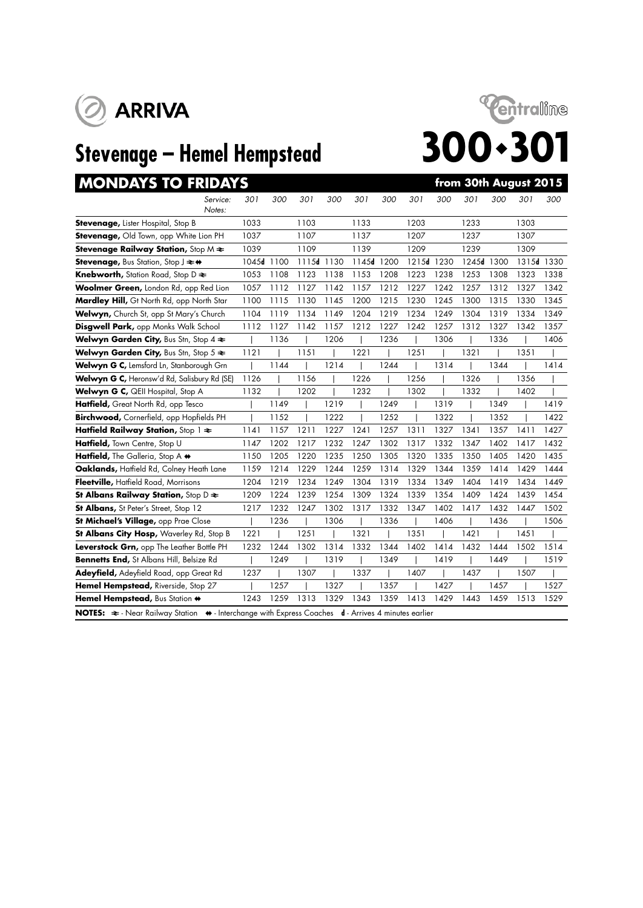



# **MONDAYS TO FRIDAYS** *from 30th August 2015*

| Service:<br>Notes:                                                                                                             | 301   | 300  | 301        | 300  | 301   | 300  | 301   | 300  | 301   | 300  | 301        | 300  |
|--------------------------------------------------------------------------------------------------------------------------------|-------|------|------------|------|-------|------|-------|------|-------|------|------------|------|
| <b>Stevenage, Lister Hospital, Stop B</b>                                                                                      | 1033  |      | 1103       |      | 1133  |      | 1203  |      | 1233  |      | 1303       |      |
| <b>Stevenage, Old Town, opp White Lion PH</b>                                                                                  | 1037  |      | 1107       |      | 1137  |      | 1207  |      | 1237  |      | 1307       |      |
| <b>Stevenage Railway Station, Stop M <math>\neq</math></b>                                                                     | 1039  |      | 1109       |      | 1139  |      | 1209  |      | 1239  |      | 1309       |      |
| <b>Stevenage, Bus Station, Stop J <math>\rightleftarrows</math> +</b>                                                          | 1045d | 1100 | 1115d 1130 |      | 1145d | 1200 | 1215d | 1230 | 1245d | 1300 | 1315d 1330 |      |
| Knebworth, Station Road, Stop D $\Leftarrow$                                                                                   | 1053  | 1108 | 1123       | 1138 | 1153  | 1208 | 1223  | 1238 | 1253  | 1308 | 1323       | 1338 |
| Woolmer Green, London Rd, opp Red Lion                                                                                         | 1057  | 1112 | 1127       | 1142 | 1157  | 1212 | 1227  | 1242 | 1257  | 1312 | 1327       | 1342 |
| Mardley Hill, Gt North Rd, opp North Star                                                                                      | 1100  | 1115 | 1130       | 1145 | 1200  | 1215 | 1230  | 1245 | 1300  | 1315 | 1330       | 1345 |
| Welwyn, Church St, opp St Mary's Church                                                                                        | 1104  | 1119 | 1134       | 1149 | 1204  | 1219 | 1234  | 1249 | 1304  | 1319 | 1334       | 1349 |
| <b>Disgwell Park, opp Monks Walk School</b>                                                                                    | 1112  | 1127 | 1142       | 1157 | 1212  | 1227 | 1242  | 1257 | 1312  | 1327 | 1342       | 1357 |
| Welwyn Garden City, Bus Stn, Stop 4 $\Leftarrow$                                                                               |       | 1136 |            | 1206 |       | 1236 |       | 1306 |       | 1336 |            | 1406 |
| Welwyn Garden City, Bus Stn, Stop 5 $\Leftarrow$                                                                               | 1121  |      | 1151       |      | 1221  |      | 1251  |      | 1321  |      | 1351       |      |
| Welwyn G C, Lemsford Ln, Stanborough Grn                                                                                       |       | 1144 |            | 1214 |       | 1244 |       | 1314 |       | 1344 |            | 1414 |
| Welwyn G C, Heronsw'd Rd, Salisbury Rd (SE)                                                                                    | 1126  |      | 1156       |      | 1226  |      | 1256  |      | 1326  |      | 1356       |      |
| Welwyn G C, QEII Hospital, Stop A                                                                                              | 1132  |      | 1202       |      | 1232  |      | 1302  |      | 1332  |      | 1402       |      |
| Hatfield, Great North Rd, opp Tesco                                                                                            |       | 1149 |            | 1219 |       | 1249 |       | 1319 |       | 1349 |            | 1419 |
| Birchwood, Cornerfield, opp Hopfields PH                                                                                       |       | 1152 |            | 1222 |       | 1252 |       | 1322 |       | 1352 |            | 1422 |
| Hatfield Railway Station, Stop $1 \approx$                                                                                     | 1141  | 1157 | 1211       | 1227 | 1241  | 1257 | 1311  | 1327 | 1341  | 1357 | 1411       | 1427 |
| Hatfield, Town Centre, Stop U                                                                                                  | 1147  | 1202 | 1217       | 1232 | 1247  | 1302 | 1317  | 1332 | 1347  | 1402 | 1417       | 1432 |
| Hatfield, The Galleria, Stop A +                                                                                               | 1150  | 1205 | 1220       | 1235 | 1250  | 1305 | 1320  | 1335 | 1350  | 1405 | 1420       | 1435 |
| Oaklands, Hatfield Rd, Colney Heath Lane                                                                                       | 1159  | 1214 | 1229       | 1244 | 1259  | 1314 | 1329  | 1344 | 1359  | 1414 | 1429       | 1444 |
| Fleetville, Hatfield Road, Morrisons                                                                                           | 1204  | 1219 | 1234       | 1249 | 1304  | 1319 | 1334  | 1349 | 1404  | 1419 | 1434       | 1449 |
| St Albans Railway Station, Stop $D \rightleftarrows$                                                                           | 1209  | 1224 | 1239       | 1254 | 1309  | 1324 | 1339  | 1354 | 1409  | 1424 | 1439       | 1454 |
| St Albans, St Peter's Street, Stop 12                                                                                          | 1217  | 1232 | 1247       | 1302 | 1317  | 1332 | 1347  | 1402 | 1417  | 1432 | 1447       | 1502 |
| St Michael's Village, opp Prae Close                                                                                           |       | 1236 |            | 1306 |       | 1336 |       | 1406 |       | 1436 |            | 1506 |
| St Albans City Hosp, Waverley Rd, Stop B                                                                                       | 1221  |      | 1251       |      | 1321  |      | 1351  |      | 1421  |      | 1451       |      |
| Leverstock Grn, opp The Leather Bottle PH                                                                                      | 1232  | 1244 | 1302       | 1314 | 1332  | 1344 | 1402  | 1414 | 1432  | 1444 | 1502       | 1514 |
| Bennetts End, St Albans Hill, Belsize Rd                                                                                       |       | 1249 |            | 1319 |       | 1349 |       | 1419 |       | 1449 |            | 1519 |
| Adeyfield, Adeyfield Road, opp Great Rd                                                                                        | 1237  |      | 1307       |      | 1337  |      | 1407  |      | 1437  |      | 1507       |      |
| Hemel Hempstead, Riverside, Stop 27                                                                                            |       | 1257 |            | 1327 |       | 1357 |       | 1427 |       | 1457 |            | 1527 |
| Hemel Hempstead, Bus Station +                                                                                                 | 1243  | 1259 | 1313       | 1329 | 1343  | 1359 | 1413  | 1429 | 1443  | 1459 | 1513       | 1529 |
| NOTES: $\Rightarrow$ - Near Railway Station $\leftrightarrow$ - Interchange with Express Coaches d - Arrives 4 minutes earlier |       |      |            |      |       |      |       |      |       |      |            |      |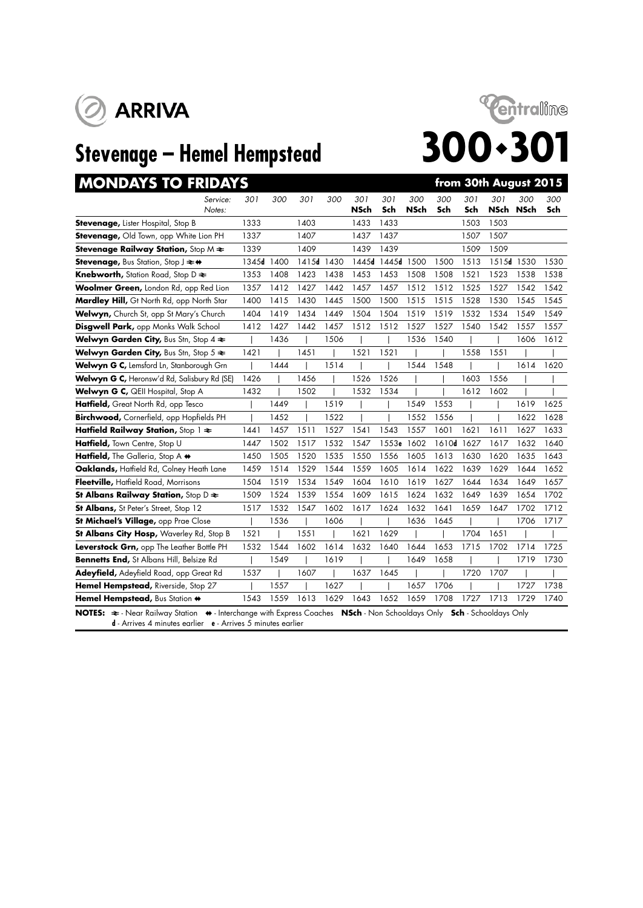





| <b>MONDAYS TO FRIDAYS</b>                                                                                                                                                                                             |            |      |       |      |             |            |             |            |            | from 30th August 2015 |      |            |
|-----------------------------------------------------------------------------------------------------------------------------------------------------------------------------------------------------------------------|------------|------|-------|------|-------------|------------|-------------|------------|------------|-----------------------|------|------------|
| Service:<br>Notes:                                                                                                                                                                                                    | 301        | 300  | 301   | 300  | 301<br>NSch | 301<br>Sch | 300<br>NSch | 300<br>Sch | 301<br>Sch | 301<br>NSch NSch      | 300  | 300<br>Sch |
| Stevenage, Lister Hospital, Stop B                                                                                                                                                                                    | 1333       |      | 1403  |      | 1433        | 1433       |             |            | 1503       | 1503                  |      |            |
| Stevenage, Old Town, opp White Lion PH                                                                                                                                                                                | 1337       |      | 1407  |      | 1437        | 1437       |             |            | 1507       | 1507                  |      |            |
| <b>Stevenage Railway Station, Stop M <math>\neq</math></b>                                                                                                                                                            | 1339       |      | 1409  |      | 1439        | 1439       |             |            | 1509       | 1509                  |      |            |
| <b>Stevenage, Bus Station, Stop J <math>\rightleftarrows \biguplus</math></b>                                                                                                                                         | 1345d 1400 |      | 1415d | 1430 | 1445d       | 1445d 1500 |             | 1500       | 1513       | 1515d 1530            |      | 1530       |
| <b>Knebworth, Station Road, Stop D <math>\geq</math></b>                                                                                                                                                              | 1353       | 1408 | 1423  | 1438 | 1453        | 1453       | 1508        | 1508       | 1521       | 1523                  | 1538 | 1538       |
| Woolmer Green, London Rd, opp Red Lion                                                                                                                                                                                | 1357       | 1412 | 1427  | 1442 | 1457        | 1457       | 1512        | 1512       | 1525       | 1527                  | 1542 | 1542       |
| Mardley Hill, Gt North Rd, opp North Star                                                                                                                                                                             | 1400       | 1415 | 1430  | 1445 | 1500        | 1500       | 1515        | 1515       | 1528       | 1530                  | 1545 | 1545       |
| Welwyn, Church St, opp St Mary's Church                                                                                                                                                                               | 1404       | 1419 | 1434  | 1449 | 1504        | 1504       | 1519        | 1519       | 1532       | 1534                  | 1549 | 1549       |
| <b>Disgwell Park, opp Monks Walk School</b>                                                                                                                                                                           | 1412       | 1427 | 1442  | 1457 | 1512        | 1512       | 1527        | 1527       | 1540       | 1542                  | 1557 | 1557       |
| Welwyn Garden City, Bus Stn, Stop 4 $\Leftarrow$                                                                                                                                                                      |            | 1436 |       | 1506 |             |            | 1536        | 1540       |            |                       | 1606 | 1612       |
| <b>Welwyn Garden City, Bus Stn, Stop 5 <math>\approx</math></b>                                                                                                                                                       | 1421       |      | 1451  |      | 1521        | 1521       |             |            | 1558       | 1551                  |      |            |
| Welwyn G C, Lemsford Ln, Stanborough Grn                                                                                                                                                                              |            | 1444 |       | 1514 |             |            | 1544        | 1548       |            |                       | 1614 | 1620       |
| Welwyn G C, Heronsw'd Rd, Salisbury Rd (SE)                                                                                                                                                                           | 1426       |      | 1456  |      | 1526        | 1526       |             |            | 1603       | 1556                  |      |            |
| Welwyn G C, QEII Hospital, Stop A                                                                                                                                                                                     | 1432       |      | 1502  |      | 1532        | 1534       |             |            | 1612       | 1602                  |      |            |
| Hatfield, Great North Rd, opp Tesco                                                                                                                                                                                   |            | 1449 |       | 1519 |             |            | 1549        | 1553       |            |                       | 1619 | 1625       |
| Birchwood, Cornerfield, opp Hopfields PH                                                                                                                                                                              |            | 1452 |       | 1522 |             |            | 1552        | 1556       |            |                       | 1622 | 1628       |
| Hatfield Railway Station, Stop $1 \approx$                                                                                                                                                                            | 1441       | 1457 | 1511  | 1527 | 1541        | 1543       | 1557        | 1601       | 1621       | 1611                  | 1627 | 1633       |
| Hatfield, Town Centre, Stop U                                                                                                                                                                                         | 1447       | 1502 | 1517  | 1532 | 1547        | 1553e      | 1602        | 1610d      | 1627       | 1617                  | 1632 | 1640       |
| Hatfield, The Galleria, Stop A +                                                                                                                                                                                      | 1450       | 1505 | 1520  | 1535 | 1550        | 1556       | 1605        | 1613       | 1630       | 1620                  | 1635 | 1643       |
| Oaklands, Haffield Rd, Colney Heath Lane                                                                                                                                                                              | 1459       | 1514 | 1529  | 1544 | 1559        | 1605       | 1614        | 1622       | 1639       | 1629                  | 1644 | 1652       |
| Fleetville, Hatfield Road, Morrisons                                                                                                                                                                                  | 1504       | 1519 | 1534  | 1549 | 1604        | 1610       | 1619        | 1627       | 1644       | 1634                  | 1649 | 1657       |
| St Albans Railway Station, Stop D $\approx$                                                                                                                                                                           | 1509       | 1524 | 1539  | 1554 | 1609        | 1615       | 1624        | 1632       | 1649       | 1639                  | 1654 | 1702       |
| <b>St Albans, St Peter's Street, Stop 12</b>                                                                                                                                                                          | 1517       | 1532 | 1547  | 1602 | 1617        | 1624       | 1632        | 1641       | 1659       | 1647                  | 1702 | 1712       |
| St Michael's Village, opp Prae Close                                                                                                                                                                                  |            | 1536 |       | 1606 |             |            | 1636        | 1645       |            |                       | 1706 | 1717       |
| St Albans City Hosp, Waverley Rd, Stop B                                                                                                                                                                              | 1521       |      | 1551  |      | 1621        | 1629       |             |            | 1704       | 1651                  |      |            |
| Leverstock Grn, opp The Leather Bottle PH                                                                                                                                                                             | 1532       | 1544 | 1602  | 1614 | 1632        | 1640       | 1644        | 1653       | 1715       | 1702                  | 1714 | 1725       |
| Bennetts End, St Albans Hill, Belsize Rd                                                                                                                                                                              |            | 1549 |       | 1619 |             |            | 1649        | 1658       |            |                       | 1719 | 1730       |
| Adeyfield, Adeyfield Road, opp Great Rd                                                                                                                                                                               | 1537       |      | 1607  |      | 1637        | 1645       |             |            | 1720       | 1707                  |      |            |
| Hemel Hempstead, Riverside, Stop 27                                                                                                                                                                                   |            | 1557 |       | 1627 |             |            | 1657        | 1706       |            |                       | 1727 | 1738       |
| Hemel Hempstead, Bus Station +                                                                                                                                                                                        | 1543       | 1559 | 1613  | 1629 | 1643        | 1652       | 1659        | 1708       | 1727       | 1713                  | 1729 | 1740       |
| NOTES: $\Rightarrow$ - Near Railway Station  ighther change with Express Coaches  NSch - Non Schooldays Only Conly Sch - Schooldays Only<br><b>d</b> - Arrives 4 minutes earlier <b>e</b> - Arrives 5 minutes earlier |            |      |       |      |             |            |             |            |            |                       |      |            |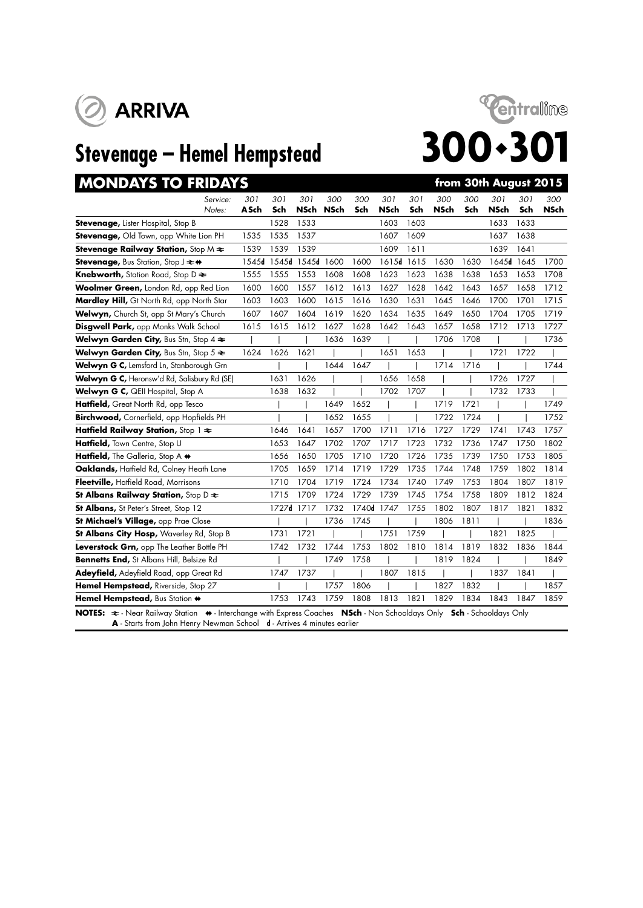



| <b>MONDAYS TO FRIDAYS</b>                                                                                                                                                                                               |                    |            |             |                    |            |                    |            |                    |            | from 30th August 2015 |            |                    |
|-------------------------------------------------------------------------------------------------------------------------------------------------------------------------------------------------------------------------|--------------------|------------|-------------|--------------------|------------|--------------------|------------|--------------------|------------|-----------------------|------------|--------------------|
| Service:<br>Notes:                                                                                                                                                                                                      | 301<br><b>ASch</b> | 301<br>Sch | 301<br>NSch | 300<br><b>NSch</b> | 300<br>Sch | 301<br><b>NSch</b> | 301<br>Sch | 300<br><b>NSch</b> | 300<br>Sch | 301<br><b>NSch</b>    | 301<br>Sch | 300<br><b>NSch</b> |
| Stevenage, Lister Hospital, Stop B                                                                                                                                                                                      |                    | 1528       | 1533        |                    |            | 1603               | 1603       |                    |            | 1633                  | 1633       |                    |
| Stevenage, Old Town, opp White Lion PH                                                                                                                                                                                  | 1535               | 1535       | 1537        |                    |            | 1607               | 1609       |                    |            | 1637                  | 1638       |                    |
| <b>Stevenage Railway Station, Stop M <math>\neq</math></b>                                                                                                                                                              | 1539               | 1539       | 1539        |                    |            | 1609               | 1611       |                    |            | 1639                  | 1641       |                    |
| Stevenage, Bus Station, Stop J $\rightleftarrows$ +                                                                                                                                                                     | 1545d              | 1545d      | 1545d 1600  |                    | 1600       | 1615d              | 1615       | 1630               | 1630       | 1645d 1645            |            | 1700               |
| <b>Knebworth, Station Road, Stop D <math>\geq</math></b>                                                                                                                                                                | 1555               | 1555       | 1553        | 1608               | 1608       | 1623               | 1623       | 1638               | 1638       | 1653                  | 1653       | 1708               |
| Woolmer Green, London Rd, opp Red Lion                                                                                                                                                                                  | 1600               | 1600       | 1557        | 1612               | 1613       | 1627               | 1628       | 1642               | 1643       | 1657                  | 1658       | 1712               |
| Mardley Hill, Gt North Rd, opp North Star                                                                                                                                                                               | 1603               | 1603       | 1600        | 1615               | 1616       | 1630               | 1631       | 1645               | 1646       | 1700                  | 1701       | 1715               |
| Welwyn, Church St, opp St Mary's Church                                                                                                                                                                                 | 1607               | 1607       | 1604        | 1619               | 1620       | 1634               | 1635       | 1649               | 1650       | 1704                  | 1705       | 1719               |
| <b>Disgwell Park, opp Monks Walk School</b>                                                                                                                                                                             | 1615               | 1615       | 1612        | 1627               | 1628       | 1642               | 1643       | 1657               | 1658       | 1712                  | 1713       | 1727               |
| <b>Welwyn Garden City, Bus Stn, Stop 4 <math>\approx</math></b>                                                                                                                                                         |                    |            |             | 1636               | 1639       |                    |            | 1706               | 1708       |                       |            | 1736               |
| Welwyn Garden City, Bus Stn, Stop 5 $\Leftarrow$                                                                                                                                                                        | 1624               | 1626       | 1621        |                    |            | 1651               | 1653       |                    |            | 1721                  | 1722       |                    |
| Welwyn G C, Lemsford Ln, Stanborough Grn                                                                                                                                                                                |                    |            |             | 1644               | 1647       |                    |            | 1714               | 1716       |                       |            | 1744               |
| Welwyn G C, Heronsw'd Rd, Salisbury Rd (SE)                                                                                                                                                                             |                    | 1631       | 1626        |                    |            | 1656               | 1658       |                    |            | 1726                  | 1727       |                    |
| Welwyn G C, QEII Hospital, Stop A                                                                                                                                                                                       |                    | 1638       | 1632        |                    |            | 1702               | 1707       |                    |            | 1732                  | 1733       |                    |
| Hatfield, Great North Rd, opp Tesco                                                                                                                                                                                     |                    |            |             | 1649               | 1652       |                    |            | 1719               | 1721       |                       |            | 1749               |
| Birchwood, Cornerfield, opp Hopfields PH                                                                                                                                                                                |                    |            |             | 1652               | 1655       |                    |            | 1722               | 1724       |                       |            | 1752               |
| Hatfield Railway Station, Stop 1 $\approx$                                                                                                                                                                              |                    | 1646       | 1641        | 1657               | 1700       | 1711               | 1716       | 1727               | 1729       | 1741                  | 1743       | 1757               |
| Hatfield, Town Centre, Stop U                                                                                                                                                                                           |                    | 1653       | 1647        | 1702               | 1707       | 1717               | 1723       | 1732               | 1736       | 1747                  | 1750       | 1802               |
| Hatfield, The Galleria, Stop A +                                                                                                                                                                                        |                    | 1656       | 1650        | 1705               | 1710       | 1720               | 1726       | 1735               | 1739       | 1750                  | 1753       | 1805               |
| Oaklands, Haffield Rd, Colney Heath Lane                                                                                                                                                                                |                    | 1705       | 1659        | 1714               | 1719       | 1729               | 1735       | 1744               | 1748       | 1759                  | 1802       | 1814               |
| Fleetville, Hatfield Road, Morrisons                                                                                                                                                                                    |                    | 1710       | 1704        | 1719               | 1724       | 1734               | 1740       | 1749               | 1753       | 1804                  | 1807       | 1819               |
| St Albans Railway Station, Stop $D \rightleftarrows$                                                                                                                                                                    |                    | 1715       | 1709        | 1724               | 1729       | 1739               | 1745       | 1754               | 1758       | 1809                  | 1812       | 1824               |
| <b>St Albans, St Peter's Street, Stop 12</b>                                                                                                                                                                            |                    | 1727d 1717 |             | 1732               | 1740d 1747 |                    | 1755       | 1802               | 1807       | 1817                  | 1821       | 1832               |
| St Michael's Village, opp Prae Close                                                                                                                                                                                    |                    |            |             | 1736               | 1745       |                    |            | 1806               | 1811       |                       |            | 1836               |
| St Albans City Hosp, Waverley Rd, Stop B                                                                                                                                                                                |                    | 1731       | 1721        |                    |            | 1751               | 1759       |                    |            | 1821                  | 1825       |                    |
| Leverstock Grn, opp The Leather Bottle PH                                                                                                                                                                               |                    | 1742       | 1732        | 1744               | 1753       | 1802               | 1810       | 1814               | 1819       | 1832                  | 1836       | 1844               |
| Bennetts End, St Albans Hill, Belsize Rd                                                                                                                                                                                |                    |            |             | 1749               | 1758       |                    |            | 1819               | 1824       |                       |            | 1849               |
| Adeyfield, Adeyfield Road, opp Great Rd                                                                                                                                                                                 |                    | 1747       | 1737        |                    |            | 1807               | 1815       |                    |            | 1837                  | 1841       |                    |
| Hemel Hempstead, Riverside, Stop 27                                                                                                                                                                                     |                    |            |             | 1757               | 1806       |                    |            | 1827               | 1832       |                       |            | 1857               |
| Hemel Hempstead, Bus Station +                                                                                                                                                                                          |                    | 1753       | 1743        | 1759               | 1808       | 1813               | 1821       | 1829               | 1834       | 1843                  | 1847       | 1859               |
| NOTES: $\Rightarrow$ - Near Railway Station $\leftrightarrow$ - Interchange with Express Coaches NSch - Non Schooldays Only Sch - Schooldays Only<br>A Starts from John Henry Newman School d Arrives A minutes earlier |                    |            |             |                    |            |                    |            |                    |            |                       |            |                    |

**A** arts from John Henry Newman School **d** - Arrives **4**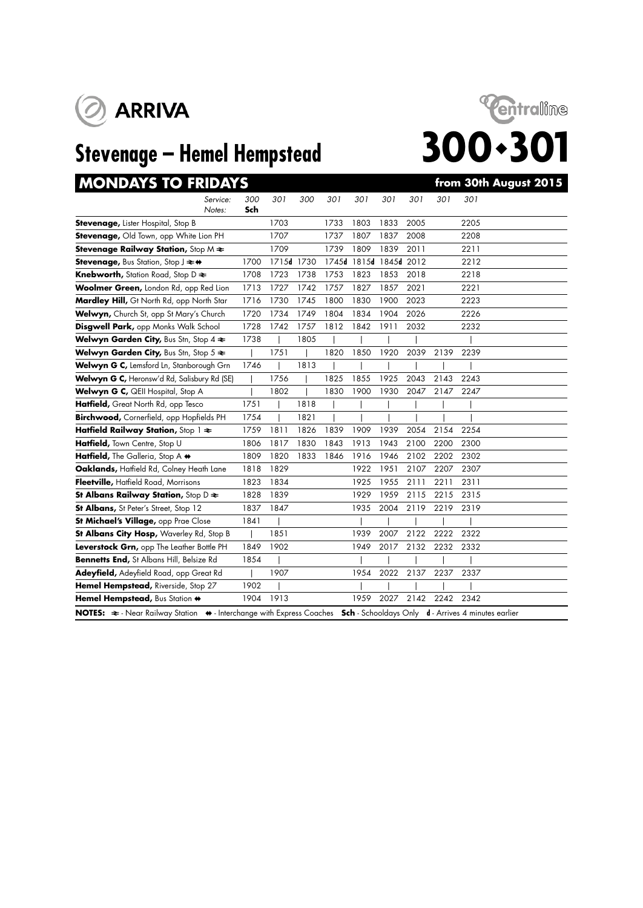





| <b>MONDAYS TO FRIDAYS</b>                                                                           |            |            |      |      |                        |      |      |      | from 30th August 2015                               |
|-----------------------------------------------------------------------------------------------------|------------|------------|------|------|------------------------|------|------|------|-----------------------------------------------------|
| Service:<br>Notes:                                                                                  | 300<br>Sch | 301        | 300  | 301  | 301                    | 301  | 301  | 301  | 301                                                 |
| Stevenage, Lister Hospital, Stop B                                                                  |            | 1703       |      | 1733 | 1803                   | 1833 | 2005 |      | 2205                                                |
| Stevenage, Old Town, opp White Lion PH                                                              |            | 1707       |      | 1737 | 1807                   | 1837 | 2008 |      | 2208                                                |
| Stevenage Railway Station, Stop $M \rightleftarrows$                                                |            | 1709       |      | 1739 | 1809                   | 1839 | 2011 |      | 2211                                                |
| <b>Stevenage, Bus Station, Stop J <math>\rightleftarrows</math> +</b>                               | 1700       | 1715d 1730 |      |      | 1745d 1815d 1845d 2012 |      |      |      | 2212                                                |
| Knebworth, Station Road, Stop D $\approx$                                                           | 1708       | 1723       | 1738 | 1753 | 1823                   | 1853 | 2018 |      | 2218                                                |
| Woolmer Green, London Rd, opp Red Lion                                                              | 1713       | 1727       | 1742 | 1757 | 1827                   | 1857 | 2021 |      | 2221                                                |
| Mardley Hill, Gt North Rd, opp North Star                                                           | 1716       | 1730       | 1745 | 1800 | 1830                   | 1900 | 2023 |      | 2223                                                |
| Welwyn, Church St, opp St Mary's Church                                                             | 1720       | 1734       | 1749 | 1804 | 1834                   | 1904 | 2026 |      | 2226                                                |
| Disgwell Park, opp Monks Walk School                                                                | 1728       | 1742       | 1757 | 1812 | 1842                   | 1911 | 2032 |      | 2232                                                |
| Welwyn Garden City, Bus Stn, Stop 4 $\Leftarrow$                                                    | 1738       |            | 1805 |      |                        |      |      |      |                                                     |
| Welwyn Garden City, Bus Stn, Stop 5 $\approx$                                                       |            | 1751       |      | 1820 | 1850                   | 1920 | 2039 | 2139 | 2239                                                |
| Welwyn G C, Lemsford Ln, Stanborough Grn                                                            | 1746       |            | 1813 |      |                        |      |      |      |                                                     |
| Welwyn G C, Heronsw'd Rd, Salisbury Rd (SE)                                                         |            | 1756       |      | 1825 | 1855                   | 1925 | 2043 | 2143 | 2243                                                |
| Welwyn G C, QEII Hospital, Stop A                                                                   |            | 1802       |      | 1830 | 1900                   | 1930 | 2047 | 2147 | 2247                                                |
| Hatfield, Great North Rd, opp Tesco                                                                 | 1751       |            | 1818 |      |                        |      |      |      |                                                     |
| Birchwood, Cornerfield, opp Hopfields PH                                                            | 1754       |            | 1821 |      |                        |      |      |      |                                                     |
| Hatfield Railway Station, Stop $1 \approx$                                                          | 1759       | 1811       | 1826 | 1839 | 1909                   | 1939 | 2054 | 2154 | 2254                                                |
| Hatfield, Town Centre, Stop U                                                                       | 1806       | 1817       | 1830 | 1843 | 1913                   | 1943 | 2100 | 2200 | 2300                                                |
| Hatfield, The Galleria, Stop A +                                                                    | 1809       | 1820       | 1833 | 1846 | 1916                   | 1946 | 2102 | 2202 | 2302                                                |
| Oaklands, Hatfield Rd, Colney Heath Lane                                                            | 1818       | 1829       |      |      | 1922                   | 1951 | 2107 | 2207 | 2307                                                |
| Fleetville, Hatfield Road, Morrisons                                                                | 1823       | 1834       |      |      | 1925                   | 1955 | 2111 | 2211 | 2311                                                |
| St Albans Railway Station, Stop D $\geq$                                                            | 1828       | 1839       |      |      | 1929                   | 1959 | 2115 | 2215 | 2315                                                |
| St Albans, St Peter's Street, Stop 12                                                               | 1837       | 1847       |      |      | 1935                   | 2004 | 2119 | 2219 | 2319                                                |
| St Michael's Village, opp Prae Close                                                                | 1841       |            |      |      |                        |      |      |      |                                                     |
| St Albans City Hosp, Waverley Rd, Stop B                                                            |            | 1851       |      |      | 1939                   | 2007 | 2122 | 2222 | 2322                                                |
| Leverstock Grn, opp The Leather Bottle PH                                                           | 1849       | 1902       |      |      | 1949                   | 2017 | 2132 | 2232 | 2332                                                |
| Bennetts End, St Albans Hill, Belsize Rd                                                            | 1854       |            |      |      |                        |      |      |      |                                                     |
| Adeyfield, Adeyfield Road, opp Great Rd                                                             |            | 1907       |      |      | 1954                   | 2022 | 2137 | 2237 | 2337                                                |
| Hemel Hempstead, Riverside, Stop 27                                                                 | 1902       |            |      |      |                        |      |      |      |                                                     |
| Hemel Hempstead, Bus Station +                                                                      | 1904       | 1913       |      |      | 1959                   | 2027 | 2142 | 2242 | 2342                                                |
| <b>NOTES:</b> $\approx$ - Near Railway Station $\leftrightarrow$ - Interchange with Express Coaches |            |            |      |      |                        |      |      |      | Sch - Schooldays Only d - Arrives 4 minutes earlier |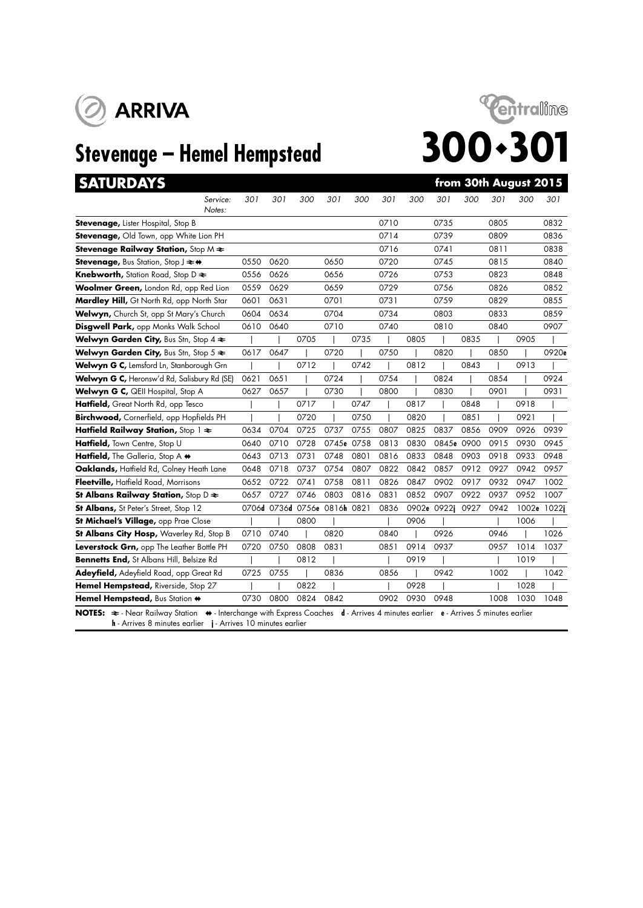

# **Stevenage – Hemel Hempstead 300 · 301**



**SATURDAYS from 30th August 2015**

|  | <b>SATURDAY!</b> |  |  |
|--|------------------|--|--|
|  |                  |  |  |

| TUMPAT                                                                                                                                                                                                                                     |      |                              |      |            |      |      |      |             |      |      |       |       |
|--------------------------------------------------------------------------------------------------------------------------------------------------------------------------------------------------------------------------------------------|------|------------------------------|------|------------|------|------|------|-------------|------|------|-------|-------|
| Service:<br>Notes:                                                                                                                                                                                                                         | 301  | 301                          | 300  | 301        | 300  | 301  | 300  | 301         | 300  | 301  | 300   | 301   |
| Stevenage, Lister Hospital, Stop B                                                                                                                                                                                                         |      |                              |      |            |      | 0710 |      | 0735        |      | 0805 |       | 0832  |
| Stevenage, Old Town, opp White Lion PH                                                                                                                                                                                                     |      |                              |      |            |      | 0714 |      | 0739        |      | 0809 |       | 0836  |
| Stevenage Railway Station, Stop $M \rightleftarrows$                                                                                                                                                                                       |      |                              |      |            |      | 0716 |      | 0741        |      | 0811 |       | 0838  |
| <b>Stevenage, Bus Station, Stop J <math>\rightleftarrows</math> +</b>                                                                                                                                                                      | 0550 | 0620                         |      | 0650       |      | 0720 |      | 0745        |      | 0815 |       | 0840  |
| <b>Knebworth, Station Road, Stop D <math>\geq</math></b>                                                                                                                                                                                   | 0556 | 0626                         |      | 0656       |      | 0726 |      | 0753        |      | 0823 |       | 0848  |
| Woolmer Green, London Rd, opp Red Lion                                                                                                                                                                                                     | 0559 | 0629                         |      | 0659       |      | 0729 |      | 0756        |      | 0826 |       | 0852  |
| Mardley Hill, Gt North Rd, opp North Star                                                                                                                                                                                                  | 0601 | 0631                         |      | 0701       |      | 0731 |      | 0759        |      | 0829 |       | 0855  |
| Welwyn, Church St, opp St Mary's Church                                                                                                                                                                                                    | 0604 | 0634                         |      | 0704       |      | 0734 |      | 0803        |      | 0833 |       | 0859  |
| Disgwell Park, opp Monks Walk School                                                                                                                                                                                                       | 0610 | 0640                         |      | 0710       |      | 0740 |      | 0810        |      | 0840 |       | 0907  |
| Welwyn Garden City, Bus Stn, Stop $4 \geq$                                                                                                                                                                                                 |      |                              | 0705 |            | 0735 |      | 0805 |             | 0835 |      | 0905  |       |
| Welwyn Garden City, Bus Stn, Stop $5 \approx$                                                                                                                                                                                              | 0617 | 0647                         |      | 0720       |      | 0750 |      | 0820        |      | 0850 |       | 0920e |
| Welwyn G C, Lemsford Ln, Stanborough Grn                                                                                                                                                                                                   |      |                              | 0712 |            | 0742 |      | 0812 |             | 0843 |      | 0913  |       |
| Welwyn G C, Heronsw'd Rd, Salisbury Rd (SE)                                                                                                                                                                                                | 0621 | 0651                         |      | 0724       |      | 0754 |      | 0824        |      | 0854 |       | 0924  |
| Welwyn G C, QEII Hospital, Stop A                                                                                                                                                                                                          | 0627 | 0657                         |      | 0730       |      | 0800 |      | 0830        |      | 0901 |       | 0931  |
| Hatfield, Great North Rd, opp Tesco                                                                                                                                                                                                        |      |                              | 0717 |            | 0747 |      | 0817 |             | 0848 |      | 0918  |       |
| Birchwood, Cornerfield, opp Hopfields PH                                                                                                                                                                                                   |      |                              | 0720 |            | 0750 |      | 0820 |             | 0851 |      | 0921  |       |
| Hatfield Railway Station, Stop $1 \approx$                                                                                                                                                                                                 | 0634 | 0704                         | 0725 | 0737       | 0755 | 0807 | 0825 | 0837        | 0856 | 0909 | 0926  | 0939  |
| Hatfield, Town Centre, Stop U                                                                                                                                                                                                              | 0640 | 0710                         | 0728 | 0745e 0758 |      | 0813 | 0830 | 0845e       | 0900 | 0915 | 0930  | 0945  |
| Hatfield, The Galleria, Stop A +                                                                                                                                                                                                           | 0643 | 0713                         | 0731 | 0748       | 0801 | 0816 | 0833 | 0848        | 0903 | 0918 | 0933  | 0948  |
| Oaklands, Hatfield Rd, Colney Heath Lane                                                                                                                                                                                                   | 0648 | 0718                         | 0737 | 0754       | 0807 | 0822 | 0842 | 0857        | 0912 | 0927 | 0942  | 0957  |
| Fleetville, Hatfield Road, Morrisons                                                                                                                                                                                                       | 0652 | 0722                         | 0741 | 0758       | 0811 | 0826 | 0847 | 0902        | 0917 | 0932 | 0947  | 1002  |
| St Albans Railway Station, Stop D $\approx$                                                                                                                                                                                                | 0657 | 0727                         | 0746 | 0803       | 0816 | 0831 | 0852 | 0907        | 0922 | 0937 | 0952  | 1007  |
| St Albans, St Peter's Street, Stop 12                                                                                                                                                                                                      |      | 0706d 0736d 0756e 0816h 0821 |      |            |      | 0836 |      | 0902e 0922j | 0927 | 0942 | 1002e | 1022j |
| St Michael's Village, opp Prae Close                                                                                                                                                                                                       |      |                              | 0800 |            |      |      | 0906 |             |      |      | 1006  |       |
| St Albans City Hosp, Waverley Rd, Stop B                                                                                                                                                                                                   | 0710 | 0740                         |      | 0820       |      | 0840 |      | 0926        |      | 0946 |       | 1026  |
| Leverstock Grn, opp The Leather Bottle PH                                                                                                                                                                                                  | 0720 | 0750                         | 0808 | 0831       |      | 0851 | 0914 | 0937        |      | 0957 | 1014  | 1037  |
| <b>Bennetts End, St Albans Hill, Belsize Rd</b>                                                                                                                                                                                            |      |                              | 0812 |            |      |      | 0919 |             |      |      | 1019  |       |
| Adeyfield, Adeyfield Road, opp Great Rd                                                                                                                                                                                                    | 0725 | 0755                         |      | 0836       |      | 0856 |      | 0942        |      | 1002 |       | 1042  |
| Hemel Hempstead, Riverside, Stop 27                                                                                                                                                                                                        |      |                              | 0822 |            |      |      | 0928 |             |      |      | 1028  |       |
| Hemel Hempstead, Bus Station +                                                                                                                                                                                                             | 0730 | 0800                         | 0824 | 0842       |      | 0902 | 0930 | 0948        |      | 1008 | 1030  | 1048  |
| NOTES: $\Rightarrow$ - Near Railway Station $\leftrightarrow$ - Interchange with Express Coaches d - Arrives 4 minutes earlier e - Arrives 5 minutes earlier<br><b>h</b> - Arrives 8 minutes earlier <b>j</b> - Arrives 10 minutes earlier |      |                              |      |            |      |      |      |             |      |      |       |       |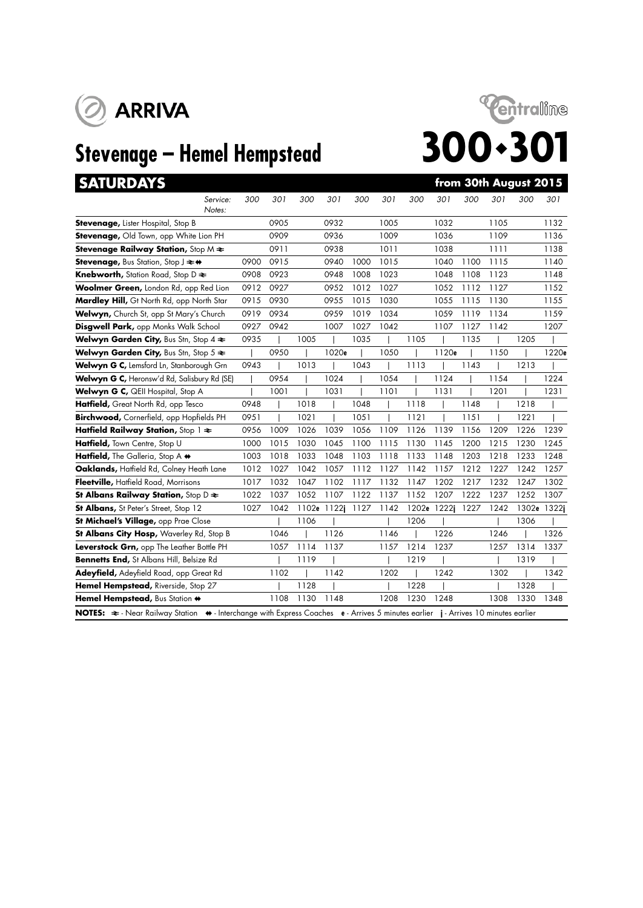



|  | SATURDAY |  | ۰ |
|--|----------|--|---|
|  |          |  |   |

| <b>SATURDAYS</b>                                                                                                                                          |      |      |      |             |      |      |      |             |      |      | from 30th August 2015 |             |
|-----------------------------------------------------------------------------------------------------------------------------------------------------------|------|------|------|-------------|------|------|------|-------------|------|------|-----------------------|-------------|
| Service:<br>Notes:                                                                                                                                        | 300  | 301  | 300  | 301         | 300  | 301  | 300  | 301         | 300  | 301  | 300                   | 301         |
| Stevenage, Lister Hospital, Stop B                                                                                                                        |      | 0905 |      | 0932        |      | 1005 |      | 1032        |      | 1105 |                       | 1132        |
| Stevenage, Old Town, opp White Lion PH                                                                                                                    |      | 0909 |      | 0936        |      | 1009 |      | 1036        |      | 1109 |                       | 1136        |
| Stevenage Railway Station, Stop $M \rightleftarrows$                                                                                                      |      | 0911 |      | 0938        |      | 1011 |      | 1038        |      | 1111 |                       | 1138        |
| <b>Stevenage, Bus Station, Stop J <math>\rightleftarrows</math> +</b>                                                                                     | 0900 | 0915 |      | 0940        | 1000 | 1015 |      | 1040        | 1100 | 1115 |                       | 1140        |
| <b>Knebworth, Station Road, Stop D <math>\geq</math></b>                                                                                                  | 0908 | 0923 |      | 0948        | 1008 | 1023 |      | 1048        | 1108 | 1123 |                       | 1148        |
| Woolmer Green, London Rd, opp Red Lion                                                                                                                    | 0912 | 0927 |      | 0952        | 1012 | 1027 |      | 1052        | 1112 | 1127 |                       | 1152        |
| Mardley Hill, Gt North Rd, opp North Star                                                                                                                 | 0915 | 0930 |      | 0955        | 1015 | 1030 |      | 1055        | 1115 | 1130 |                       | 1155        |
| Welwyn, Church St, opp St Mary's Church                                                                                                                   | 0919 | 0934 |      | 0959        | 1019 | 1034 |      | 1059        | 1119 | 1134 |                       | 1159        |
| Disgwell Park, opp Monks Walk School                                                                                                                      | 0927 | 0942 |      | 1007        | 1027 | 1042 |      | 1107        | 1127 | 1142 |                       | 1207        |
| Welwyn Garden City, Bus Stn, Stop $4 \geq$                                                                                                                | 0935 |      | 1005 |             | 1035 |      | 1105 |             | 1135 |      | 1205                  |             |
| Welwyn Garden City, Bus Stn, Stop $5 \approx$                                                                                                             |      | 0950 |      | 1020e       |      | 1050 |      | 1120e       |      | 1150 |                       | 1220e       |
| Welwyn G C, Lemsford Ln, Stanborough Grn                                                                                                                  | 0943 |      | 1013 |             | 1043 |      | 1113 |             | 1143 |      | 1213                  |             |
| Welwyn G C, Heronsw'd Rd, Salisbury Rd (SE)                                                                                                               |      | 0954 |      | 1024        |      | 1054 |      | 1124        |      | 1154 |                       | 1224        |
| Welwyn G C, QEII Hospital, Stop A                                                                                                                         |      | 1001 |      | 1031        |      | 1101 |      | 1131        |      | 1201 |                       | 1231        |
| Hatfield, Great North Rd, opp Tesco                                                                                                                       | 0948 |      | 1018 |             | 1048 |      | 1118 |             | 1148 |      | 1218                  |             |
| Birchwood, Cornerfield, opp Hopfields PH                                                                                                                  | 0951 |      | 1021 |             | 1051 |      | 1121 |             | 1151 |      | 1221                  |             |
| Hatfield Railway Station, Stop 1 $\approx$                                                                                                                | 0956 | 1009 | 1026 | 1039        | 1056 | 1109 | 1126 | 1139        | 1156 | 1209 | 1226                  | 1239        |
| Hatfield, Town Centre, Stop U                                                                                                                             | 1000 | 1015 | 1030 | 1045        | 1100 | 1115 | 1130 | 1145        | 1200 | 1215 | 1230                  | 1245        |
| Hatfield, The Galleria, Stop A +                                                                                                                          | 1003 | 1018 | 1033 | 1048        | 1103 | 1118 | 1133 | 1148        | 1203 | 1218 | 1233                  | 1248        |
| Oaklands, Haffield Rd, Colney Heath Lane                                                                                                                  | 1012 | 1027 | 1042 | 1057        | 1112 | 1127 | 1142 | 1157        | 1212 | 1227 | 1242                  | 1257        |
| Fleetville, Hatfield Road, Morrisons                                                                                                                      | 1017 | 1032 | 1047 | 1102        | 1117 | 1132 | 1147 | 1202        | 1217 | 1232 | 1247                  | 1302        |
| St Albans Railway Station, Stop $D \rightleftarrows$                                                                                                      | 1022 | 1037 | 1052 | 1107        | 1122 | 1137 | 1152 | 1207        | 1222 | 1237 | 1252                  | 1307        |
| St Albans, St Peter's Street, Stop 12                                                                                                                     | 1027 | 1042 |      | 1102e 1122j | 1127 | 1142 |      | 1202e 1222j | 1227 | 1242 |                       | 1302e 1322j |
| St Michael's Village, opp Prae Close                                                                                                                      |      |      | 1106 |             |      |      | 1206 |             |      |      | 1306                  |             |
| St Albans City Hosp, Waverley Rd, Stop B                                                                                                                  |      | 1046 |      | 1126        |      | 1146 |      | 1226        |      | 1246 |                       | 1326        |
| Leverstock Grn, opp The Leather Bottle PH                                                                                                                 |      | 1057 | 1114 | 1137        |      | 1157 | 1214 | 1237        |      | 1257 | 1314                  | 1337        |
| Bennetts End, St Albans Hill, Belsize Rd                                                                                                                  |      |      | 1119 |             |      |      | 1219 |             |      |      | 1319                  |             |
| Adeyfield, Adeyfield Road, opp Great Rd                                                                                                                   |      | 1102 |      | 1142        |      | 1202 |      | 1242        |      | 1302 |                       | 1342        |
| Hemel Hempstead, Riverside, Stop 27                                                                                                                       |      |      | 1128 |             |      |      | 1228 |             |      |      | 1328                  |             |
| Hemel Hempstead, Bus Station +                                                                                                                            |      | 1108 | 1130 | 1148        |      | 1208 | 1230 | 1248        |      | 1308 | 1330                  | 1348        |
| NOTES: $\Rightarrow$ Near Railway Station $\leftrightarrow$ Interchange with Express Coaches e - Arrives 5 minutes earlier j - Arrives 10 minutes earlier |      |      |      |             |      |      |      |             |      |      |                       |             |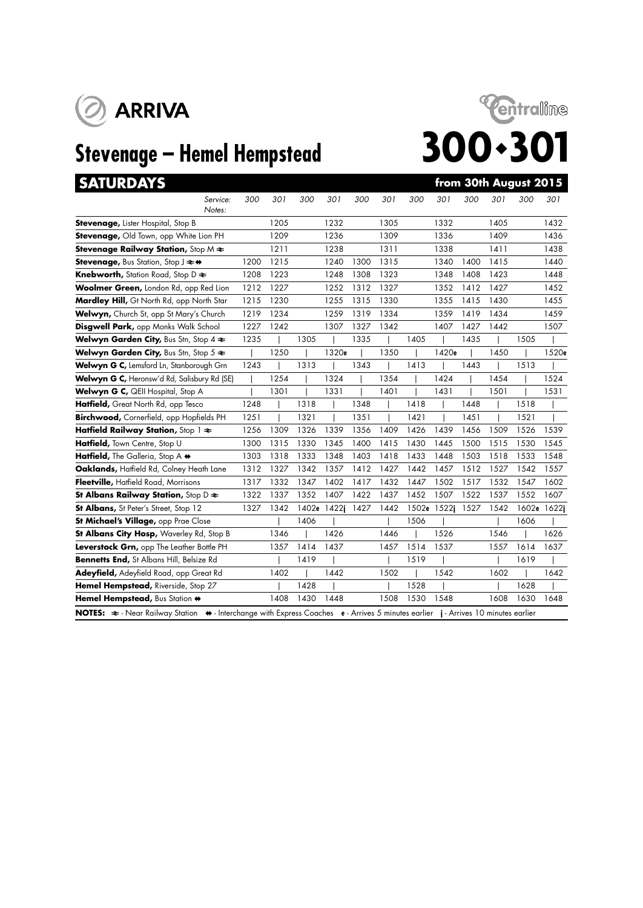



|  | SATURDAY |  | ۰ |
|--|----------|--|---|
|  |          |  |   |

| <b>SATURDAYS</b>                                                                                                                                              |      |      |      |             |      |      |       |       |      |      | from 30th August 2015 |             |
|---------------------------------------------------------------------------------------------------------------------------------------------------------------|------|------|------|-------------|------|------|-------|-------|------|------|-----------------------|-------------|
| Service:<br>Notes:                                                                                                                                            | 300  | 301  | 300  | 301         | 300  | 301  | 300   | 301   | 300  | 301  | 300                   | 301         |
| <b>Stevenage, Lister Hospital, Stop B</b>                                                                                                                     |      | 1205 |      | 1232        |      | 1305 |       | 1332  |      | 1405 |                       | 1432        |
| Stevenage, Old Town, opp White Lion PH                                                                                                                        |      | 1209 |      | 1236        |      | 1309 |       | 1336  |      | 1409 |                       | 1436        |
| Stevenage Railway Station, Stop M $\Leftarrow$                                                                                                                |      | 1211 |      | 1238        |      | 1311 |       | 1338  |      | 1411 |                       | 1438        |
| <b>Stevenage, Bus Station, Stop J <math>\rightleftarrows</math> +</b>                                                                                         | 1200 | 1215 |      | 1240        | 1300 | 1315 |       | 1340  | 1400 | 1415 |                       | 1440        |
| <b>Knebworth, Station Road, Stop D ≥</b>                                                                                                                      | 1208 | 1223 |      | 1248        | 1308 | 1323 |       | 1348  | 1408 | 1423 |                       | 1448        |
| Woolmer Green, London Rd, opp Red Lion                                                                                                                        | 1212 | 1227 |      | 1252        | 1312 | 1327 |       | 1352  | 1412 | 1427 |                       | 1452        |
| Mardley Hill, Gt North Rd, opp North Star                                                                                                                     | 1215 | 1230 |      | 1255        | 1315 | 1330 |       | 1355  | 1415 | 1430 |                       | 1455        |
| Welwyn, Church St, opp St Mary's Church                                                                                                                       | 1219 | 1234 |      | 1259        | 1319 | 1334 |       | 1359  | 1419 | 1434 |                       | 1459        |
| Disgwell Park, opp Monks Walk School                                                                                                                          | 1227 | 1242 |      | 1307        | 1327 | 1342 |       | 1407  | 1427 | 1442 |                       | 1507        |
| Welwyn Garden City, Bus Stn, Stop $4 \geq$                                                                                                                    | 1235 |      | 1305 |             | 1335 |      | 1405  |       | 1435 |      | 1505                  |             |
| <b>Welwyn Garden City, Bus Stn, Stop 5 <math>\approx</math></b>                                                                                               |      | 1250 |      | 1320e       |      | 1350 |       | 1420e |      | 1450 |                       | 1520e       |
| Welwyn G C, Lemsford Ln, Stanborough Grn                                                                                                                      | 1243 |      | 1313 |             | 1343 |      | 1413  |       | 1443 |      | 1513                  |             |
| Welwyn G C, Heronsw'd Rd, Salisbury Rd (SE)                                                                                                                   |      | 1254 |      | 1324        |      | 1354 |       | 1424  |      | 1454 |                       | 1524        |
| Welwyn G C, QEII Hospital, Stop A                                                                                                                             |      | 1301 |      | 1331        |      | 1401 |       | 1431  |      | 1501 |                       | 1531        |
| Hatfield, Great North Rd, opp Tesco                                                                                                                           | 1248 |      | 1318 |             | 1348 |      | 1418  |       | 1448 |      | 1518                  |             |
| Birchwood, Cornerfield, opp Hopfields PH                                                                                                                      | 1251 |      | 1321 |             | 1351 |      | 1421  |       | 1451 |      | 1521                  |             |
| Hatfield Railway Station, Stop 1 $\approx$                                                                                                                    | 1256 | 1309 | 1326 | 1339        | 1356 | 1409 | 1426  | 1439  | 1456 | 1509 | 1526                  | 1539        |
| Hatfield, Town Centre, Stop U                                                                                                                                 | 1300 | 1315 | 1330 | 1345        | 1400 | 1415 | 1430  | 1445  | 1500 | 1515 | 1530                  | 1545        |
| Hatfield, The Galleria, Stop A +                                                                                                                              | 1303 | 1318 | 1333 | 1348        | 1403 | 1418 | 1433  | 1448  | 1503 | 1518 | 1533                  | 1548        |
| Oaklands, Haffield Rd, Colney Heath Lane                                                                                                                      | 1312 | 1327 | 1342 | 1357        | 1412 | 1427 | 1442  | 1457  | 1512 | 1527 | 1542                  | 1557        |
| Fleetville, Hatfield Road, Morrisons                                                                                                                          | 1317 | 1332 | 1347 | 1402        | 1417 | 1432 | 1447  | 1502  | 1517 | 1532 | 1547                  | 1602        |
| St Albans Railway Station, Stop D $\approx$                                                                                                                   | 1322 | 1337 | 1352 | 1407        | 1422 | 1437 | 1452  | 1507  | 1522 | 1537 | 1552                  | 1607        |
| St Albans, St Peter's Street, Stop 12                                                                                                                         | 1327 | 1342 |      | 1402e 1422j | 1427 | 1442 | 1502e | 1522i | 1527 | 1542 |                       | 1602e 1622j |
| St Michael's Village, opp Prae Close                                                                                                                          |      |      | 1406 |             |      |      | 1506  |       |      |      | 1606                  |             |
| St Albans City Hosp, Waverley Rd, Stop B                                                                                                                      |      | 1346 |      | 1426        |      | 1446 |       | 1526  |      | 1546 |                       | 1626        |
| Leverstock Grn, opp The Leather Bottle PH                                                                                                                     |      | 1357 | 1414 | 1437        |      | 1457 | 1514  | 1537  |      | 1557 | 1614                  | 1637        |
| Bennetts End, St Albans Hill, Belsize Rd                                                                                                                      |      |      | 1419 |             |      |      | 1519  |       |      |      | 1619                  |             |
| Adeyfield, Adeyfield Road, opp Great Rd                                                                                                                       |      | 1402 |      | 1442        |      | 1502 |       | 1542  |      | 1602 |                       | 1642        |
| Hemel Hempstead, Riverside, Stop 27                                                                                                                           |      |      | 1428 |             |      |      | 1528  |       |      |      | 1628                  |             |
| Hemel Hempstead, Bus Station +                                                                                                                                |      | 1408 | 1430 | 1448        |      | 1508 | 1530  | 1548  |      | 1608 | 1630                  | 1648        |
| NOTES: $\Rightarrow$ - Near Railway Station $\leftrightarrow$ - Interchange with Express Coaches e - Arrives 5 minutes earlier j - Arrives 10 minutes earlier |      |      |      |             |      |      |       |       |      |      |                       |             |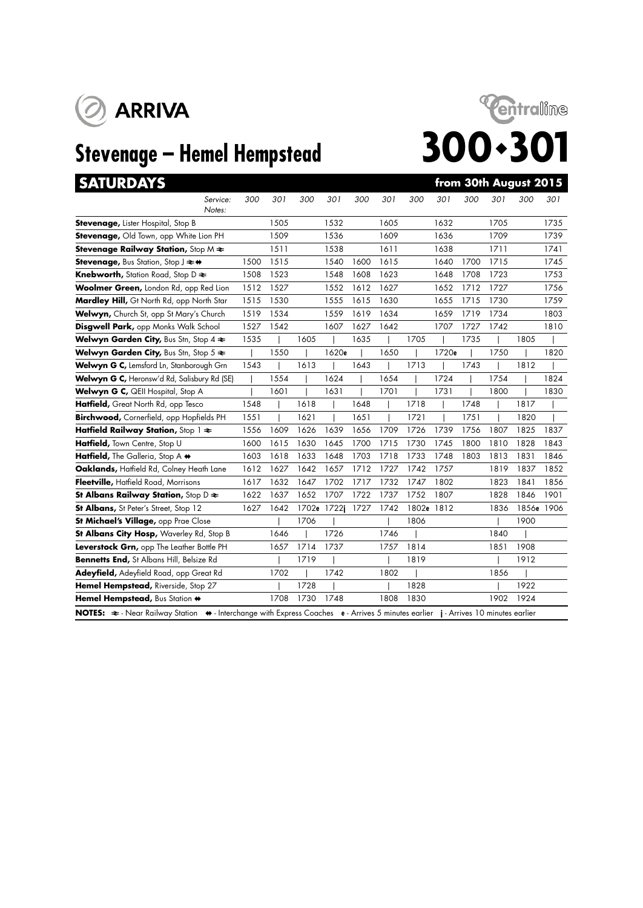

# **Stevenage – Hemel Hempstead**



|  | ATURDA` |  |
|--|---------|--|
|  |         |  |
|  |         |  |
|  |         |  |

| <b>SATURDAYS</b>                                                      |      |      |      |             |      |      |       |       |      |      | from 30th August 2015 |      |
|-----------------------------------------------------------------------|------|------|------|-------------|------|------|-------|-------|------|------|-----------------------|------|
| Service:<br>Notes:                                                    | 300  | 301  | 300  | 301         | 300  | 301  | 300   | 301   | 300  | 301  | 300                   | 301  |
| <b>Stevenage, Lister Hospital, Stop B</b>                             |      | 1505 |      | 1532        |      | 1605 |       | 1632  |      | 1705 |                       | 1735 |
| Stevenage, Old Town, opp White Lion PH                                |      | 1509 |      | 1536        |      | 1609 |       | 1636  |      | 1709 |                       | 1739 |
| Stevenage Railway Station, Stop M $\Leftarrow$                        |      | 1511 |      | 1538        |      | 1611 |       | 1638  |      | 1711 |                       | 1741 |
| <b>Stevenage, Bus Station, Stop J <math>\rightleftarrows</math> +</b> | 1500 | 1515 |      | 1540        | 1600 | 1615 |       | 1640  | 1700 | 1715 |                       | 1745 |
| <b>Knebworth, Station Road, Stop D <math>\geq</math></b>              | 1508 | 1523 |      | 1548        | 1608 | 1623 |       | 1648  | 1708 | 1723 |                       | 1753 |
| Woolmer Green, London Rd, opp Red Lion                                | 1512 | 1527 |      | 1552        | 1612 | 1627 |       | 1652  | 1712 | 1727 |                       | 1756 |
| Mardley Hill, Gt North Rd, opp North Star                             | 1515 | 1530 |      | 1555        | 1615 | 1630 |       | 1655  | 1715 | 1730 |                       | 1759 |
| Welwyn, Church St, opp St Mary's Church                               | 1519 | 1534 |      | 1559        | 1619 | 1634 |       | 1659  | 1719 | 1734 |                       | 1803 |
| <b>Disgwell Park, opp Monks Walk School</b>                           | 1527 | 1542 |      | 1607        | 1627 | 1642 |       | 1707  | 1727 | 1742 |                       | 1810 |
| Welwyn Garden City, Bus Stn, Stop $4 \geq$                            | 1535 |      | 1605 |             | 1635 |      | 1705  |       | 1735 |      | 1805                  |      |
| Welwyn Garden City, Bus Stn, Stop $5 \approx$                         |      | 1550 |      | 1620e       |      | 1650 |       | 1720e |      | 1750 |                       | 1820 |
| Welwyn G C, Lemsford Ln, Stanborough Grn                              | 1543 |      | 1613 |             | 1643 |      | 1713  |       | 1743 |      | 1812                  |      |
| Welwyn G C, Heronsw'd Rd, Salisbury Rd (SE)                           |      | 1554 |      | 1624        |      | 1654 |       | 1724  |      | 1754 |                       | 1824 |
| Welwyn G C, QEII Hospital, Stop A                                     |      | 1601 |      | 1631        |      | 1701 |       | 1731  |      | 1800 |                       | 1830 |
| Hatfield, Great North Rd, opp Tesco                                   | 1548 |      | 1618 |             | 1648 |      | 1718  |       | 1748 |      | 1817                  |      |
| Birchwood, Cornerfield, opp Hopfields PH                              | 1551 |      | 1621 |             | 1651 |      | 1721  |       | 1751 |      | 1820                  |      |
| Hatfield Railway Station, Stop $1 \approx$                            | 1556 | 1609 | 1626 | 1639        | 1656 | 1709 | 1726  | 1739  | 1756 | 1807 | 1825                  | 1837 |
| Hatfield, Town Centre, Stop U                                         | 1600 | 1615 | 1630 | 1645        | 1700 | 1715 | 1730  | 1745  | 1800 | 1810 | 1828                  | 1843 |
| Hatfield, The Galleria, Stop A $\leftrightarrow$                      | 1603 | 1618 | 1633 | 1648        | 1703 | 1718 | 1733  | 1748  | 1803 | 1813 | 1831                  | 1846 |
| Oaklands, Haffield Rd, Colney Heath Lane                              | 1612 | 1627 | 1642 | 1657        | 1712 | 1727 | 1742  | 1757  |      | 1819 | 1837                  | 1852 |
| Fleetville, Hatfield Road, Morrisons                                  | 1617 | 1632 | 1647 | 1702        | 1717 | 1732 | 1747  | 1802  |      | 1823 | 1841                  | 1856 |
| St Albans Railway Station, Stop $D \rightleftarrows$                  | 1622 | 1637 | 1652 | 1707        | 1722 | 1737 | 1752  | 1807  |      | 1828 | 1846                  | 1901 |
| <b>St Albans, St Peter's Street, Stop 12</b>                          | 1627 | 1642 |      | 1702e 1722j | 1727 | 1742 | 1802e | 1812  |      | 1836 | 1856e 1906            |      |
| St Michael's Village, opp Prae Close                                  |      |      | 1706 |             |      |      | 1806  |       |      |      | 1900                  |      |
| St Albans City Hosp, Waverley Rd, Stop B                              |      | 1646 |      | 1726        |      | 1746 |       |       |      | 1840 |                       |      |
| Leverstock Grn, opp The Leather Bottle PH                             |      | 1657 | 1714 | 1737        |      | 1757 | 1814  |       |      | 1851 | 1908                  |      |
| Bennetts End, St Albans Hill, Belsize Rd                              |      |      | 1719 |             |      |      | 1819  |       |      |      | 1912                  |      |
| Adeyfield, Adeyfield Road, opp Great Rd                               |      | 1702 |      | 1742        |      | 1802 |       |       |      | 1856 |                       |      |
| Hemel Hempstead, Riverside, Stop 27                                   |      |      | 1728 |             |      |      | 1828  |       |      |      | 1922                  |      |
| Hemel Hempstead, Bus Station +                                        |      | 1708 | 1730 | 1748        |      | 1808 | 1830  |       |      | 1902 | 1924                  |      |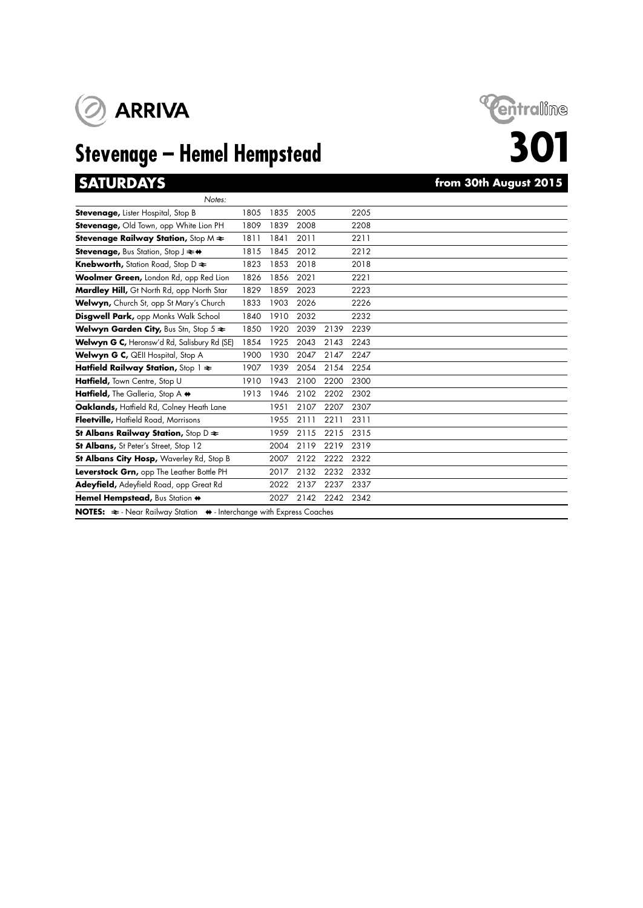

# **Stevenage – Hemel Hempstead**

Hemel Hempstead, Bus Station  $\leftrightarrow$  2027 2142 2242 2342

**NOTES:**  $\Rightarrow$  - Near Railway Station  $\leftrightarrow$  - Interchange with Express Coaches





# **301**<br>gust 2015

| <b>SATURDAYS</b>                                                      |      |      |      |      |      | from 30th August 2015 |
|-----------------------------------------------------------------------|------|------|------|------|------|-----------------------|
| Notes:                                                                |      |      |      |      |      |                       |
| Stevenage, Lister Hospital, Stop B                                    | 1805 | 1835 | 2005 |      | 2205 |                       |
| Stevenage, Old Town, opp White Lion PH                                | 1809 | 1839 | 2008 |      | 2208 |                       |
| Stevenage Railway Station, Stop $M \rightleftarrows$                  | 1811 | 1841 | 2011 |      | 2211 |                       |
| <b>Stevenage, Bus Station, Stop J <math>\rightleftarrows</math> +</b> | 1815 | 1845 | 2012 |      | 2212 |                       |
| <b>Knebworth, Station Road, Stop D <math>\geq</math></b>              | 1823 | 1853 | 2018 |      | 2018 |                       |
| Woolmer Green, London Rd, opp Red Lion                                | 1826 | 1856 | 2021 |      | 2221 |                       |
| Mardley Hill, Gt North Rd, opp North Star                             | 1829 | 1859 | 2023 |      | 2223 |                       |
| Welwyn, Church St, opp St Mary's Church                               | 1833 | 1903 | 2026 |      | 2226 |                       |
| Disgwell Park, opp Monks Walk School                                  | 1840 | 1910 | 2032 |      | 2232 |                       |
| Welwyn Garden City, Bus Stn, Stop $5 \approx$                         | 1850 | 1920 | 2039 | 2139 | 2239 |                       |
| Welwyn G C, Heronsw'd Rd, Salisbury Rd (SE)                           | 1854 | 1925 | 2043 | 2143 | 2243 |                       |
| Welwyn G C, QEII Hospital, Stop A                                     | 1900 | 1930 | 2047 | 2147 | 2247 |                       |
| Hatfield Railway Station, Stop $1 \geq$                               | 1907 | 1939 | 2054 | 2154 | 2254 |                       |
| Hatfield, Town Centre, Stop U                                         | 1910 | 1943 | 2100 | 2200 | 2300 |                       |
| Hatfield, The Galleria, Stop A +                                      | 1913 | 1946 | 2102 | 2202 | 2302 |                       |
| Oaklands, Haffield Rd, Colney Heath Lane                              |      | 1951 | 2107 | 2207 | 2307 |                       |
| Fleetville, Hatfield Road, Morrisons                                  |      | 1955 | 2111 | 2211 | 2311 |                       |
| St Albans Railway Station, Stop D $\approx$                           |      | 1959 | 2115 | 2215 | 2315 |                       |
| St Albans, St Peter's Street, Stop 12                                 |      | 2004 | 2119 | 2219 | 2319 |                       |
| St Albans City Hosp, Waverley Rd, Stop B                              |      | 2007 | 2122 | 2222 | 2322 |                       |
| Leverstock Grn, opp The Leather Bottle PH                             |      | 2017 | 2132 | 2232 | 2332 |                       |
| Adeyfield, Adeyfield Road, opp Great Rd                               |      | 2022 | 2137 | 2237 | 2337 |                       |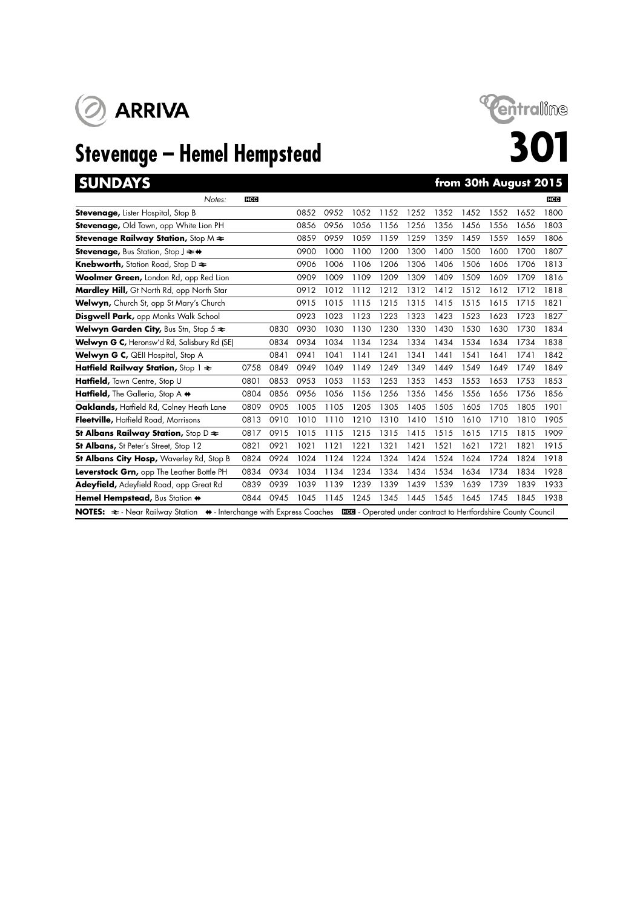

# **Stevenage – Hemel Hempstead**<br> **Stevenage – Hemel Hempstead**<br> **SO1**



| <b>SUNDAYS</b>                                                                                                                                             |            |      |      |      |      |      |      |      |      | from 30th August 2015 |      |            |
|------------------------------------------------------------------------------------------------------------------------------------------------------------|------------|------|------|------|------|------|------|------|------|-----------------------|------|------------|
| Notes:                                                                                                                                                     | <b>HCC</b> |      |      |      |      |      |      |      |      |                       |      | <b>HCC</b> |
| <b>Stevenage, Lister Hospital, Stop B</b>                                                                                                                  |            |      | 0852 | 0952 | 1052 | 1152 | 1252 | 1352 | 1452 | 1552                  | 1652 | 1800       |
| Stevenage, Old Town, opp White Lion PH                                                                                                                     |            |      | 0856 | 0956 | 1056 | 1156 | 1256 | 1356 | 1456 | 1556                  | 1656 | 1803       |
| Stevenage Railway Station, Stop $M \rightleftarrows$                                                                                                       |            |      | 0859 | 0959 | 1059 | 1159 | 1259 | 1359 | 1459 | 1559                  | 1659 | 1806       |
| <b>Stevenage, Bus Station, Stop J <math>\rightleftarrows</math> +</b>                                                                                      |            |      | 0900 | 1000 | 1100 | 1200 | 1300 | 1400 | 1500 | 1600                  | 1700 | 1807       |
| <b>Knebworth, Station Road, Stop D <math>\approx</math></b>                                                                                                |            |      | 0906 | 1006 | 1106 | 1206 | 1306 | 1406 | 1506 | 1606                  | 1706 | 1813       |
| Woolmer Green, London Rd, opp Red Lion                                                                                                                     |            |      | 0909 | 1009 | 1109 | 1209 | 1309 | 1409 | 1509 | 1609                  | 1709 | 1816       |
| Mardley Hill, Gt North Rd, opp North Star                                                                                                                  |            |      | 0912 | 1012 | 1112 | 1212 | 1312 | 1412 | 1512 | 1612                  | 1712 | 1818       |
| Welwyn, Church St, opp St Mary's Church                                                                                                                    |            |      | 0915 | 1015 | 1115 | 1215 | 1315 | 1415 | 1515 | 1615                  | 1715 | 1821       |
| <b>Disgwell Park, opp Monks Walk School</b>                                                                                                                |            |      | 0923 | 1023 | 1123 | 1223 | 1323 | 1423 | 1523 | 1623                  | 1723 | 1827       |
| <b>Welwyn Garden City, Bus Stn, Stop 5 <math>\approx</math></b>                                                                                            |            | 0830 | 0930 | 1030 | 1130 | 1230 | 1330 | 1430 | 1530 | 1630                  | 1730 | 1834       |
| Welwyn G C, Heronsw'd Rd, Salisbury Rd (SE)                                                                                                                |            | 0834 | 0934 | 1034 | 1134 | 1234 | 1334 | 1434 | 1534 | 1634                  | 1734 | 1838       |
| Welwyn G C, QEII Hospital, Stop A                                                                                                                          |            | 0841 | 0941 | 1041 | 1141 | 1241 | 1341 | 1441 | 1541 | 1641                  | 1741 | 1842       |
| Hatfield Railway Station, Stop $1 \approx$                                                                                                                 | 0758       | 0849 | 0949 | 1049 | 1149 | 1249 | 1349 | 1449 | 1549 | 1649                  | 1749 | 1849       |
| Hatfield, Town Centre, Stop U                                                                                                                              | 0801       | 0853 | 0953 | 1053 | 1153 | 1253 | 1353 | 1453 | 1553 | 1653                  | 1753 | 1853       |
| Hatfield, The Galleria, Stop A $\leftrightarrow$                                                                                                           | 0804       | 0856 | 0956 | 1056 | 1156 | 1256 | 1356 | 1456 | 1556 | 1656                  | 1756 | 1856       |
| Oaklands, Hatfield Rd, Colney Heath Lane                                                                                                                   | 0809       | 0905 | 1005 | 1105 | 1205 | 1305 | 1405 | 1505 | 1605 | 1705                  | 1805 | 1901       |
| Fleetville, Hatfield Road, Morrisons                                                                                                                       | 0813       | 0910 | 1010 | 1110 | 1210 | 1310 | 1410 | 1510 | 1610 | 1710                  | 1810 | 1905       |
| St Albans Railway Station, Stop D $\approx$                                                                                                                | 0817       | 0915 | 1015 | 1115 | 1215 | 1315 | 1415 | 1515 | 1615 | 1715                  | 1815 | 1909       |
| <b>St Albans, St Peter's Street, Stop 12</b>                                                                                                               | 0821       | 0921 | 1021 | 1121 | 1221 | 1321 | 1421 | 1521 | 1621 | 1721                  | 1821 | 1915       |
| St Albans City Hosp, Waverley Rd, Stop B                                                                                                                   | 0824       | 0924 | 1024 | 1124 | 1224 | 1324 | 1424 | 1524 | 1624 | 1724                  | 1824 | 1918       |
| Leverstock Grn, opp The Leather Bottle PH                                                                                                                  | 0834       | 0934 | 1034 | 1134 | 1234 | 1334 | 1434 | 1534 | 1634 | 1734                  | 1834 | 1928       |
| Adeyfield, Adeyfield Road, opp Great Rd                                                                                                                    | 0839       | 0939 | 1039 | 1139 | 1239 | 1339 | 1439 | 1539 | 1639 | 1739                  | 1839 | 1933       |
| Hemel Hempstead, Bus Station +                                                                                                                             | 0844       | 0945 | 1045 | 1145 | 1245 | 1345 | 1445 | 1545 | 1645 | 1745                  | 1845 | 1938       |
| NOTES: $\Rightarrow$ Near Railway Station $\leftrightarrow$ Interchange with Express Coaches ECO - Operated under contract to Hertfordshire County Council |            |      |      |      |      |      |      |      |      |                       |      |            |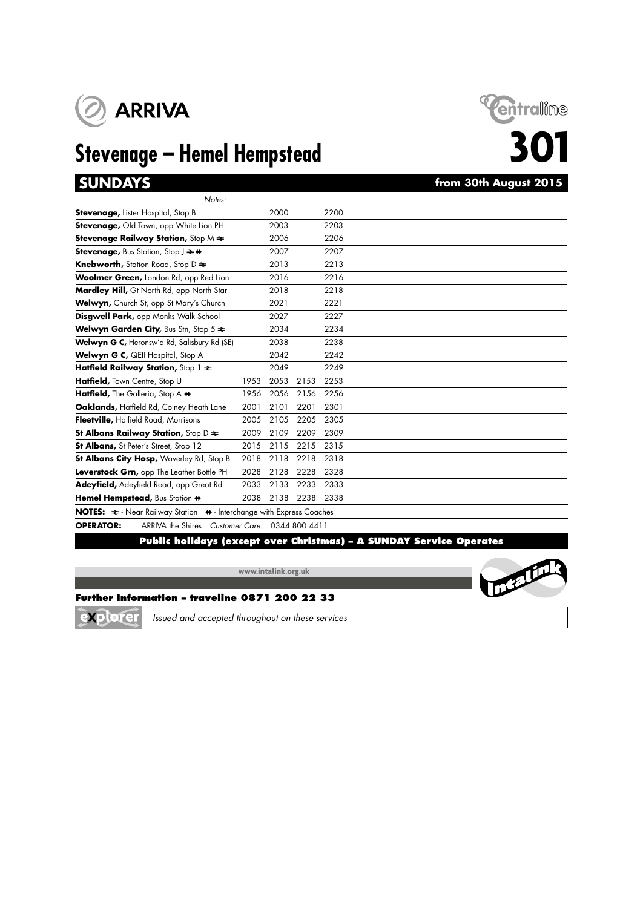

# **Stevenage – Hemel Hempstead 301**



## from 30th August 2015

| Notes:                                                                                       |      |      |      |      |  |
|----------------------------------------------------------------------------------------------|------|------|------|------|--|
| <b>Stevenage, Lister Hospital, Stop B</b>                                                    |      | 2000 |      | 2200 |  |
| Stevenage, Old Town, opp White Lion PH                                                       |      | 2003 |      | 2203 |  |
| <b>Stevenage Railway Station, Stop M <math>\neq</math></b>                                   |      | 2006 |      | 2206 |  |
| <b>Stevenage, Bus Station, Stop J <math>\rightleftarrows</math> ↔</b>                        |      | 2007 |      | 2207 |  |
| <b>Knebworth, Station Road, Stop D ≥</b>                                                     |      | 2013 |      | 2213 |  |
| Woolmer Green, London Rd, opp Red Lion                                                       |      | 2016 |      | 2216 |  |
| Mardley Hill, Gt North Rd, opp North Star                                                    |      | 2018 |      | 2218 |  |
| Welwyn, Church St, opp St Mary's Church                                                      |      | 2021 |      | 2221 |  |
| Disgwell Park, opp Monks Walk School                                                         |      | 2027 |      | 2227 |  |
| Welwyn Garden City, Bus Stn, Stop 5 $\approx$                                                |      | 2034 |      | 2234 |  |
| Welwyn G C, Heronsw'd Rd, Salisbury Rd (SE)                                                  |      | 2038 |      | 2238 |  |
| Welwyn G C, QEII Hospital, Stop A                                                            |      | 2042 |      | 2242 |  |
| Hatfield Railway Station, Stop $1 \approx$                                                   |      | 2049 |      | 2249 |  |
| Hatfield, Town Centre, Stop U                                                                | 1953 | 2053 | 2153 | 2253 |  |
| Hatfield, The Galleria, Stop A +                                                             | 1956 | 2056 | 2156 | 2256 |  |
| Oaklands, Haffield Rd, Colney Heath Lane                                                     | 2001 | 2101 | 2201 | 2301 |  |
| Fleetville, Hatfield Road, Morrisons                                                         | 2005 | 2105 | 2205 | 2305 |  |
| St Albans Railway Station, Stop $D \rightleftharpoons$                                       | 2009 | 2109 | 2209 | 2309 |  |
| St Albans, St Peter's Street, Stop 12                                                        | 2015 | 2115 | 2215 | 2315 |  |
| St Albans City Hosp, Waverley Rd, Stop B                                                     | 2018 | 2118 | 2218 | 2318 |  |
| Leverstock Grn, opp The Leather Bottle PH                                                    | 2028 | 2128 | 2228 | 2328 |  |
| Adeyfield, Adeyfield Road, opp Great Rd                                                      | 2033 | 2133 | 2233 | 2333 |  |
| Hemel Hempstead, Bus Station +                                                               | 2038 | 2138 | 2238 | 2338 |  |
| NOTES: $\approx$ - Near Railway Station $\leftrightarrow$ - Interchange with Express Coaches |      |      |      |      |  |

### **OPERATOR:** ARRIVA the Shires *Customer Care:* 0344 800 4411

### **Public holidays (except over Christmas) – A SUNDAY Service Operates**

**www.intalink.org.uk**



### **Further Information – traveline 0871 200 22 33**

explorer

*Issued and accepted throughout on these services*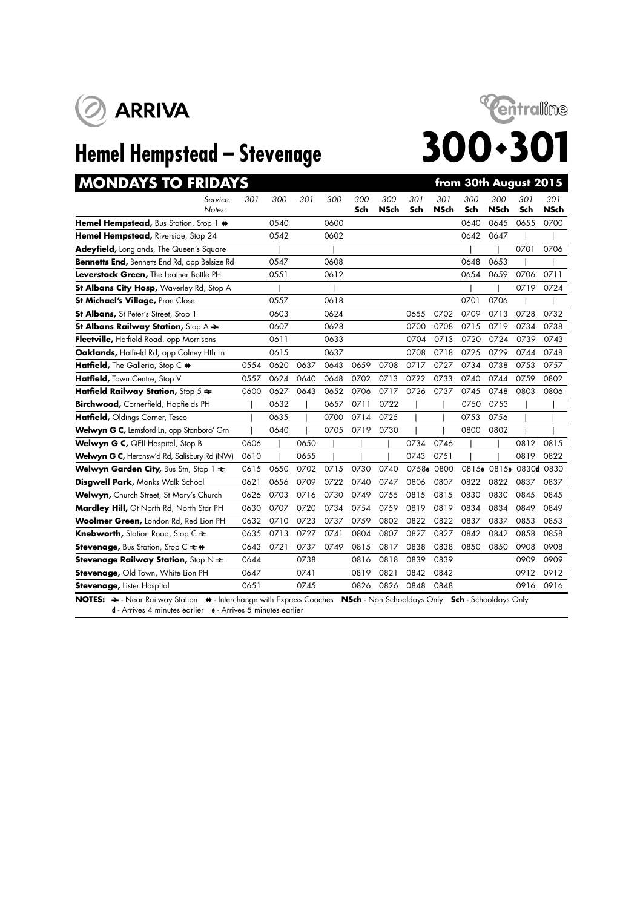



| <b>MONDAYS TO FRIDAYS</b>                                                     |      |      |      |      |            |                    |            |                    | from 30th August 2015 |                    |                        |             |
|-------------------------------------------------------------------------------|------|------|------|------|------------|--------------------|------------|--------------------|-----------------------|--------------------|------------------------|-------------|
| Service:<br>Notes:                                                            | 301  | 300  | 301  | 300  | 300<br>Sch | 300<br><b>NSch</b> | 301<br>Sch | 301<br><b>NSch</b> | 300<br>Sch            | 300<br><b>NSch</b> | 301<br>Sch             | 301<br>NSch |
| Hemel Hempstead, Bus Station, Stop 1 $\leftrightarrow$                        |      | 0540 |      | 0600 |            |                    |            |                    | 0640                  | 0645               | 0655                   | 0700        |
| Hemel Hempstead, Riverside, Stop 24                                           |      | 0542 |      | 0602 |            |                    |            |                    | 0642                  | 0647               |                        |             |
| <b>Adeyfield, Longlands, The Queen's Square</b>                               |      |      |      |      |            |                    |            |                    |                       |                    | 0701                   | 0706        |
| Bennetts End, Bennetts End Rd, opp Belsize Rd                                 |      | 0547 |      | 0608 |            |                    |            |                    | 0648                  | 0653               |                        |             |
| Leverstock Green, The Leather Bottle PH                                       |      | 0551 |      | 0612 |            |                    |            |                    | 0654                  | 0659               | 0706                   | 0711        |
| St Albans City Hosp, Waverley Rd, Stop A                                      |      |      |      |      |            |                    |            |                    |                       |                    | 0719                   | 0724        |
| <b>St Michael's Village, Prae Close</b>                                       |      | 0557 |      | 0618 |            |                    |            |                    | 0701                  | 0706               |                        |             |
| St Albans, St Peter's Street, Stop 1                                          |      | 0603 |      | 0624 |            |                    | 0655       | 0702               | 0709                  | 0713               | 0728                   | 0732        |
| St Albans Railway Station, Stop A $\approx$                                   |      | 0607 |      | 0628 |            |                    | 0700       | 0708               | 0715                  | 0719               | 0734                   | 0738        |
| Fleetville, Hatfield Road, opp Morrisons                                      |      | 0611 |      | 0633 |            |                    | 0704       | 0713               | 0720                  | 0724               | 0739                   | 0743        |
| Oaklands, Hatfield Rd, opp Colney Hth Ln                                      |      | 0615 |      | 0637 |            |                    | 0708       | 0718               | 0725                  | 0729               | 0744                   | 0748        |
| Hatfield, The Galleria, Stop C $\leftrightarrow$                              | 0554 | 0620 | 0637 | 0643 | 0659       | 0708               | 0717       | 0727               | 0734                  | 0738               | 0753                   | 0757        |
| Hatfield, Town Centre, Stop V                                                 | 0557 | 0624 | 0640 | 0648 | 0702       | 0713               | 0722       | 0733               | 0740                  | 0744               | 0759                   | 0802        |
| Hatfield Railway Station, Stop $5 \approx$                                    | 0600 | 0627 | 0643 | 0652 | 0706       | 0717               | 0726       | 0737               | 0745                  | 0748               | 0803                   | 0806        |
| Birchwood, Cornerfield, Hopfields PH                                          |      | 0632 |      | 0657 | 0711       | 0722               |            |                    | 0750                  | 0753               |                        |             |
| Hatfield, Oldings Corner, Tesco                                               |      | 0635 |      | 0700 | 0714       | 0725               |            |                    | 0753                  | 0756               |                        |             |
| Welwyn G C, Lemsford Ln, opp Stanboro' Grn                                    |      | 0640 |      | 0705 | 0719       | 0730               |            |                    | 0800                  | 0802               |                        |             |
| Welwyn G C, QEII Hospital, Stop B                                             | 0606 |      | 0650 |      |            |                    | 0734       | 0746               |                       |                    | 0812                   | 0815        |
| Welwyn G C, Heronsw'd Rd, Salisbury Rd (NW)                                   | 0610 |      | 0655 |      |            |                    | 0743       | 0751               |                       |                    | 0819                   | 0822        |
| Welwyn Garden City, Bus Stn, Stop 1 $\approx$                                 | 0615 | 0650 | 0702 | 0715 | 0730       | 0740               | 0758e 0800 |                    |                       |                    | 0815e 0815e 0830d 0830 |             |
| Disgwell Park, Monks Walk School                                              | 0621 | 0656 | 0709 | 0722 | 0740       | 0747               | 0806       | 0807               | 0822                  | 0822               | 0837                   | 0837        |
| Welwyn, Church Street, St Mary's Church                                       | 0626 | 0703 | 0716 | 0730 | 0749       | 0755               | 0815       | 0815               | 0830                  | 0830               | 0845                   | 0845        |
| Mardley Hill, Gt North Rd, North Star PH                                      | 0630 | 0707 | 0720 | 0734 | 0754       | 0759               | 0819       | 0819               | 0834                  | 0834               | 0849                   | 0849        |
| Woolmer Green, London Rd, Red Lion PH                                         | 0632 | 0710 | 0723 | 0737 | 0759       | 0802               | 0822       | 0822               | 0837                  | 0837               | 0853                   | 0853        |
| <b>Knebworth, Station Road, Stop C <math>\approx</math></b>                   | 0635 | 0713 | 0727 | 0741 | 0804       | 0807               | 0827       | 0827               | 0842                  | 0842               | 0858                   | 0858        |
| <b>Stevenage, Bus Station, Stop C <math>\Leftarrow \leftrightarrow</math></b> | 0643 | 0721 | 0737 | 0749 | 0815       | 0817               | 0838       | 0838               | 0850                  | 0850               | 0908                   | 0908        |
| <b>Stevenage Railway Station, Stop N <math>\neq</math></b>                    | 0644 |      | 0738 |      | 0816       | 0818               | 0839       | 0839               |                       |                    | 0909                   | 0909        |
| Stevenage, Old Town, White Lion PH                                            | 0647 |      | 0741 |      | 0819       | 0821               | 0842       | 0842               |                       |                    | 0912                   | 0912        |
| <b>Stevenage, Lister Hospital</b>                                             | 0651 |      | 0745 |      | 0826       | 0826               | 0848       | 0848               |                       |                    | 0916                   | 0916        |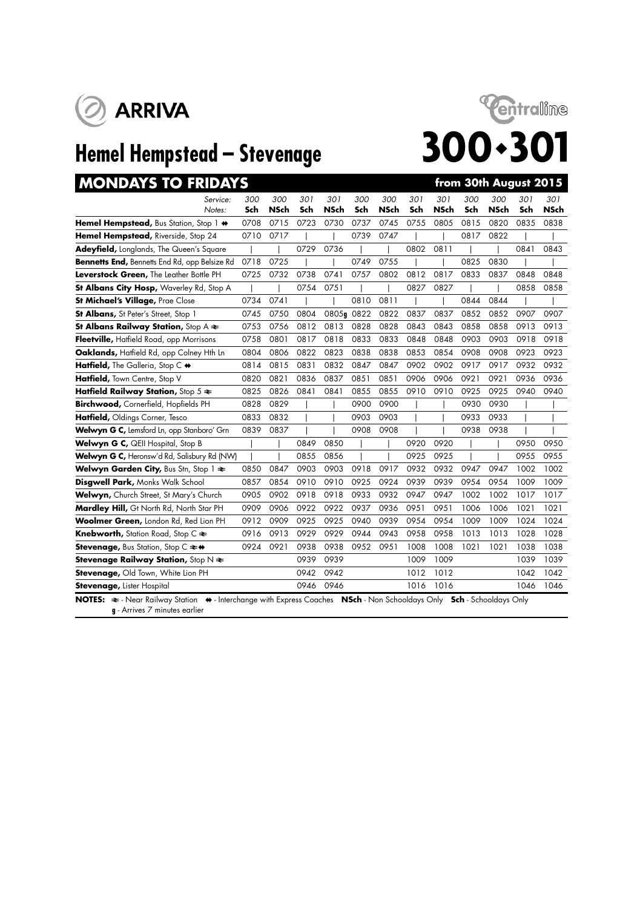



| <b>MONDAYS TO FRIDAYS</b>                                                                                                                              |      |             |      |             |      |             |      |             |      | from 30th August 2015 |      |             |
|--------------------------------------------------------------------------------------------------------------------------------------------------------|------|-------------|------|-------------|------|-------------|------|-------------|------|-----------------------|------|-------------|
| Service:                                                                                                                                               | 300  | 300         | 301  | 301         | 300  | 300         | 301  | 301         | 300  | 300                   | 301  | 301         |
| Notes:                                                                                                                                                 | Sch  | <b>NSch</b> | Sch  | <b>NSch</b> | Sch  | <b>NSch</b> | Sch  | <b>NSch</b> | Sch  | <b>NSch</b>           | Sch  | <b>NSch</b> |
| Hemel Hempstead, Bus Station, Stop 1 $\leftrightarrow$                                                                                                 | 0708 | 0715        | 0723 | 0730        | 0737 | 0745        | 0755 | 0805        | 0815 | 0820                  | 0835 | 0838        |
| Hemel Hempstead, Riverside, Stop 24                                                                                                                    | 0710 | 0717        |      |             | 0739 | 0747        |      |             | 0817 | 0822                  |      |             |
| Adeyfield, Longlands, The Queen's Square                                                                                                               |      |             | 0729 | 0736        |      |             | 0802 | 0811        |      |                       | 0841 | 0843        |
| <b>Bennetts End, Bennetts End Rd, opp Belsize Rd</b>                                                                                                   | 0718 | 0725        |      |             | 0749 | 0755        |      |             | 0825 | 0830                  |      |             |
| Leverstock Green, The Leather Bottle PH                                                                                                                | 0725 | 0732        | 0738 | 0741        | 0757 | 0802        | 0812 | 0817        | 0833 | 0837                  | 0848 | 0848        |
| <b>St Albans City Hosp, Waverley Rd, Stop A</b>                                                                                                        |      |             | 0754 | 0751        |      |             | 0827 | 0827        |      |                       | 0858 | 0858        |
| St Michael's Village, Prae Close                                                                                                                       | 0734 | 0741        |      |             | 0810 | 0811        |      |             | 0844 | 0844                  |      |             |
| <b>St Albans, St Peter's Street, Stop 1</b>                                                                                                            | 0745 | 0750        | 0804 | 0805q 0822  |      | 0822        | 0837 | 0837        | 0852 | 0852                  | 0907 | 0907        |
| St Albans Railway Station, Stop $A \rightleftarrows$                                                                                                   | 0753 | 0756        | 0812 | 0813        | 0828 | 0828        | 0843 | 0843        | 0858 | 0858                  | 0913 | 0913        |
| Fleetville, Hatfield Road, opp Morrisons                                                                                                               | 0758 | 0801        | 0817 | 0818        | 0833 | 0833        | 0848 | 0848        | 0903 | 0903                  | 0918 | 0918        |
| Oaklands, Hatfield Rd, opp Colney Hth Ln                                                                                                               | 0804 | 0806        | 0822 | 0823        | 0838 | 0838        | 0853 | 0854        | 0908 | 0908                  | 0923 | 0923        |
| Hatfield, The Galleria, Stop C +                                                                                                                       | 0814 | 0815        | 0831 | 0832        | 0847 | 0847        | 0902 | 0902        | 0917 | 0917                  | 0932 | 0932        |
| Hatfield, Town Centre, Stop V                                                                                                                          | 0820 | 0821        | 0836 | 0837        | 0851 | 0851        | 0906 | 0906        | 0921 | 0921                  | 0936 | 0936        |
| Hatfield Railway Station, Stop $5 \approx$                                                                                                             | 0825 | 0826        | 0841 | 0841        | 0855 | 0855        | 0910 | 0910        | 0925 | 0925                  | 0940 | 0940        |
| Birchwood, Cornerfield, Hopfields PH                                                                                                                   | 0828 | 0829        |      |             | 0900 | 0900        |      |             | 0930 | 0930                  |      |             |
| Hatfield, Oldings Corner, Tesco                                                                                                                        | 0833 | 0832        |      |             | 0903 | 0903        |      |             | 0933 | 0933                  |      |             |
| Welwyn G C, Lemsford Ln, opp Stanboro' Grn                                                                                                             | 0839 | 0837        |      |             | 0908 | 0908        |      |             | 0938 | 0938                  |      |             |
| Welwyn G C, QEII Hospital, Stop B                                                                                                                      |      |             | 0849 | 0850        |      |             | 0920 | 0920        |      |                       | 0950 | 0950        |
| Welwyn G C, Heronsw'd Rd, Salisbury Rd (NW)                                                                                                            |      |             | 0855 | 0856        |      |             | 0925 | 0925        |      |                       | 0955 | 0955        |
| Welwyn Garden City, Bus Stn, Stop 1 $\approx$                                                                                                          | 0850 | 0847        | 0903 | 0903        | 0918 | 0917        | 0932 | 0932        | 0947 | 0947                  | 1002 | 1002        |
| Disgwell Park, Monks Walk School                                                                                                                       | 0857 | 0854        | 0910 | 0910        | 0925 | 0924        | 0939 | 0939        | 0954 | 0954                  | 1009 | 1009        |
| Welwyn, Church Street, St Mary's Church                                                                                                                | 0905 | 0902        | 0918 | 0918        | 0933 | 0932        | 0947 | 0947        | 1002 | 1002                  | 1017 | 1017        |
| Mardley Hill, Gt North Rd, North Star PH                                                                                                               | 0909 | 0906        | 0922 | 0922        | 0937 | 0936        | 0951 | 0951        | 1006 | 1006                  | 1021 | 1021        |
| Woolmer Green, London Rd, Red Lion PH                                                                                                                  | 0912 | 0909        | 0925 | 0925        | 0940 | 0939        | 0954 | 0954        | 1009 | 1009                  | 1024 | 1024        |
| <b>Knebworth, Station Road, Stop C <math>\approx</math></b>                                                                                            | 0916 | 0913        | 0929 | 0929        | 0944 | 0943        | 0958 | 0958        | 1013 | 1013                  | 1028 | 1028        |
| <b>Stevenage, Bus Station, Stop C ≥+</b>                                                                                                               | 0924 | 0921        | 0938 | 0938        | 0952 | 0951        | 1008 | 1008        | 1021 | 1021                  | 1038 | 1038        |
| <b>Stevenage Railway Station, Stop N <math>\neq</math></b>                                                                                             |      |             | 0939 | 0939        |      |             | 1009 | 1009        |      |                       | 1039 | 1039        |
| Stevenage, Old Town, White Lion PH                                                                                                                     |      |             | 0942 | 0942        |      |             | 1012 | 1012        |      |                       | 1042 | 1042        |
| <b>Stevenage, Lister Hospital</b>                                                                                                                      |      |             | 0946 | 0946        |      |             | 1016 | 1016        |      |                       | 1046 | 1046        |
| NOTES: ₹ - Near Railway Station ♦ - Interchange with Express Coaches NSch - Non Schooldays Only Sch - Schooldays Only<br>g - Arrives 7 minutes earlier |      |             |      |             |      |             |      |             |      |                       |      |             |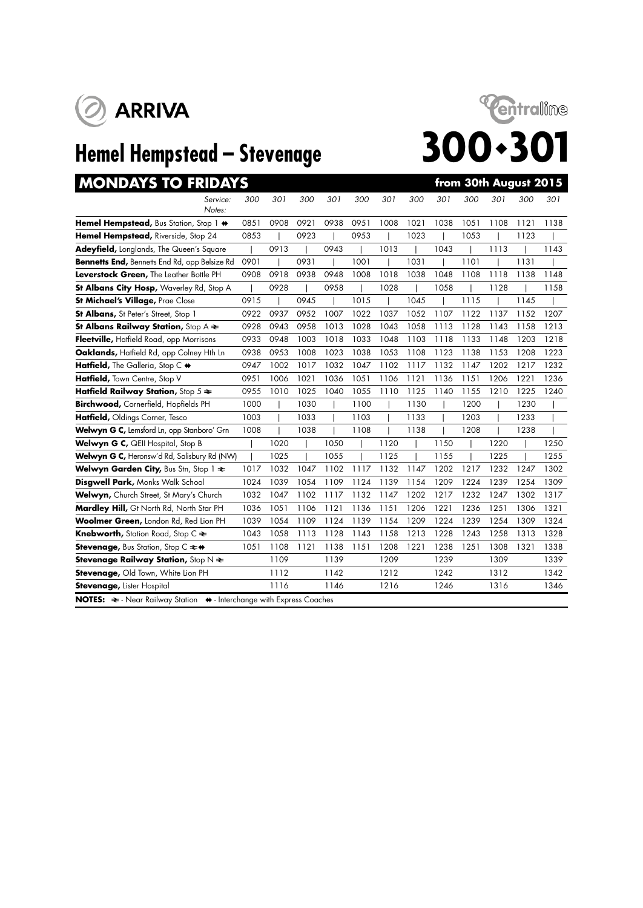





| <b>MONDAYS TO FRIDAYS</b>                                                                    |      |      |      |      |      |      |      |      |      | from 30th August 2015 |      |      |
|----------------------------------------------------------------------------------------------|------|------|------|------|------|------|------|------|------|-----------------------|------|------|
| Service:<br>Notes:                                                                           | 300  | 301  | 300  | 301  | 300  | 301  | 300  | 301  | 300  | 301                   | 300  | 301  |
| Hemel Hempstead, Bus Station, Stop 1 $\leftrightarrow$                                       | 0851 | 0908 | 0921 | 0938 | 0951 | 1008 | 1021 | 1038 | 1051 | 1108                  | 1121 | 1138 |
| Hemel Hempstead, Riverside, Stop 24                                                          | 0853 |      | 0923 |      | 0953 |      | 1023 |      | 1053 |                       | 1123 |      |
| Adeyfield, Longlands, The Queen's Square                                                     |      | 0913 |      | 0943 |      | 1013 |      | 1043 |      | 1113                  |      | 1143 |
| Bennetts End, Bennetts End Rd, opp Belsize Rd                                                | 0901 |      | 0931 |      | 1001 |      | 1031 |      | 1101 |                       | 1131 |      |
| Leverstock Green, The Leather Bottle PH                                                      | 0908 | 0918 | 0938 | 0948 | 1008 | 1018 | 1038 | 1048 | 1108 | 1118                  | 1138 | 1148 |
| St Albans City Hosp, Waverley Rd, Stop A                                                     |      | 0928 |      | 0958 |      | 1028 |      | 1058 |      | 1128                  |      | 1158 |
| St Michael's Village, Prae Close                                                             | 0915 |      | 0945 |      | 1015 |      | 1045 |      | 1115 |                       | 1145 |      |
| St Albans, St Peter's Street, Stop 1                                                         | 0922 | 0937 | 0952 | 1007 | 1022 | 1037 | 1052 | 1107 | 1122 | 1137                  | 1152 | 1207 |
| <b>St Albans Railway Station, Stop A <math>\approx</math></b>                                | 0928 | 0943 | 0958 | 1013 | 1028 | 1043 | 1058 | 1113 | 1128 | 1143                  | 1158 | 1213 |
| Fleetville, Hatfield Road, opp Morrisons                                                     | 0933 | 0948 | 1003 | 1018 | 1033 | 1048 | 1103 | 1118 | 1133 | 1148                  | 1203 | 1218 |
| Oaklands, Hatfield Rd, opp Colney Hth Ln                                                     | 0938 | 0953 | 1008 | 1023 | 1038 | 1053 | 1108 | 1123 | 1138 | 1153                  | 1208 | 1223 |
| Hatfield, The Galleria, Stop C +                                                             | 0947 | 1002 | 1017 | 1032 | 1047 | 1102 | 1117 | 1132 | 1147 | 1202                  | 1217 | 1232 |
| Hatfield, Town Centre, Stop V                                                                | 0951 | 1006 | 1021 | 1036 | 1051 | 1106 | 1121 | 1136 | 1151 | 1206                  | 1221 | 1236 |
| Hatfield Railway Station, Stop $5 \approx$                                                   | 0955 | 1010 | 1025 | 1040 | 1055 | 1110 | 1125 | 1140 | 1155 | 1210                  | 1225 | 1240 |
| Birchwood, Cornerfield, Hopfields PH                                                         | 1000 |      | 1030 |      | 1100 |      | 1130 |      | 1200 |                       | 1230 |      |
| Hatfield, Oldings Corner, Tesco                                                              | 1003 |      | 1033 |      | 1103 |      | 1133 |      | 1203 |                       | 1233 |      |
| Welwyn G C, Lemsford Ln, opp Stanboro' Grn                                                   | 1008 |      | 1038 |      | 1108 |      | 1138 |      | 1208 |                       | 1238 |      |
| Welwyn G C, QEII Hospital, Stop B                                                            |      | 1020 |      | 1050 |      | 1120 |      | 1150 |      | 1220                  |      | 1250 |
| Welwyn G C, Heronsw'd Rd, Salisbury Rd (NW)                                                  |      | 1025 |      | 1055 |      | 1125 |      | 1155 |      | 1225                  |      | 1255 |
| Welwyn Garden City, Bus Stn, Stop 1 $\approx$                                                | 1017 | 1032 | 1047 | 1102 | 1117 | 1132 | 1147 | 1202 | 1217 | 1232                  | 1247 | 1302 |
| Disgwell Park, Monks Walk School                                                             | 1024 | 1039 | 1054 | 1109 | 1124 | 1139 | 1154 | 1209 | 1224 | 1239                  | 1254 | 1309 |
| Welwyn, Church Street, St Mary's Church                                                      | 1032 | 1047 | 1102 | 1117 | 1132 | 1147 | 1202 | 1217 | 1232 | 1247                  | 1302 | 1317 |
| Mardley Hill, Gt North Rd, North Star PH                                                     | 1036 | 1051 | 1106 | 1121 | 1136 | 1151 | 1206 | 1221 | 1236 | 1251                  | 1306 | 1321 |
| Woolmer Green, London Rd, Red Lion PH                                                        | 1039 | 1054 | 1109 | 1124 | 1139 | 1154 | 1209 | 1224 | 1239 | 1254                  | 1309 | 1324 |
| <b>Knebworth, Station Road, Stop C <math>\approx</math></b>                                  | 1043 | 1058 | 1113 | 1128 | 1143 | 1158 | 1213 | 1228 | 1243 | 1258                  | 1313 | 1328 |
| Stevenage, Bus Station, Stop C $\rightleftharpoons$ +                                        | 1051 | 1108 | 1121 | 1138 | 1151 | 1208 | 1221 | 1238 | 1251 | 1308                  | 1321 | 1338 |
| <b>Stevenage Railway Station, Stop N <math>\neq</math></b>                                   |      | 1109 |      | 1139 |      | 1209 |      | 1239 |      | 1309                  |      | 1339 |
| Stevenage, Old Town, White Lion PH                                                           |      | 1112 |      | 1142 |      | 1212 |      | 1242 |      | 1312                  |      | 1342 |
| <b>Stevenage, Lister Hospital</b>                                                            |      | 1116 |      | 1146 |      | 1216 |      | 1246 |      | 1316                  |      | 1346 |
| NOTES: $\approx$ - Near Railway Station $\leftrightarrow$ - Interchange with Express Coaches |      |      |      |      |      |      |      |      |      |                       |      |      |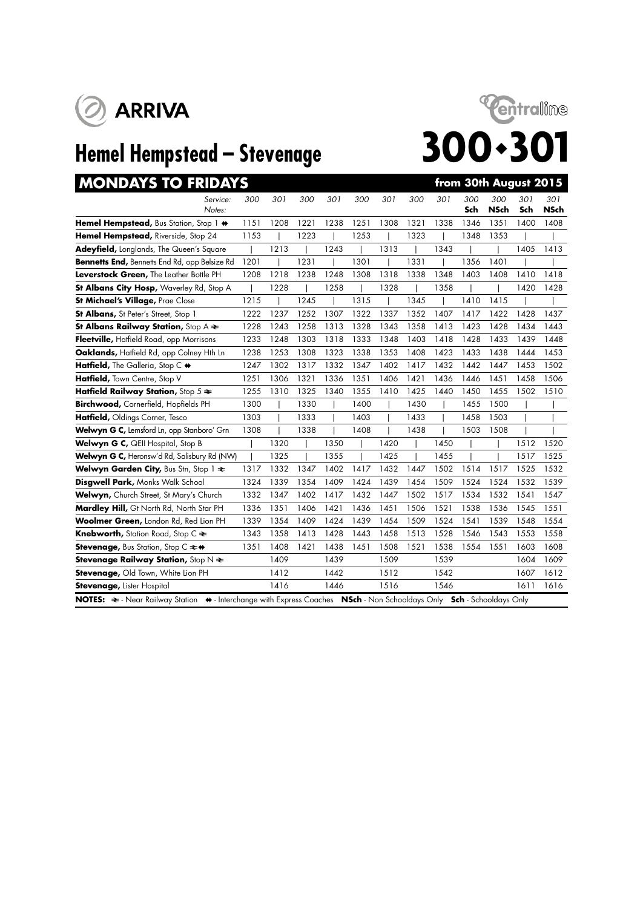





| <b>MONDAYS TO FRIDAYS</b>                                                                                          |      |      |      |      |      |      |      |      |            | from 30th August 2015 |            |                    |
|--------------------------------------------------------------------------------------------------------------------|------|------|------|------|------|------|------|------|------------|-----------------------|------------|--------------------|
| Service:<br>Notes:                                                                                                 | 300  | 301  | 300  | 301  | 300  | 301  | 300  | 301  | 300<br>Sch | 300<br><b>NSch</b>    | 301<br>Sch | 301<br><b>NSch</b> |
| Hemel Hempstead, Bus Station, Stop 1 $\leftrightarrow$                                                             | 1151 | 1208 | 1221 | 1238 | 1251 | 1308 | 1321 | 1338 | 1346       | 1351                  | 1400       | 1408               |
| Hemel Hempstead, Riverside, Stop 24                                                                                | 1153 |      | 1223 |      | 1253 |      | 1323 |      | 1348       | 1353                  |            |                    |
| Adeyfield, Longlands, The Queen's Square                                                                           |      | 1213 |      | 1243 |      | 1313 |      | 1343 |            |                       | 1405       | 1413               |
| Bennetts End, Bennetts End Rd, opp Belsize Rd                                                                      | 1201 |      | 1231 |      | 1301 |      | 1331 |      | 1356       | 1401                  |            |                    |
| Leverstock Green, The Leather Bottle PH                                                                            | 1208 | 1218 | 1238 | 1248 | 1308 | 1318 | 1338 | 1348 | 1403       | 1408                  | 1410       | 1418               |
| St Albans City Hosp, Waverley Rd, Stop A                                                                           |      | 1228 |      | 1258 |      | 1328 |      | 1358 |            |                       | 1420       | 1428               |
| St Michael's Village, Prae Close                                                                                   | 1215 |      | 1245 |      | 1315 |      | 1345 |      | 1410       | 1415                  |            |                    |
| St Albans, St Peter's Street, Stop 1                                                                               | 1222 | 1237 | 1252 | 1307 | 1322 | 1337 | 1352 | 1407 | 1417       | 1422                  | 1428       | 1437               |
| <b>St Albans Railway Station, Stop A <math>\approx</math></b>                                                      | 1228 | 1243 | 1258 | 1313 | 1328 | 1343 | 1358 | 1413 | 1423       | 1428                  | 1434       | 1443               |
| Fleetville, Hatfield Road, opp Morrisons                                                                           | 1233 | 1248 | 1303 | 1318 | 1333 | 1348 | 1403 | 1418 | 1428       | 1433                  | 1439       | 1448               |
| Oaklands, Haffield Rd, opp Colney Hth Ln                                                                           | 1238 | 1253 | 1308 | 1323 | 1338 | 1353 | 1408 | 1423 | 1433       | 1438                  | 1444       | 1453               |
| Hatfield, The Galleria, Stop C +                                                                                   | 1247 | 1302 | 1317 | 1332 | 1347 | 1402 | 1417 | 1432 | 1442       | 1447                  | 1453       | 1502               |
| Hatfield, Town Centre, Stop V                                                                                      | 1251 | 1306 | 1321 | 1336 | 1351 | 1406 | 1421 | 1436 | 1446       | 1451                  | 1458       | 1506               |
| Hatfield Railway Station, Stop $5 \approx$                                                                         | 1255 | 1310 | 1325 | 1340 | 1355 | 1410 | 1425 | 1440 | 1450       | 1455                  | 1502       | 1510               |
| Birchwood, Cornerfield, Hopfields PH                                                                               | 1300 |      | 1330 |      | 1400 |      | 1430 |      | 1455       | 1500                  |            |                    |
| Hatfield, Oldings Corner, Tesco                                                                                    | 1303 |      | 1333 |      | 1403 |      | 1433 |      | 1458       | 1503                  |            |                    |
| Welwyn G C, Lemsford Ln, opp Stanboro' Grn                                                                         | 1308 |      | 1338 |      | 1408 |      | 1438 |      | 1503       | 1508                  |            |                    |
| Welwyn G C, QEII Hospital, Stop B                                                                                  |      | 1320 |      | 1350 |      | 1420 |      | 1450 |            |                       | 1512       | 1520               |
| Welwyn G C, Heronsw'd Rd, Salisbury Rd (NW)                                                                        |      | 1325 |      | 1355 |      | 1425 |      | 1455 |            |                       | 1517       | 1525               |
| Welwyn Garden City, Bus Stn, Stop 1 $\approx$                                                                      | 1317 | 1332 | 1347 | 1402 | 1417 | 1432 | 1447 | 1502 | 1514       | 1517                  | 1525       | 1532               |
| Disgwell Park, Monks Walk School                                                                                   | 1324 | 1339 | 1354 | 1409 | 1424 | 1439 | 1454 | 1509 | 1524       | 1524                  | 1532       | 1539               |
| Welwyn, Church Street, St Mary's Church                                                                            | 1332 | 1347 | 1402 | 1417 | 1432 | 1447 | 1502 | 1517 | 1534       | 1532                  | 1541       | 1547               |
| Mardley Hill, Gt North Rd, North Star PH                                                                           | 1336 | 1351 | 1406 | 1421 | 1436 | 1451 | 1506 | 1521 | 1538       | 1536                  | 1545       | 1551               |
| Woolmer Green, London Rd, Red Lion PH                                                                              | 1339 | 1354 | 1409 | 1424 | 1439 | 1454 | 1509 | 1524 | 1541       | 1539                  | 1548       | 1554               |
| <b>Knebworth,</b> Station Road, Stop C $\approx$                                                                   | 1343 | 1358 | 1413 | 1428 | 1443 | 1458 | 1513 | 1528 | 1546       | 1543                  | 1553       | 1558               |
| <b>Stevenage, Bus Station, Stop C <math>\rightleftarrows</math> of</b>                                             | 1351 | 1408 | 1421 | 1438 | 1451 | 1508 | 1521 | 1538 | 1554       | 1551                  | 1603       | 1608               |
| <b>Stevenage Railway Station, Stop N <math>\neq</math></b>                                                         |      | 1409 |      | 1439 |      | 1509 |      | 1539 |            |                       | 1604       | 1609               |
| Stevenage, Old Town, White Lion PH                                                                                 |      | 1412 |      | 1442 |      | 1512 |      | 1542 |            |                       | 1607       | 1612               |
| Stevenage, Lister Hospital                                                                                         |      | 1416 |      | 1446 |      | 1516 |      | 1546 |            |                       | 1611       | 1616               |
| NOTES: ≥- Near Railway Station → Interchange with Express Coaches NSch - Non Schooldays Only Sch - Schooldays Only |      |      |      |      |      |      |      |      |            |                       |            |                    |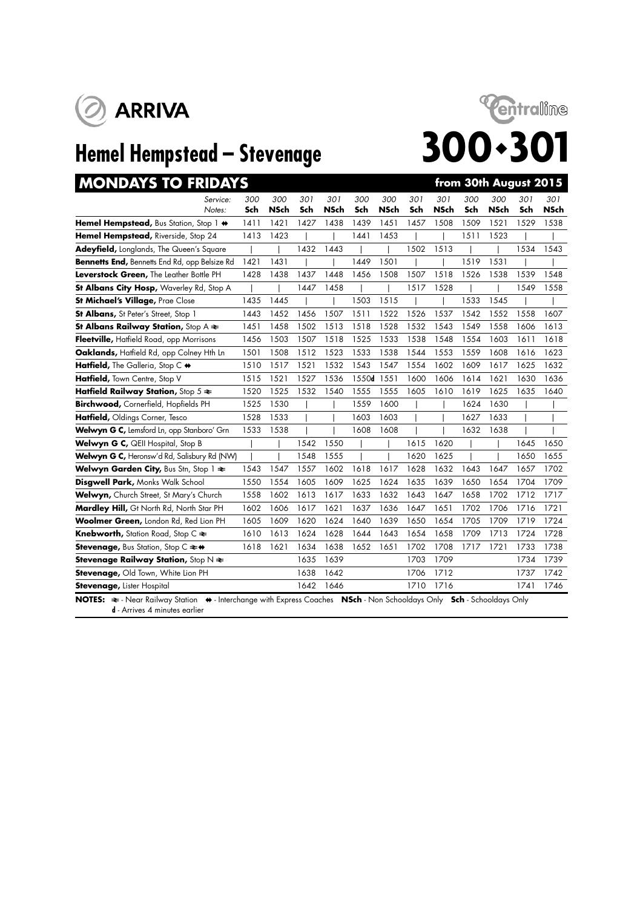



| <b>MONDAYS TO FRIDAYS</b>                                                     |      |             |      |             |            |             |      |             |      | from 30th August 2015 |      |             |
|-------------------------------------------------------------------------------|------|-------------|------|-------------|------------|-------------|------|-------------|------|-----------------------|------|-------------|
| Service:                                                                      | 300  | 300         | 301  | 301         | 300        | 300         | 301  | 301         | 300  | 300                   | 301  | 301         |
| Notes:                                                                        | Sch  | <b>NSch</b> | Sch  | <b>NSch</b> | Sch        | <b>NSch</b> | Sch  | <b>NSch</b> | Sch  | <b>NSch</b>           | Sch  | <b>NSch</b> |
| Hemel Hempstead, Bus Station, Stop 1 $\leftrightarrow$                        | 1411 | 1421        | 1427 | 1438        | 1439       | 1451        | 1457 | 1508        | 1509 | 1521                  | 1529 | 1538        |
| Hemel Hempstead, Riverside, Stop 24                                           | 1413 | 1423        |      |             | 1441       | 1453        |      |             | 1511 | 1523                  |      |             |
| Adeyfield, Longlands, The Queen's Square                                      |      |             | 1432 | 1443        |            |             | 1502 | 1513        |      |                       | 1534 | 1543        |
| Bennetts End, Bennetts End Rd, opp Belsize Rd                                 | 1421 | 1431        |      |             | 1449       | 1501        |      |             | 1519 | 1531                  |      |             |
| Leverstock Green, The Leather Bottle PH                                       | 1428 | 1438        | 1437 | 1448        | 1456       | 1508        | 1507 | 1518        | 1526 | 1538                  | 1539 | 1548        |
| St Albans City Hosp, Waverley Rd, Stop A                                      |      |             | 1447 | 1458        |            |             | 1517 | 1528        |      |                       | 1549 | 1558        |
| <b>St Michael's Village, Prae Close</b>                                       | 1435 | 1445        |      |             | 1503       | 1515        |      |             | 1533 | 1545                  |      |             |
| St Albans, St Peter's Street, Stop 1                                          | 1443 | 1452        | 1456 | 1507        | 1511       | 1522        | 1526 | 1537        | 1542 | 1552                  | 1558 | 1607        |
| St Albans Railway Station, Stop $A \rightleftarrows$                          | 1451 | 1458        | 1502 | 1513        | 1518       | 1528        | 1532 | 1543        | 1549 | 1558                  | 1606 | 1613        |
| Fleetville, Hatfield Road, opp Morrisons                                      | 1456 | 1503        | 1507 | 1518        | 1525       | 1533        | 1538 | 1548        | 1554 | 1603                  | 1611 | 1618        |
| Oaklands, Hatfield Rd, opp Colney Hth Ln                                      | 1501 | 1508        | 1512 | 1523        | 1533       | 1538        | 1544 | 1553        | 1559 | 1608                  | 1616 | 1623        |
| Hatfield, The Galleria, Stop C $\leftrightarrow$                              | 1510 | 1517        | 1521 | 1532        | 1543       | 1547        | 1554 | 1602        | 1609 | 1617                  | 1625 | 1632        |
| Hatfield, Town Centre, Stop V                                                 | 1515 | 1521        | 1527 | 1536        | 1550d 1551 |             | 1600 | 1606        | 1614 | 1621                  | 1630 | 1636        |
| Hatfield Railway Station, Stop $5 \approx$                                    | 1520 | 1525        | 1532 | 1540        | 1555       | 1555        | 1605 | 1610        | 1619 | 1625                  | 1635 | 1640        |
| Birchwood, Cornerfield, Hopfields PH                                          | 1525 | 1530        |      |             | 1559       | 1600        |      |             | 1624 | 1630                  |      |             |
| Hatfield, Oldings Corner, Tesco                                               | 1528 | 1533        |      |             | 1603       | 1603        |      |             | 1627 | 1633                  |      |             |
| Welwyn G C, Lemsford Ln, opp Stanboro' Grn                                    | 1533 | 1538        |      |             | 1608       | 1608        |      |             | 1632 | 1638                  |      |             |
| Welwyn G C, QEII Hospital, Stop B                                             |      |             | 1542 | 1550        |            |             | 1615 | 1620        |      |                       | 1645 | 1650        |
| Welwyn G C, Heronsw'd Rd, Salisbury Rd (NW)                                   |      |             | 1548 | 1555        |            |             | 1620 | 1625        |      |                       | 1650 | 1655        |
| Welwyn Garden City, Bus Stn, Stop $1 \approx$                                 | 1543 | 1547        | 1557 | 1602        | 1618       | 1617        | 1628 | 1632        | 1643 | 1647                  | 1657 | 1702        |
| Disgwell Park, Monks Walk School                                              | 1550 | 1554        | 1605 | 1609        | 1625       | 1624        | 1635 | 1639        | 1650 | 1654                  | 1704 | 1709        |
| Welwyn, Church Street, St Mary's Church                                       | 1558 | 1602        | 1613 | 1617        | 1633       | 1632        | 1643 | 1647        | 1658 | 1702                  | 1712 | 1717        |
| Mardley Hill, Gt North Rd, North Star PH                                      | 1602 | 1606        | 1617 | 1621        | 1637       | 1636        | 1647 | 1651        | 1702 | 1706                  | 1716 | 1721        |
| Woolmer Green, London Rd, Red Lion PH                                         | 1605 | 1609        | 1620 | 1624        | 1640       | 1639        | 1650 | 1654        | 1705 | 1709                  | 1719 | 1724        |
| <b>Knebworth, Station Road, Stop C <math>\approx</math></b>                   | 1610 | 1613        | 1624 | 1628        | 1644       | 1643        | 1654 | 1658        | 1709 | 1713                  | 1724 | 1728        |
| <b>Stevenage, Bus Station, Stop C <math>\Leftarrow \leftrightarrow</math></b> | 1618 | 1621        | 1634 | 1638        | 1652       | 1651        | 1702 | 1708        | 1717 | 1721                  | 1733 | 1738        |
| Stevenage Railway Station, Stop $N \rightleftharpoons$                        |      |             | 1635 | 1639        |            |             | 1703 | 1709        |      |                       | 1734 | 1739        |
| Stevenage, Old Town, White Lion PH                                            |      |             | 1638 | 1642        |            |             | 1706 | 1712        |      |                       | 1737 | 1742        |
| <b>Stevenage, Lister Hospital</b>                                             |      |             | 1642 | 1646        |            |             | 1710 | 1716        |      |                       | 1741 | 1746        |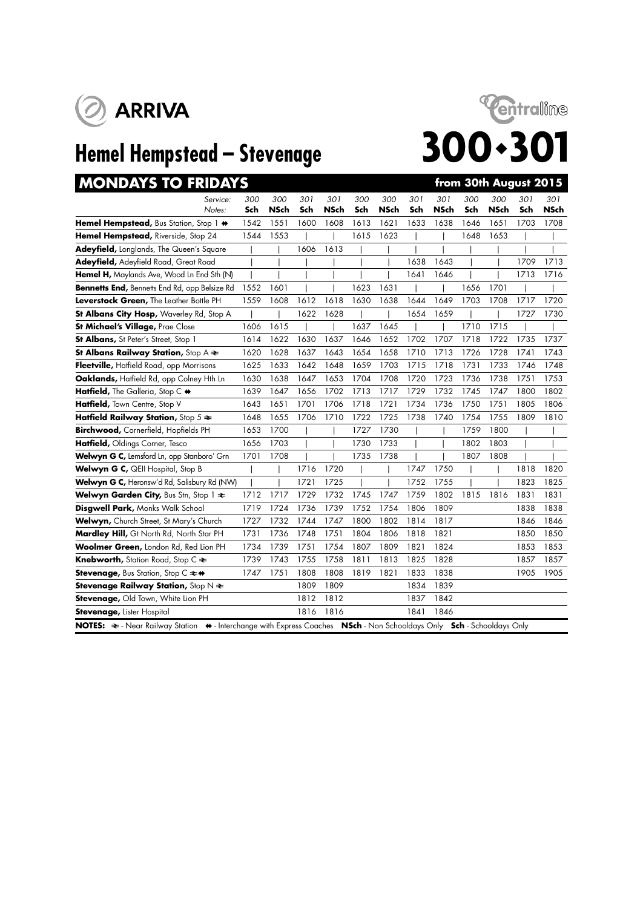



| <b>MONDAYS TO FRIDAYS</b>                                                                                             |            |             |            |                    |            |                    |            |             |            | from 30th August 2015 |            |                    |
|-----------------------------------------------------------------------------------------------------------------------|------------|-------------|------------|--------------------|------------|--------------------|------------|-------------|------------|-----------------------|------------|--------------------|
| Service:<br>Notes:                                                                                                    | 300<br>Sch | 300<br>NSch | 301<br>Sch | 301<br><b>NSch</b> | 300<br>Sch | 300<br><b>NSch</b> | 301<br>Sch | 301<br>NSch | 300<br>Sch | 300<br>NSch           | 301<br>Sch | 301<br><b>NSch</b> |
| Hemel Hempstead, Bus Station, Stop 1 $\leftrightarrow$                                                                | 1542       | 1551        | 1600       | 1608               | 1613       | 1621               | 1633       | 1638        | 1646       | 1651                  | 1703       | 1708               |
| Hemel Hempstead, Riverside, Stop 24                                                                                   | 1544       | 1553        |            |                    | 1615       | 1623               |            |             | 1648       | 1653                  |            |                    |
| Adeyfield, Longlands, The Queen's Square                                                                              |            |             | 1606       | 1613               |            |                    |            |             |            |                       |            |                    |
| Adeyfield, Adeyfield Road, Great Road                                                                                 |            |             |            |                    |            |                    | 1638       | 1643        |            |                       | 1709       | 1713               |
| Hemel H, Maylands Ave, Wood Ln End Sth (N)                                                                            |            |             |            |                    |            |                    | 1641       | 1646        |            |                       | 1713       | 1716               |
| <b>Bennetts End, Bennetts End Rd, opp Belsize Rd</b>                                                                  | 1552       | 1601        |            |                    | 1623       | 1631               |            |             | 1656       | 1701                  |            |                    |
| Leverstock Green, The Leather Bottle PH                                                                               | 1559       | 1608        | 1612       | 1618               | 1630       | 1638               | 1644       | 1649        | 1703       | 1708                  | 1717       | 1720               |
| St Albans City Hosp, Waverley Rd, Stop A                                                                              |            |             | 1622       | 1628               |            |                    | 1654       | 1659        |            |                       | 1727       | 1730               |
| St Michael's Village, Prae Close                                                                                      | 1606       | 1615        |            |                    | 1637       | 1645               |            |             | 1710       | 1715                  |            |                    |
| St Albans, St Peter's Street, Stop 1                                                                                  | 1614       | 1622        | 1630       | 1637               | 1646       | 1652               | 1702       | 1707        | 1718       | 1722                  | 1735       | 1737               |
| St Albans Railway Station, Stop $A \rightleftarrows$                                                                  | 1620       | 1628        | 1637       | 1643               | 1654       | 1658               | 1710       | 1713        | 1726       | 1728                  | 1741       | 1743               |
| Fleetville, Hatfield Road, opp Morrisons                                                                              | 1625       | 1633        | 1642       | 1648               | 1659       | 1703               | 1715       | 1718        | 1731       | 1733                  | 1746       | 1748               |
| Oaklands, Hatfield Rd, opp Colney Hth Ln                                                                              | 1630       | 1638        | 1647       | 1653               | 1704       | 1708               | 1720       | 1723        | 1736       | 1738                  | 1751       | 1753               |
| Hatfield, The Galleria, Stop C +                                                                                      | 1639       | 1647        | 1656       | 1702               | 1713       | 1717               | 1729       | 1732        | 1745       | 1747                  | 1800       | 1802               |
| Hatfield, Town Centre, Stop V                                                                                         | 1643       | 1651        | 1701       | 1706               | 1718       | 1721               | 1734       | 1736        | 1750       | 1751                  | 1805       | 1806               |
| Hatfield Railway Station, Stop $5 \approx$                                                                            | 1648       | 1655        | 1706       | 1710               | 1722       | 1725               | 1738       | 1740        | 1754       | 1755                  | 1809       | 1810               |
| Birchwood, Cornerfield, Hopfields PH                                                                                  | 1653       | 1700        |            |                    | 1727       | 1730               |            |             | 1759       | 1800                  |            |                    |
| Hatfield, Oldings Corner, Tesco                                                                                       | 1656       | 1703        |            |                    | 1730       | 1733               |            |             | 1802       | 1803                  |            |                    |
| Welwyn G C, Lemsford Ln, opp Stanboro' Grn                                                                            | 1701       | 1708        |            |                    | 1735       | 1738               |            |             | 1807       | 1808                  |            |                    |
| Welwyn G C, QEII Hospital, Stop B                                                                                     |            |             | 1716       | 1720               |            |                    | 1747       | 1750        |            |                       | 1818       | 1820               |
| Welwyn G C, Heronsw'd Rd, Salisbury Rd (NW)                                                                           |            |             | 1721       | 1725               |            |                    | 1752       | 1755        |            |                       | 1823       | 1825               |
| Welwyn Garden City, Bus Stn, Stop 1 $\approx$                                                                         | 1712       | 1717        | 1729       | 1732               | 1745       | 1747               | 1759       | 1802        | 1815       | 1816                  | 1831       | 1831               |
| Disgwell Park, Monks Walk School                                                                                      | 1719       | 1724        | 1736       | 1739               | 1752       | 1754               | 1806       | 1809        |            |                       | 1838       | 1838               |
| Welwyn, Church Street, St Mary's Church                                                                               | 1727       | 1732        | 1744       | 1747               | 1800       | 1802               | 1814       | 1817        |            |                       | 1846       | 1846               |
| Mardley Hill, Gt North Rd, North Star PH                                                                              | 1731       | 1736        | 1748       | 1751               | 1804       | 1806               | 1818       | 1821        |            |                       | 1850       | 1850               |
| Woolmer Green, London Rd, Red Lion PH                                                                                 | 1734       | 1739        | 1751       | 1754               | 1807       | 1809               | 1821       | 1824        |            |                       | 1853       | 1853               |
| <b>Knebworth, Station Road, Stop C <math>\approx</math></b>                                                           | 1739       | 1743        | 1755       | 1758               | 1811       | 1813               | 1825       | 1828        |            |                       | 1857       | 1857               |
| Stevenage, Bus Station, Stop C ≥+                                                                                     | 1747       | 1751        | 1808       | 1808               | 1819       | 1821               | 1833       | 1838        |            |                       | 1905       | 1905               |
| <b>Stevenage Railway Station, Stop N <math>\neq</math></b>                                                            |            |             | 1809       | 1809               |            |                    | 1834       | 1839        |            |                       |            |                    |
| Stevenage, Old Town, White Lion PH                                                                                    |            |             | 1812       | 1812               |            |                    | 1837       | 1842        |            |                       |            |                    |
| Stevenage, Lister Hospital                                                                                            |            |             | 1816       | 1816               |            |                    | 1841       | 1846        |            |                       |            |                    |
| NOTES: ₹ - Near Railway Station ♦ - Interchange with Express Coaches NSch - Non Schooldays Only Sch - Schooldays Only |            |             |            |                    |            |                    |            |             |            |                       |            |                    |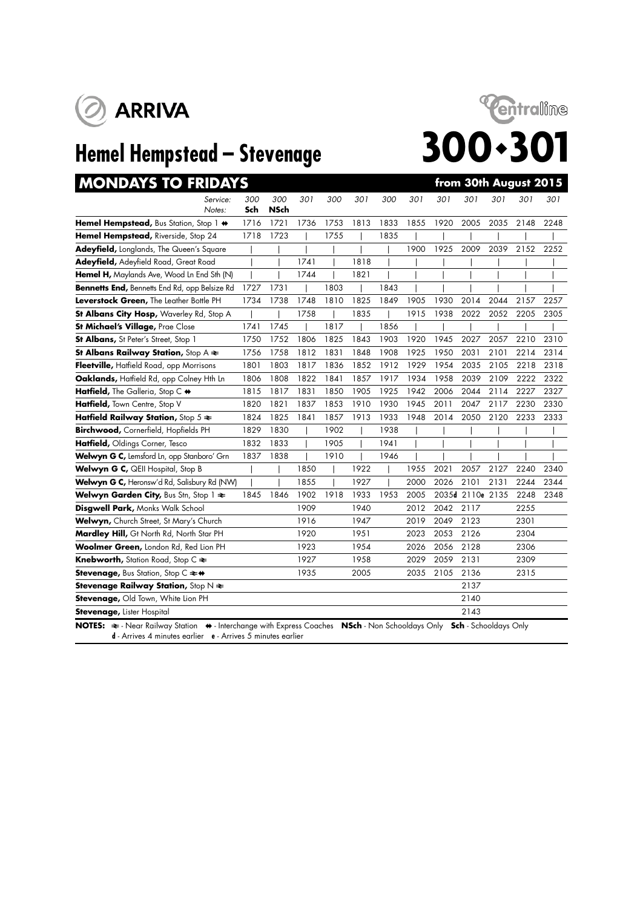





| <b>MONDAYS TO FRIDAYS</b>                                   |            |                    |      |      |      |      |      |       | from 30th August 2015 |      |      |      |
|-------------------------------------------------------------|------------|--------------------|------|------|------|------|------|-------|-----------------------|------|------|------|
| Service:<br>Notes:                                          | 300<br>Sch | 300<br><b>NSch</b> | 301  | 300  | 301  | 300  | 301  | 301   | 301                   | 301  | 301  | 301  |
| Hemel Hempstead, Bus Station, Stop 1 $\leftrightarrow$      | 1716       | 1721               | 1736 | 1753 | 1813 | 1833 | 1855 | 1920  | 2005                  | 2035 | 2148 | 2248 |
| Hemel Hempstead, Riverside, Stop 24                         | 1718       | 1723               |      | 1755 |      | 1835 |      |       |                       |      |      |      |
| <b>Adeyfield, Longlands, The Queen's Square</b>             |            |                    |      |      |      |      | 1900 | 1925  | 2009                  | 2039 | 2152 | 2252 |
| Adeyfield, Adeyfield Road, Great Road                       |            |                    | 1741 |      | 1818 |      |      |       |                       |      |      |      |
| Hemel H, Maylands Ave, Wood Ln End Sth (N)                  |            |                    | 1744 |      | 1821 |      |      |       |                       |      |      |      |
| Bennetts End, Bennetts End Rd, opp Belsize Rd               | 1727       | 1731               |      | 1803 |      | 1843 |      |       |                       |      |      |      |
| Leverstock Green, The Leather Bottle PH                     | 1734       | 1738               | 1748 | 1810 | 1825 | 1849 | 1905 | 1930  | 2014                  | 2044 | 2157 | 2257 |
| St Albans City Hosp, Waverley Rd, Stop A                    |            |                    | 1758 |      | 1835 |      | 1915 | 1938  | 2022                  | 2052 | 2205 | 2305 |
| St Michael's Village, Prae Close                            | 1741       | 1745               |      | 1817 |      | 1856 |      |       |                       |      |      |      |
| St Albans, St Peter's Street, Stop 1                        | 1750       | 1752               | 1806 | 1825 | 1843 | 1903 | 1920 | 1945  | 2027                  | 2057 | 2210 | 2310 |
| St Albans Railway Station, Stop $A \rightleftarrows$        | 1756       | 1758               | 1812 | 1831 | 1848 | 1908 | 1925 | 1950  | 2031                  | 2101 | 2214 | 2314 |
| Fleetville, Hatfield Road, opp Morrisons                    | 1801       | 1803               | 1817 | 1836 | 1852 | 1912 | 1929 | 1954  | 2035                  | 2105 | 2218 | 2318 |
| Oaklands, Hatfield Rd, opp Colney Hth Ln                    | 1806       | 1808               | 1822 | 1841 | 1857 | 1917 | 1934 | 1958  | 2039                  | 2109 | 2222 | 2322 |
| Hatfield, The Galleria, Stop C +                            | 1815       | 1817               | 1831 | 1850 | 1905 | 1925 | 1942 | 2006  | 2044                  | 2114 | 2227 | 2327 |
| Hatfield, Town Centre, Stop V                               | 1820       | 1821               | 1837 | 1853 | 1910 | 1930 | 1945 | 2011  | 2047                  | 2117 | 2230 | 2330 |
| Hatfield Railway Station, Stop $5 \approx$                  | 1824       | 1825               | 1841 | 1857 | 1913 | 1933 | 1948 | 2014  | 2050                  | 2120 | 2233 | 2333 |
| Birchwood, Cornerfield, Hopfields PH                        | 1829       | 1830               |      | 1902 |      | 1938 |      |       |                       |      |      |      |
| Hatfield, Oldings Corner, Tesco                             | 1832       | 1833               |      | 1905 |      | 1941 |      |       |                       |      |      |      |
| Welwyn G C, Lemsford Ln, opp Stanboro' Grn                  | 1837       | 1838               |      | 1910 |      | 1946 |      |       |                       |      |      |      |
| Welwyn G C, QEII Hospital, Stop B                           |            |                    | 1850 |      | 1922 |      | 1955 | 2021  | 2057                  | 2127 | 2240 | 2340 |
| Welwyn G C, Heronsw'd Rd, Salisbury Rd (NW)                 |            |                    | 1855 |      | 1927 |      | 2000 | 2026  | 2101                  | 2131 | 2244 | 2344 |
| Welwyn Garden City, Bus Stn, Stop 1 $\Leftarrow$            | 1845       | 1846               | 1902 | 1918 | 1933 | 1953 | 2005 | 2035d | 2110e 2135            |      | 2248 | 2348 |
| Disgwell Park, Monks Walk School                            |            |                    | 1909 |      | 1940 |      | 2012 | 2042  | 2117                  |      | 2255 |      |
| Welwyn, Church Street, St Mary's Church                     |            |                    | 1916 |      | 1947 |      | 2019 | 2049  | 2123                  |      | 2301 |      |
| Mardley Hill, Gt North Rd, North Star PH                    |            |                    | 1920 |      | 1951 |      | 2023 | 2053  | 2126                  |      | 2304 |      |
| Woolmer Green, London Rd, Red Lion PH                       |            |                    | 1923 |      | 1954 |      | 2026 | 2056  | 2128                  |      | 2306 |      |
| <b>Knebworth, Station Road, Stop C <math>\approx</math></b> |            |                    | 1927 |      | 1958 |      | 2029 | 2059  | 2131                  |      | 2309 |      |
| Stevenage, Bus Station, Stop C $\rightleftharpoons$ +       |            |                    | 1935 |      | 2005 |      | 2035 | 2105  | 2136                  |      | 2315 |      |
| Stevenage Railway Station, Stop N $\Leftarrow$              |            |                    |      |      |      |      |      |       | 2137                  |      |      |      |
| Stevenage, Old Town, White Lion PH                          |            |                    |      |      |      |      |      |       | 2140                  |      |      |      |
| Stevenage, Lister Hospital                                  |            |                    |      |      |      |      |      |       | 2143                  |      |      |      |
|                                                             |            |                    |      |      |      |      |      |       |                       |      |      |      |

**NOTES:**  $\triangleq$  - Near Railway Station  $\leftrightarrow$  - Interchange with Express Coaches **NSch** - Non Schooldays Only **Sch** - Schooldays Only **d** - Arrives 4 minutes earlier **e** - Arrives 5 minutes earlier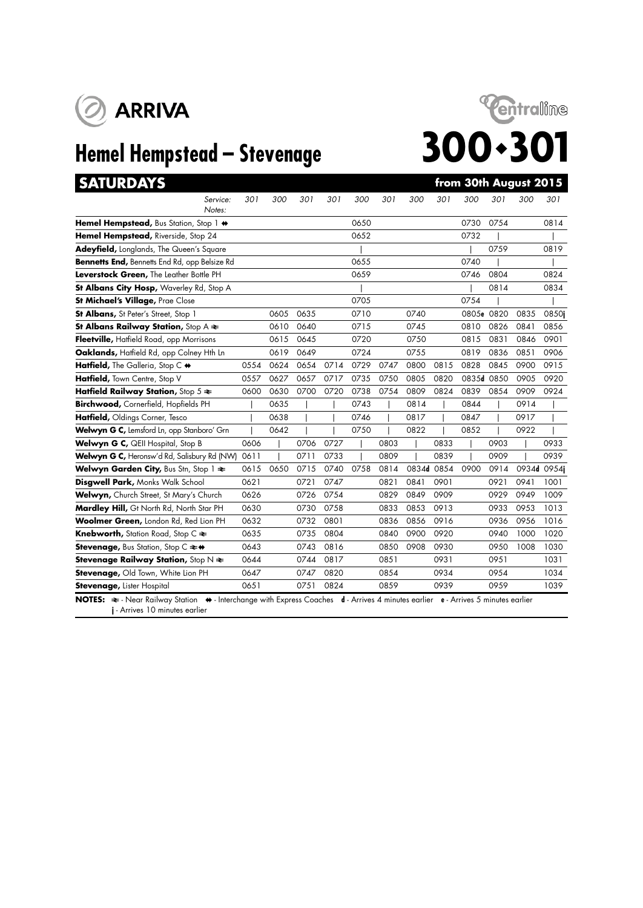



| <b>SATURDAYS</b>                                                    |      |      |      |      |      |      |       |      |            |      | from 30th August 2015 |             |
|---------------------------------------------------------------------|------|------|------|------|------|------|-------|------|------------|------|-----------------------|-------------|
| Service:<br>Notes:                                                  | 301  | 300  | 301  | 301  | 300  | 301  | 300   | 301  | 300        | 301  | 300                   | 301         |
| Hemel Hempstead, Bus Station, Stop 1 +                              |      |      |      |      | 0650 |      |       |      | 0730       | 0754 |                       | 0814        |
| Hemel Hempstead, Riverside, Stop 24                                 |      |      |      |      | 0652 |      |       |      | 0732       |      |                       |             |
| Adeyfield, Longlands, The Queen's Square                            |      |      |      |      |      |      |       |      |            | 0759 |                       | 0819        |
| Bennetts End, Bennetts End Rd, opp Belsize Rd                       |      |      |      |      | 0655 |      |       |      | 0740       |      |                       |             |
| Leverstock Green, The Leather Bottle PH                             |      |      |      |      | 0659 |      |       |      | 0746       | 0804 |                       | 0824        |
| St Albans City Hosp, Waverley Rd, Stop A                            |      |      |      |      |      |      |       |      |            | 0814 |                       | 0834        |
| St Michael's Village, Prae Close                                    |      |      |      |      | 0705 |      |       |      | 0754       |      |                       |             |
| St Albans, St Peter's Street, Stop 1                                |      | 0605 | 0635 |      | 0710 |      | 0740  |      | 0805e 0820 |      | 0835                  | 0850i       |
| St Albans Railway Station, Stop $A \rightleftarrows$                |      | 0610 | 0640 |      | 0715 |      | 0745  |      | 0810       | 0826 | 0841                  | 0856        |
| Fleetville, Hatfield Road, opp Morrisons                            |      | 0615 | 0645 |      | 0720 |      | 0750  |      | 0815       | 0831 | 0846                  | 0901        |
| Oaklands, Hatfield Rd, opp Colney Hth Ln                            |      | 0619 | 0649 |      | 0724 |      | 0755  |      | 0819       | 0836 | 0851                  | 0906        |
| Hatfield, The Galleria, Stop C +                                    | 0554 | 0624 | 0654 | 0714 | 0729 | 0747 | 0800  | 0815 | 0828       | 0845 | 0900                  | 0915        |
| Hatfield, Town Centre, Stop V                                       | 0557 | 0627 | 0657 | 0717 | 0735 | 0750 | 0805  | 0820 | 0835d 0850 |      | 0905                  | 0920        |
| Hatfield Railway Station, Stop $5 \approx$                          | 0600 | 0630 | 0700 | 0720 | 0738 | 0754 | 0809  | 0824 | 0839       | 0854 | 0909                  | 0924        |
| Birchwood, Cornerfield, Hopfields PH                                |      | 0635 |      |      | 0743 |      | 0814  |      | 0844       |      | 0914                  |             |
| Hatfield, Oldings Corner, Tesco                                     |      | 0638 |      |      | 0746 |      | 0817  |      | 0847       |      | 0917                  |             |
| Welwyn G C, Lemsford Ln, opp Stanboro' Grn                          |      | 0642 |      |      | 0750 |      | 0822  |      | 0852       |      | 0922                  |             |
| Welwyn G C, QEII Hospital, Stop B                                   | 0606 |      | 0706 | 0727 |      | 0803 |       | 0833 |            | 0903 |                       | 0933        |
| Welwyn G C, Heronsw'd Rd, Salisbury Rd (NW)                         | 0611 |      | 0711 | 0733 |      | 0809 |       | 0839 |            | 0909 |                       | 0939        |
| Welwyn Garden City, Bus Stn, Stop 1 $\approx$                       | 0615 | 0650 | 0715 | 0740 | 0758 | 0814 | 0834d | 0854 | 0900       | 0914 |                       | 0934d 0954j |
| Disgwell Park, Monks Walk School                                    | 0621 |      | 0721 | 0747 |      | 0821 | 0841  | 0901 |            | 0921 | 0941                  | 1001        |
| Welwyn, Church Street, St Mary's Church                             | 0626 |      | 0726 | 0754 |      | 0829 | 0849  | 0909 |            | 0929 | 0949                  | 1009        |
| Mardley Hill, Gt North Rd, North Star PH                            | 0630 |      | 0730 | 0758 |      | 0833 | 0853  | 0913 |            | 0933 | 0953                  | 1013        |
| Woolmer Green, London Rd, Red Lion PH                               | 0632 |      | 0732 | 0801 |      | 0836 | 0856  | 0916 |            | 0936 | 0956                  | 1016        |
| Knebworth, Station Road, Stop C ₹                                   | 0635 |      | 0735 | 0804 |      | 0840 | 0900  | 0920 |            | 0940 | 1000                  | 1020        |
| Stevenage, Bus Station, Stop C $\rightleftharpoons \leftrightarrow$ | 0643 |      | 0743 | 0816 |      | 0850 | 0908  | 0930 |            | 0950 | 1008                  | 1030        |
| <b>Stevenage Railway Station, Stop N <math>\neq</math></b>          | 0644 |      | 0744 | 0817 |      | 0851 |       | 0931 |            | 0951 |                       | 1031        |
| Stevenage, Old Town, White Lion PH                                  | 0647 |      | 0747 | 0820 |      | 0854 |       | 0934 |            | 0954 |                       | 1034        |
| Stevenage, Lister Hospital                                          | 0651 |      | 0751 | 0824 |      | 0859 |       | 0939 |            | 0959 |                       | 1039        |

**j** - Arrives 10 minutes earlier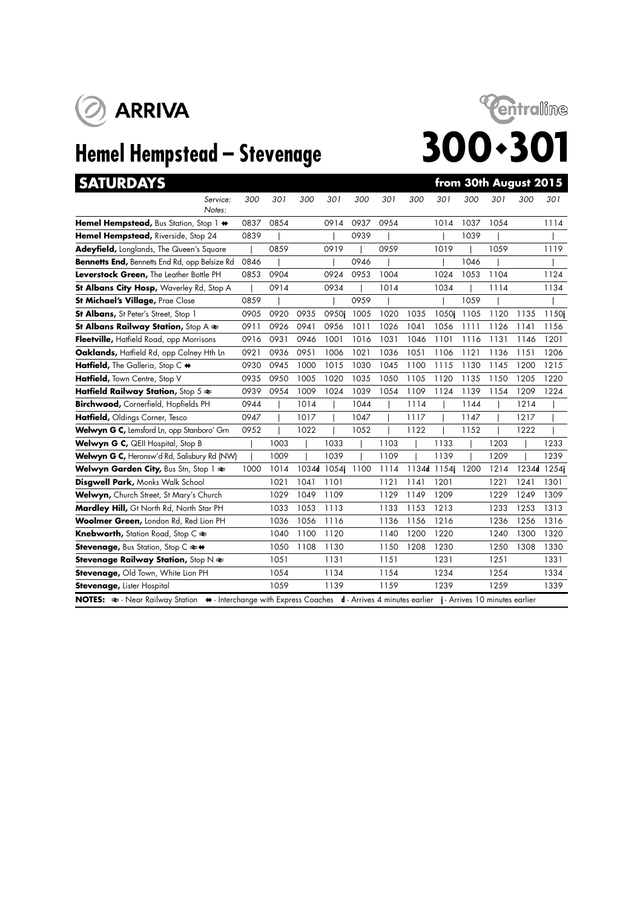

# **Hemel Hempstead – Stevenage 300 · 301**



# **SATURDAYS from 30th August 2015** *Service: 300 301 300 301 300 301 300 301 300 301 300 301 Notes:* **Hemel Hempstead,** Bus Station, Stop 1  $\leftrightarrow$  0837 0854 0914 0937 0954 1014 1037 1054 1114 **Hemel Hempstead,** Riverside, Stop 24 0839 | | 0939 | | 1039 | |

| <b>Adeyfield, Longlands, The Queen's Square</b>                                                                                   |      | 0859 |       | 0919  |      | 0959 |       | 1019  |      | 1059 |             | 1119  |
|-----------------------------------------------------------------------------------------------------------------------------------|------|------|-------|-------|------|------|-------|-------|------|------|-------------|-------|
| Bennetts End, Bennetts End Rd, opp Belsize Rd                                                                                     | 0846 |      |       |       | 0946 |      |       |       | 1046 |      |             |       |
| Leverstock Green, The Leather Bottle PH                                                                                           | 0853 | 0904 |       | 0924  | 0953 | 1004 |       | 1024  | 1053 | 1104 |             | 1124  |
| <b>St Albans City Hosp, Waverley Rd, Stop A</b>                                                                                   |      | 0914 |       | 0934  |      | 1014 |       | 1034  |      | 1114 |             | 1134  |
| St Michael's Village, Prae Close                                                                                                  | 0859 |      |       |       | 0959 |      |       |       | 1059 |      |             |       |
| <b>St Albans, St Peter's Street, Stop 1</b>                                                                                       | 0905 | 0920 | 0935  | 0950i | 1005 | 1020 | 1035  | 1050i | 1105 | 1120 | 1135        | 1150i |
| St Albans Railway Station, Stop A $\Leftarrow$                                                                                    | 0911 | 0926 | 0941  | 0956  | 1011 | 1026 | 1041  | 1056  | 1111 | 1126 | 1141        | 1156  |
| Fleetville, Hatfield Road, opp Morrisons                                                                                          | 0916 | 0931 | 0946  | 1001  | 1016 | 1031 | 1046  | 1101  | 1116 | 1131 | 1146        | 1201  |
| Oaklands, Hatfield Rd, opp Colney Hth Ln                                                                                          | 0921 | 0936 | 0951  | 1006  | 1021 | 1036 | 1051  | 1106  | 1121 | 1136 | 1151        | 1206  |
| Hatfield, The Galleria, Stop C $\leftrightarrow$                                                                                  | 0930 | 0945 | 1000  | 1015  | 1030 | 1045 | 1100  | 1115  | 1130 | 1145 | 1200        | 1215  |
| Hatfield, Town Centre, Stop V                                                                                                     | 0935 | 0950 | 1005  | 1020  | 1035 | 1050 | 1105  | 1120  | 1135 | 1150 | 1205        | 1220  |
| Hatfield Railway Station, Stop $5 \approx$                                                                                        | 0939 | 0954 | 1009  | 1024  | 1039 | 1054 | 1109  | 1124  | 1139 | 1154 | 1209        | 1224  |
| Birchwood, Cornerfield, Hopfields PH                                                                                              | 0944 |      | 1014  |       | 1044 |      | 1114  |       | 1144 |      | 1214        |       |
| Hatfield, Oldings Corner, Tesco                                                                                                   | 0947 |      | 1017  |       | 1047 |      | 1117  |       | 1147 |      | 1217        |       |
| Welwyn G C, Lemsford Ln, opp Stanboro' Grn                                                                                        | 0952 |      | 1022  |       | 1052 |      | 1122  |       | 1152 |      | 1222        |       |
| Welwyn G C, QEII Hospital, Stop B                                                                                                 |      | 1003 |       | 1033  |      | 1103 |       | 1133  |      | 1203 |             | 1233  |
| Welwyn G C, Heronsw'd Rd, Salisbury Rd (NW)                                                                                       |      | 1009 |       | 1039  |      | 1109 |       | 1139  |      | 1209 |             | 1239  |
| <b>Welwyn Garden City, Bus Stn, Stop 1 <math>\approx</math></b>                                                                   | 1000 | 1014 | 1034d | 1054i | 1100 | 1114 | 1134d | 1154i | 1200 | 1214 | 1234d 1254j |       |
| <b>Disgwell Park, Monks Walk School</b>                                                                                           |      | 1021 | 1041  | 1101  |      | 1121 | 1141  | 1201  |      | 1221 | 1241        | 1301  |
| Welwyn, Church Street, St Mary's Church                                                                                           |      | 1029 | 1049  | 1109  |      | 1129 | 1149  | 1209  |      | 1229 | 1249        | 1309  |
| Mardley Hill, Gt North Rd, North Star PH                                                                                          |      | 1033 | 1053  | 1113  |      | 1133 | 1153  | 1213  |      | 1233 | 1253        | 1313  |
| Woolmer Green, London Rd, Red Lion PH                                                                                             |      | 1036 | 1056  | 1116  |      | 1136 | 1156  | 1216  |      | 1236 | 1256        | 1316  |
| <b>Knebworth, Station Road, Stop C <math>\approx</math></b>                                                                       |      | 1040 | 1100  | 1120  |      | 1140 | 1200  | 1220  |      | 1240 | 1300        | 1320  |
| Stevenage, Bus Station, Stop C ≥+                                                                                                 |      | 1050 | 1108  | 1130  |      | 1150 | 1208  | 1230  |      | 1250 | 1308        | 1330  |
| <b>Stevenage Railway Station, Stop N <math>\neq</math></b>                                                                        |      | 1051 |       | 1131  |      | 1151 |       | 1231  |      | 1251 |             | 1331  |
| Stevenage, Old Town, White Lion PH                                                                                                |      | 1054 |       | 1134  |      | 1154 |       | 1234  |      | 1254 |             | 1334  |
| <b>Stevenage, Lister Hospital</b>                                                                                                 |      | 1059 |       | 1139  |      | 1159 |       | 1239  |      | 1259 |             | 1339  |
| NOTES: ₹ - Near Railway Station ♦ - Interchange with Express Coaches d - Arrives 4 minutes earlier j - Arrives 10 minutes earlier |      |      |       |       |      |      |       |       |      |      |             |       |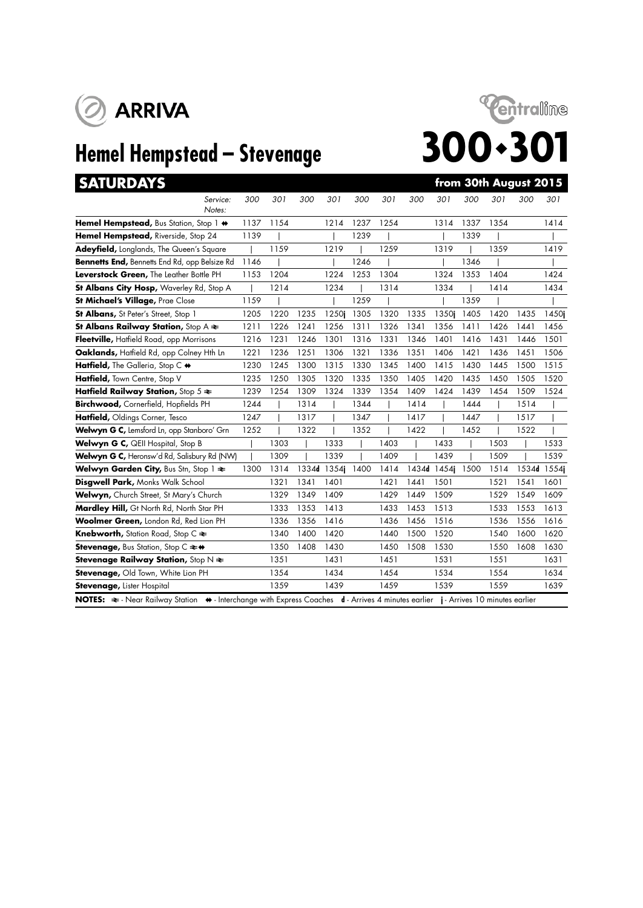



| <b>SATURDAYS</b>                                                                                                                                          |      |      |       |       |      |      |       |       |      |      | from 30th August 2015 |             |
|-----------------------------------------------------------------------------------------------------------------------------------------------------------|------|------|-------|-------|------|------|-------|-------|------|------|-----------------------|-------------|
| Service:<br>Notes:                                                                                                                                        | 300  | 301  | 300   | 301   | 300  | 301  | 300   | 301   | 300  | 301  | 300                   | 301         |
| Hemel Hempstead, Bus Station, Stop 1 +                                                                                                                    | 1137 | 1154 |       | 1214  | 1237 | 1254 |       | 1314  | 1337 | 1354 |                       | 1414        |
| Hemel Hempstead, Riverside, Stop 24                                                                                                                       | 1139 |      |       |       | 1239 |      |       |       | 1339 |      |                       |             |
| Adeyfield, Longlands, The Queen's Square                                                                                                                  |      | 1159 |       | 1219  |      | 1259 |       | 1319  |      | 1359 |                       | 1419        |
| Bennetts End, Bennetts End Rd, opp Belsize Rd                                                                                                             | 1146 |      |       |       | 1246 |      |       |       | 1346 |      |                       |             |
| Leverstock Green, The Leather Bottle PH                                                                                                                   | 1153 | 1204 |       | 1224  | 1253 | 1304 |       | 1324  | 1353 | 1404 |                       | 1424        |
| St Albans City Hosp, Waverley Rd, Stop A                                                                                                                  |      | 1214 |       | 1234  |      | 1314 |       | 1334  |      | 1414 |                       | 1434        |
| St Michael's Village, Prae Close                                                                                                                          | 1159 |      |       |       | 1259 |      |       |       | 1359 |      |                       |             |
| St Albans, St Peter's Street, Stop 1                                                                                                                      | 1205 | 1220 | 1235  | 1250i | 1305 | 1320 | 1335  | 1350i | 1405 | 1420 | 1435                  | 1450i       |
| St Albans Railway Station, Stop $A \rightleftarrows$                                                                                                      | 1211 | 1226 | 1241  | 1256  | 1311 | 1326 | 1341  | 1356  | 1411 | 1426 | 1441                  | 1456        |
| Fleetville, Hatfield Road, opp Morrisons                                                                                                                  | 1216 | 1231 | 1246  | 1301  | 1316 | 1331 | 1346  | 1401  | 1416 | 1431 | 1446                  | 1501        |
| Oaklands, Hatfield Rd, opp Colney Hth Ln                                                                                                                  | 1221 | 1236 | 1251  | 1306  | 1321 | 1336 | 1351  | 1406  | 1421 | 1436 | 1451                  | 1506        |
| Hatfield, The Galleria, Stop C +                                                                                                                          | 1230 | 1245 | 1300  | 1315  | 1330 | 1345 | 1400  | 1415  | 1430 | 1445 | 1500                  | 1515        |
| Hatfield, Town Centre, Stop V                                                                                                                             | 1235 | 1250 | 1305  | 1320  | 1335 | 1350 | 1405  | 1420  | 1435 | 1450 | 1505                  | 1520        |
| Hatfield Railway Station, Stop $5 \approx$                                                                                                                | 1239 | 1254 | 1309  | 1324  | 1339 | 1354 | 1409  | 1424  | 1439 | 1454 | 1509                  | 1524        |
| Birchwood, Cornerfield, Hopfields PH                                                                                                                      | 1244 |      | 1314  |       | 1344 |      | 1414  |       | 1444 |      | 1514                  |             |
| Hatfield, Oldings Corner, Tesco                                                                                                                           | 1247 |      | 1317  |       | 1347 |      | 1417  |       | 1447 |      | 1517                  |             |
| Welwyn G C, Lemsford Ln, opp Stanboro' Grn                                                                                                                | 1252 |      | 1322  |       | 1352 |      | 1422  |       | 1452 |      | 1522                  |             |
| Welwyn G C, QEII Hospital, Stop B                                                                                                                         |      | 1303 |       | 1333  |      | 1403 |       | 1433  |      | 1503 |                       | 1533        |
| Welwyn G C, Heronsw'd Rd, Salisbury Rd (NW)                                                                                                               |      | 1309 |       | 1339  |      | 1409 |       | 1439  |      | 1509 |                       | 1539        |
| Welwyn Garden City, Bus Stn, Stop 1 $\Leftarrow$                                                                                                          | 1300 | 1314 | 1334d | 1354i | 1400 | 1414 | 1434d | 1454j | 1500 | 1514 |                       | 1534d 1554j |
| Disgwell Park, Monks Walk School                                                                                                                          |      | 1321 | 1341  | 1401  |      | 1421 | 1441  | 1501  |      | 1521 | 1541                  | 1601        |
| Welwyn, Church Street, St Mary's Church                                                                                                                   |      | 1329 | 1349  | 1409  |      | 1429 | 1449  | 1509  |      | 1529 | 1549                  | 1609        |
| Mardley Hill, Gt North Rd, North Star PH                                                                                                                  |      | 1333 | 1353  | 1413  |      | 1433 | 1453  | 1513  |      | 1533 | 1553                  | 1613        |
| Woolmer Green, London Rd, Red Lion PH                                                                                                                     |      | 1336 | 1356  | 1416  |      | 1436 | 1456  | 1516  |      | 1536 | 1556                  | 1616        |
| Knebworth, Station Road, Stop C ₹                                                                                                                         |      | 1340 | 1400  | 1420  |      | 1440 | 1500  | 1520  |      | 1540 | 1600                  | 1620        |
| Stevenage, Bus Station, Stop C ≥+                                                                                                                         |      | 1350 | 1408  | 1430  |      | 1450 | 1508  | 1530  |      | 1550 | 1608                  | 1630        |
| Stevenage Railway Station, Stop $N \geq$                                                                                                                  |      | 1351 |       | 1431  |      | 1451 |       | 1531  |      | 1551 |                       | 1631        |
| Stevenage, Old Town, White Lion PH                                                                                                                        |      | 1354 |       | 1434  |      | 1454 |       | 1534  |      | 1554 |                       | 1634        |
| Stevenage, Lister Hospital                                                                                                                                |      | 1359 |       | 1439  |      | 1459 |       | 1539  |      | 1559 |                       | 1639        |
| NOTES: $\Rightarrow$ Near Railway Station $\leftrightarrow$ Interchange with Express Coaches d - Arrives 4 minutes earlier j - Arrives 10 minutes earlier |      |      |       |       |      |      |       |       |      |      |                       |             |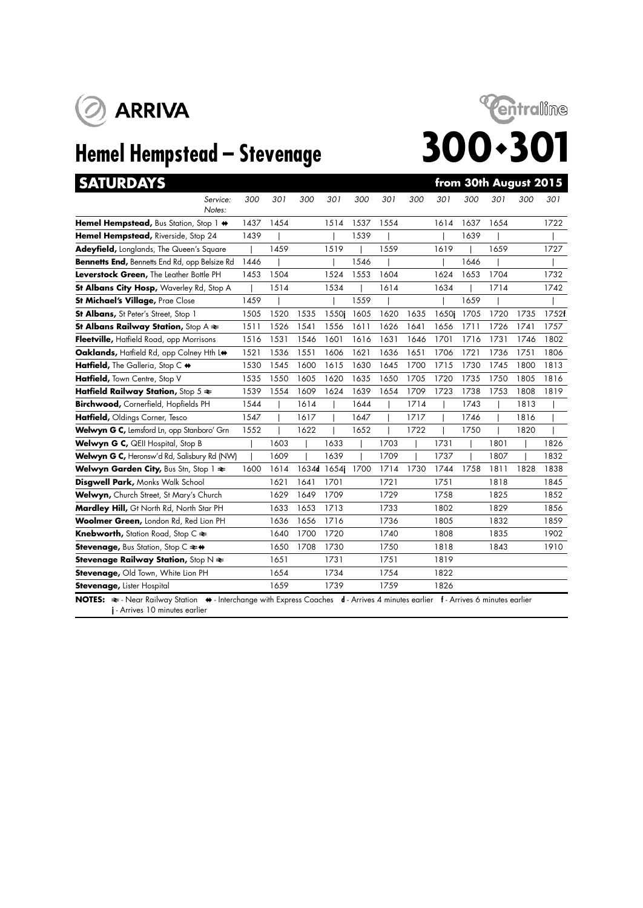



| <b>SATURDAYS</b>                                                              |      |      |      |             |      |      |      |       |      |      | from 30th August 2015 |       |
|-------------------------------------------------------------------------------|------|------|------|-------------|------|------|------|-------|------|------|-----------------------|-------|
| Service:<br>Notes:                                                            | 300  | 301  | 300  | 301         | 300  | 301  | 300  | 301   | 300  | 301  | 300                   | 301   |
| Hemel Hempstead, Bus Station, Stop 1 $\leftrightarrow$                        | 1437 | 1454 |      | 1514        | 1537 | 1554 |      | 1614  | 1637 | 1654 |                       | 1722  |
| Hemel Hempstead, Riverside, Stop 24                                           | 1439 |      |      |             | 1539 |      |      |       | 1639 |      |                       |       |
| Adeyfield, Longlands, The Queen's Square                                      |      | 1459 |      | 1519        |      | 1559 |      | 1619  |      | 1659 |                       | 1727  |
| Bennetts End, Bennetts End Rd, opp Belsize Rd                                 | 1446 |      |      |             | 1546 |      |      |       | 1646 |      |                       |       |
| Leverstock Green, The Leather Bottle PH                                       | 1453 | 1504 |      | 1524        | 1553 | 1604 |      | 1624  | 1653 | 1704 |                       | 1732  |
| St Albans City Hosp, Waverley Rd, Stop A                                      |      | 1514 |      | 1534        |      | 1614 |      | 1634  |      | 1714 |                       | 1742  |
| St Michael's Village, Prae Close                                              | 1459 |      |      |             | 1559 |      |      |       | 1659 |      |                       |       |
| St Albans, St Peter's Street, Stop 1                                          | 1505 | 1520 | 1535 | 1550i       | 1605 | 1620 | 1635 | 1650i | 1705 | 1720 | 1735                  | 1752f |
| St Albans Railway Station, Stop $A \rightleftarrows$                          | 1511 | 1526 | 1541 | 1556        | 1611 | 1626 | 1641 | 1656  | 1711 | 1726 | 1741                  | 1757  |
| Fleetville, Hatfield Road, opp Morrisons                                      | 1516 | 1531 | 1546 | 1601        | 1616 | 1631 | 1646 | 1701  | 1716 | 1731 | 1746                  | 1802  |
| Oaklands, Haffield Rd, opp Colney Hth L+                                      | 1521 | 1536 | 1551 | 1606        | 1621 | 1636 | 1651 | 1706  | 1721 | 1736 | 1751                  | 1806  |
| Hatfield, The Galleria, Stop C +                                              | 1530 | 1545 | 1600 | 1615        | 1630 | 1645 | 1700 | 1715  | 1730 | 1745 | 1800                  | 1813  |
| Hatfield, Town Centre, Stop V                                                 | 1535 | 1550 | 1605 | 1620        | 1635 | 1650 | 1705 | 1720  | 1735 | 1750 | 1805                  | 1816  |
| Hatfield Railway Station, Stop $5 \approx$                                    | 1539 | 1554 | 1609 | 1624        | 1639 | 1654 | 1709 | 1723  | 1738 | 1753 | 1808                  | 1819  |
| Birchwood, Cornerfield, Hopfields PH                                          | 1544 |      | 1614 |             | 1644 |      | 1714 |       | 1743 |      | 1813                  |       |
| Hatfield, Oldings Corner, Tesco                                               | 1547 |      | 1617 |             | 1647 |      | 1717 |       | 1746 |      | 1816                  |       |
| Welwyn G C, Lemsford Ln, opp Stanboro' Grn                                    | 1552 |      | 1622 |             | 1652 |      | 1722 |       | 1750 |      | 1820                  |       |
| Welwyn G C, QEII Hospital, Stop B                                             |      | 1603 |      | 1633        |      | 1703 |      | 1731  |      | 1801 |                       | 1826  |
| Welwyn G C, Heronsw'd Rd, Salisbury Rd (NW)                                   |      | 1609 |      | 1639        |      | 1709 |      | 1737  |      | 1807 |                       | 1832  |
| Welwyn Garden City, Bus Stn, Stop 1 $\approx$                                 | 1600 | 1614 |      | 1634d 1654j | 1700 | 1714 | 1730 | 1744  | 1758 | 1811 | 1828                  | 1838  |
| Disgwell Park, Monks Walk School                                              |      | 1621 | 1641 | 1701        |      | 1721 |      | 1751  |      | 1818 |                       | 1845  |
| Welwyn, Church Street, St Mary's Church                                       |      | 1629 | 1649 | 1709        |      | 1729 |      | 1758  |      | 1825 |                       | 1852  |
| Mardley Hill, Gt North Rd, North Star PH                                      |      | 1633 | 1653 | 1713        |      | 1733 |      | 1802  |      | 1829 |                       | 1856  |
| Woolmer Green, London Rd, Red Lion PH                                         |      | 1636 | 1656 | 1716        |      | 1736 |      | 1805  |      | 1832 |                       | 1859  |
| <b>Knebworth, Station Road, Stop C <math>\approx</math></b>                   |      | 1640 | 1700 | 1720        |      | 1740 |      | 1808  |      | 1835 |                       | 1902  |
| <b>Stevenage, Bus Station, Stop C <math>\Leftarrow \leftrightarrow</math></b> |      | 1650 | 1708 | 1730        |      | 1750 |      | 1818  |      | 1843 |                       | 1910  |
| Stevenage Railway Station, Stop $N \geq$                                      |      | 1651 |      | 1731        |      | 1751 |      | 1819  |      |      |                       |       |
| Stevenage, Old Town, White Lion PH                                            |      | 1654 |      | 1734        |      | 1754 |      | 1822  |      |      |                       |       |
| <b>Stevenage, Lister Hospital</b>                                             |      | 1659 |      | 1739        |      | 1759 |      | 1826  |      |      |                       |       |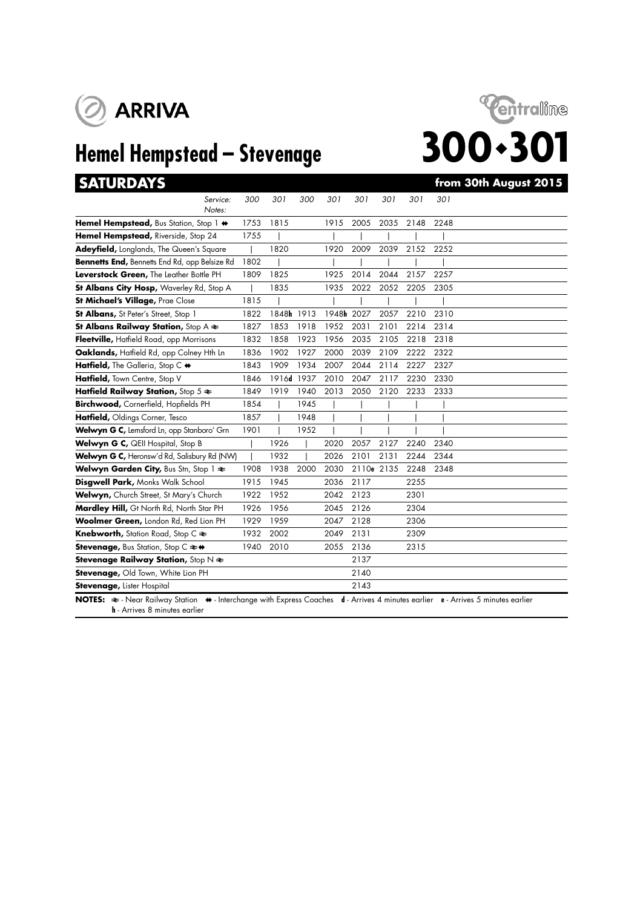



| <b>SATURDAYS</b>                                                                                                                                                                                     |      |            |      |            |            |      |      | from 30th August 2015 |
|------------------------------------------------------------------------------------------------------------------------------------------------------------------------------------------------------|------|------------|------|------------|------------|------|------|-----------------------|
| Service:<br>Notes:                                                                                                                                                                                   | 300  | 301        | 300  | 301        | 301        | 301  | 301  | 301                   |
| Hemel Hempstead, Bus Station, Stop 1 +                                                                                                                                                               | 1753 | 1815       |      | 1915       | 2005       | 2035 | 2148 | 2248                  |
| Hemel Hempstead, Riverside, Stop 24                                                                                                                                                                  | 1755 |            |      |            |            |      |      |                       |
| Adeyfield, Longlands, The Queen's Square                                                                                                                                                             |      | 1820       |      | 1920       | 2009       | 2039 | 2152 | 2252                  |
| Bennetts End, Bennetts End Rd, opp Belsize Rd                                                                                                                                                        | 1802 |            |      |            |            |      |      |                       |
| Leverstock Green, The Leather Bottle PH                                                                                                                                                              | 1809 | 1825       |      | 1925       | 2014       | 2044 | 2157 | 2257                  |
| St Albans City Hosp, Waverley Rd, Stop A                                                                                                                                                             |      | 1835       |      | 1935       | 2022       | 2052 | 2205 | 2305                  |
| St Michael's Village, Prae Close                                                                                                                                                                     | 1815 |            |      |            |            |      |      |                       |
| St Albans, St Peter's Street, Stop 1                                                                                                                                                                 | 1822 | 1848h 1913 |      | 1948h 2027 |            | 2057 | 2210 | 2310                  |
| St Albans Railway Station, Stop $A \rightleftarrows$                                                                                                                                                 | 1827 | 1853       | 1918 | 1952       | 2031       | 2101 | 2214 | 2314                  |
| Fleetville, Hatfield Road, opp Morrisons                                                                                                                                                             | 1832 | 1858       | 1923 | 1956       | 2035       | 2105 | 2218 | 2318                  |
| Oaklands, Hatfield Rd, opp Colney Hth Ln                                                                                                                                                             | 1836 | 1902       | 1927 | 2000       | 2039       | 2109 | 2222 | 2322                  |
| Hatfield, The Galleria, Stop C +                                                                                                                                                                     | 1843 | 1909       | 1934 | 2007       | 2044       | 2114 | 2227 | 2327                  |
| Hatfield, Town Centre, Stop V                                                                                                                                                                        | 1846 | 1916d 1937 |      | 2010       | 2047       | 2117 | 2230 | 2330                  |
| Hatfield Railway Station, Stop $5 \approx$                                                                                                                                                           | 1849 | 1919       | 1940 | 2013       | 2050       | 2120 | 2233 | 2333                  |
| Birchwood, Cornerfield, Hopfields PH                                                                                                                                                                 | 1854 |            | 1945 |            |            |      |      |                       |
| Hatfield, Oldings Corner, Tesco                                                                                                                                                                      | 1857 |            | 1948 |            |            |      |      |                       |
| Welwyn G C, Lemsford Ln, opp Stanboro' Grn                                                                                                                                                           | 1901 |            | 1952 |            |            |      |      |                       |
| Welwyn G C, QEII Hospital, Stop B                                                                                                                                                                    |      | 1926       |      | 2020       | 2057       | 2127 | 2240 | 2340                  |
| Welwyn G C, Heronsw'd Rd, Salisbury Rd (NW)                                                                                                                                                          |      | 1932       |      | 2026       | 2101       | 2131 | 2244 | 2344                  |
| Welwyn Garden City, Bus Stn, Stop 1 $\approx$                                                                                                                                                        | 1908 | 1938       | 2000 | 2030       | 2110e 2135 |      | 2248 | 2348                  |
| Disgwell Park, Monks Walk School                                                                                                                                                                     | 1915 | 1945       |      | 2036       | 2117       |      | 2255 |                       |
| Welwyn, Church Street, St Mary's Church                                                                                                                                                              | 1922 | 1952       |      | 2042       | 2123       |      | 2301 |                       |
| Mardley Hill, Gt North Rd, North Star PH                                                                                                                                                             | 1926 | 1956       |      | 2045       | 2126       |      | 2304 |                       |
| Woolmer Green, London Rd, Red Lion PH                                                                                                                                                                | 1929 | 1959       |      | 2047       | 2128       |      | 2306 |                       |
| Knebworth, Station Road, Stop C $\Leftarrow$                                                                                                                                                         | 1932 | 2002       |      | 2049       | 2131       |      | 2309 |                       |
| Stevenage, Bus Station, Stop C ≥ +                                                                                                                                                                   | 1940 | 2010       |      | 2055       | 2136       |      | 2315 |                       |
| Stevenage Railway Station, Stop $N \geq$                                                                                                                                                             |      |            |      |            | 2137       |      |      |                       |
| Stevenage, Old Town, White Lion PH                                                                                                                                                                   |      |            |      |            | 2140       |      |      |                       |
| <b>Stevenage, Lister Hospital</b>                                                                                                                                                                    |      |            |      |            | 2143       |      |      |                       |
| NOTES: $\Rightarrow$ - Near Railway Station $\leftrightarrow$ - Interchange with Express Coaches d - Arrives 4 minutes earlier e - Arrives 5 minutes earlier<br><b>h</b> - Arrives 8 minutes earlier |      |            |      |            |            |      |      |                       |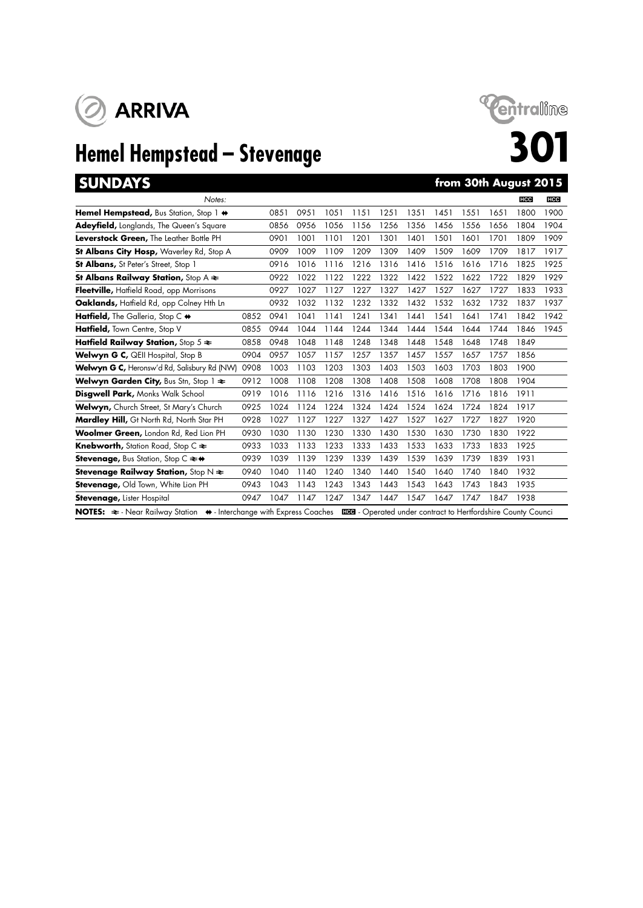

# **Hemel Hempstead – Stevenage 301**<br> **SUNDAYS**



## **from 30th August 2015**

| Notes:                                                                                                                                                    |      |      |      |      |      |      |      |      |      |      | <b>HCC</b> | <b>HCC</b> |
|-----------------------------------------------------------------------------------------------------------------------------------------------------------|------|------|------|------|------|------|------|------|------|------|------------|------------|
| Hemel Hempstead, Bus Station, Stop 1 $\leftrightarrow$                                                                                                    |      | 0851 | 0951 | 1051 | 1151 | 1251 | 1351 | 1451 | 1551 | 1651 | 1800       | 1900       |
| Adeyfield, Longlands, The Queen's Square                                                                                                                  |      | 0856 | 0956 | 1056 | 1156 | 1256 | 1356 | 1456 | 1556 | 1656 | 1804       | 1904       |
| Leverstock Green, The Leather Bottle PH                                                                                                                   |      | 0901 | 1001 | 1101 | 1201 | 1301 | 1401 | 1501 | 1601 | 1701 | 1809       | 1909       |
| St Albans City Hosp, Waverley Rd, Stop A                                                                                                                  |      | 0909 | 1009 | 1109 | 1209 | 1309 | 1409 | 1509 | 1609 | 1709 | 1817       | 1917       |
| <b>St Albans, St Peter's Street, Stop 1</b>                                                                                                               |      | 0916 | 1016 | 1116 | 1216 | 1316 | 1416 | 1516 | 1616 | 1716 | 1825       | 1925       |
| <b>St Albans Railway Station, Stop A <math>\approx</math></b>                                                                                             |      | 0922 | 1022 | 1122 | 1222 | 1322 | 1422 | 1522 | 1622 | 1722 | 1829       | 1929       |
| Fleetville, Hatfield Road, opp Morrisons                                                                                                                  |      | 0927 | 1027 | 1127 | 1227 | 1327 | 1427 | 1527 | 1627 | 1727 | 1833       | 1933       |
| Oaklands, Hatfield Rd, opp Colney Hth Ln                                                                                                                  |      | 0932 | 1032 | 1132 | 1232 | 1332 | 1432 | 1532 | 1632 | 1732 | 1837       | 1937       |
| Hatfield, The Galleria, Stop C $\leftrightarrow$                                                                                                          | 0852 | 0941 | 1041 | 1141 | 1241 | 1341 | 1441 | 1541 | 1641 | 1741 | 1842       | 1942       |
| <b>Hatfield, Town Centre, Stop V</b>                                                                                                                      | 0855 | 0944 | 1044 | 1144 | 1244 | 1344 | 1444 | 1544 | 1644 | 1744 | 1846       | 1945       |
| Hatfield Railway Station, Stop $5 \approx$                                                                                                                | 0858 | 0948 | 1048 | 1148 | 1248 | 1348 | 1448 | 1548 | 1648 | 1748 | 1849       |            |
| <b>Welwyn G C, QEII Hospital, Stop B</b>                                                                                                                  | 0904 | 0957 | 1057 | 1157 | 1257 | 1357 | 1457 | 1557 | 1657 | 1757 | 1856       |            |
| Welwyn G C, Heronsw'd Rd, Salisbury Rd (NW)                                                                                                               | 0908 | 1003 | 1103 | 1203 | 1303 | 1403 | 1503 | 1603 | 1703 | 1803 | 1900       |            |
| <b>Welwyn Garden City, Bus Stn, Stop 1 <math>\neq</math></b>                                                                                              | 0912 | 1008 | 1108 | 1208 | 1308 | 1408 | 1508 | 1608 | 1708 | 1808 | 1904       |            |
| <b>Disgwell Park, Monks Walk School</b>                                                                                                                   | 0919 | 1016 | 1116 | 1216 | 1316 | 1416 | 1516 | 1616 | 1716 | 1816 | 1911       |            |
| Welwyn, Church Street, St Mary's Church                                                                                                                   | 0925 | 1024 | 1124 | 1224 | 1324 | 1424 | 1524 | 1624 | 1724 | 1824 | 1917       |            |
| Mardley Hill, Gt North Rd, North Star PH                                                                                                                  | 0928 | 1027 | 1127 | 1227 | 1327 | 1427 | 1527 | 1627 | 1727 | 1827 | 1920       |            |
| Woolmer Green, London Rd, Red Lion PH                                                                                                                     | 0930 | 1030 | 1130 | 1230 | 1330 | 1430 | 1530 | 1630 | 1730 | 1830 | 1922       |            |
| <b>Knebworth, Station Road, Stop C <math>\approx</math></b>                                                                                               | 0933 | 1033 | 1133 | 1233 | 1333 | 1433 | 1533 | 1633 | 1733 | 1833 | 1925       |            |
| <b>Stevenage, Bus Station, Stop C <math>\rightleftarrows</math> <math>\leftrightarrow</math></b>                                                          | 0939 | 1039 | 1139 | 1239 | 1339 | 1439 | 1539 | 1639 | 1739 | 1839 | 1931       |            |
| <b>Stevenage Railway Station, Stop N <math>\neq</math></b>                                                                                                | 0940 | 1040 | 1140 | 1240 | 1340 | 1440 | 1540 | 1640 | 1740 | 1840 | 1932       |            |
| Stevenage, Old Town, White Lion PH                                                                                                                        | 0943 | 1043 | 1143 | 1243 | 1343 | 1443 | 1543 | 1643 | 1743 | 1843 | 1935       |            |
| <b>Stevenage, Lister Hospital</b>                                                                                                                         | 0947 | 1047 | 1147 | 1247 | 1347 | 1447 | 1547 | 1647 | 1747 | 1847 | 1938       |            |
| NOTES: $\Rightarrow$ Near Railway Station $\leftrightarrow$ Interchange with Express Coaches ECO - Operated under contract to Hertfordshire County Counci |      |      |      |      |      |      |      |      |      |      |            |            |